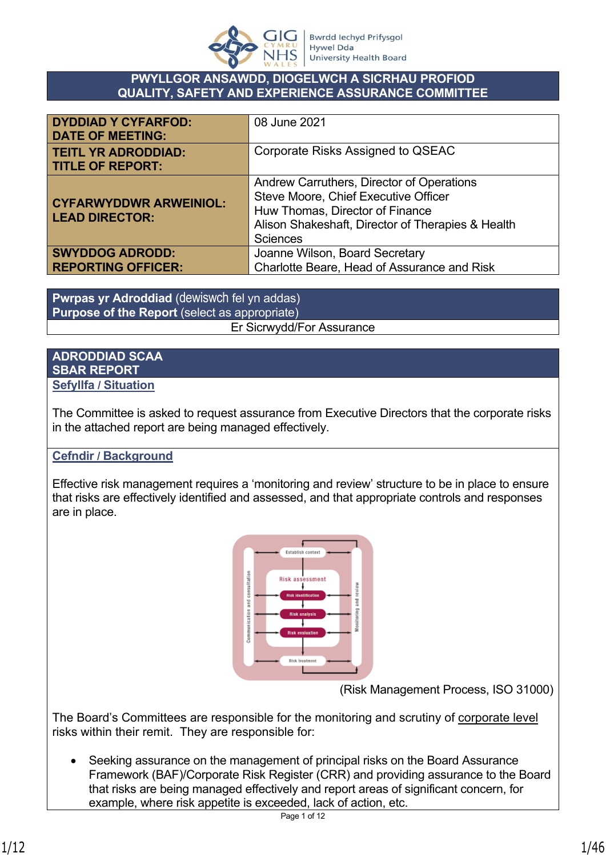

#### **PWYLLGOR ANSAWDD, DIOGELWCH A SICRHAU PROFIOD QUALITY, SAFETY AND EXPERIENCE ASSURANCE COMMITTEE**

| <b>DYDDIAD Y CYFARFOD:</b><br><b>DATE OF MEETING:</b>  | 08 June 2021                                                                                                                                                                                 |
|--------------------------------------------------------|----------------------------------------------------------------------------------------------------------------------------------------------------------------------------------------------|
| <b>TEITL YR ADRODDIAD:</b><br><b>TITLE OF REPORT:</b>  | Corporate Risks Assigned to QSEAC                                                                                                                                                            |
| <b>CYFARWYDDWR ARWEINIOL:</b><br><b>LEAD DIRECTOR:</b> | Andrew Carruthers, Director of Operations<br>Steve Moore, Chief Executive Officer<br>Huw Thomas, Director of Finance<br>Alison Shakeshaft, Director of Therapies & Health<br><b>Sciences</b> |
| <b>SWYDDOG ADRODD:</b>                                 | Joanne Wilson, Board Secretary                                                                                                                                                               |
| <b>REPORTING OFFICER:</b>                              | Charlotte Beare, Head of Assurance and Risk                                                                                                                                                  |

**Pwrpas yr Adroddiad** (dewiswch fel yn addas) **Purpose of the Report** (select as appropriate) Er Sicrwydd/For Assurance

#### **ADRODDIAD SCAA SBAR REPORT Sefyllfa / Situation**

The Committee is asked to request assurance from Executive Directors that the corporate risks in the attached report are being managed effectively.

# **Cefndir / Background**

Effective risk management requires a 'monitoring and review' structure to be in place to ensure that risks are effectively identified and assessed, and that appropriate controls and responses are in place.



(Risk Management Process, ISO 31000)

The Board's Committees are responsible for the monitoring and scrutiny of corporate level risks within their remit. They are responsible for:

• Seeking assurance on the management of principal risks on the Board Assurance Framework (BAF)/Corporate Risk Register (CRR) and providing assurance to the Board that risks are being managed effectively and report areas of significant concern, for example, where risk appetite is exceeded, lack of action, etc.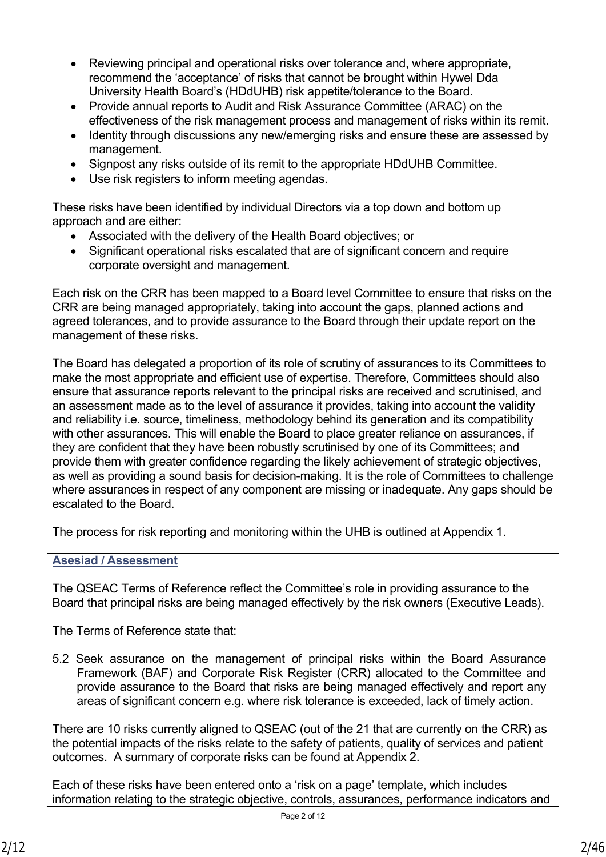- Reviewing principal and operational risks over tolerance and, where appropriate, recommend the 'acceptance' of risks that cannot be brought within Hywel Dda University Health Board's (HDdUHB) risk appetite/tolerance to the Board.
- Provide annual reports to Audit and Risk Assurance Committee (ARAC) on the effectiveness of the risk management process and management of risks within its remit.
- Identity through discussions any new/emerging risks and ensure these are assessed by management.
- Signpost any risks outside of its remit to the appropriate HDdUHB Committee.
- Use risk registers to inform meeting agendas.

These risks have been identified by individual Directors via a top down and bottom up approach and are either:

- Associated with the delivery of the Health Board objectives; or
- Significant operational risks escalated that are of significant concern and require corporate oversight and management.

Each risk on the CRR has been mapped to a Board level Committee to ensure that risks on the CRR are being managed appropriately, taking into account the gaps, planned actions and agreed tolerances, and to provide assurance to the Board through their update report on the management of these risks.

The Board has delegated a proportion of its role of scrutiny of assurances to its Committees to make the most appropriate and efficient use of expertise. Therefore, Committees should also ensure that assurance reports relevant to the principal risks are received and scrutinised, and an assessment made as to the level of assurance it provides, taking into account the validity and reliability i.e. source, timeliness, methodology behind its generation and its compatibility with other assurances. This will enable the Board to place greater reliance on assurances, if they are confident that they have been robustly scrutinised by one of its Committees; and provide them with greater confidence regarding the likely achievement of strategic objectives, as well as providing a sound basis for decision-making. It is the role of Committees to challenge where assurances in respect of any component are missing or inadequate. Any gaps should be escalated to the Board.

The process for risk reporting and monitoring within the UHB is outlined at Appendix 1.

### **Asesiad / Assessment**

The QSEAC Terms of Reference reflect the Committee's role in providing assurance to the Board that principal risks are being managed effectively by the risk owners (Executive Leads).

The Terms of Reference state that:

5.2 Seek assurance on the management of principal risks within the Board Assurance Framework (BAF) and Corporate Risk Register (CRR) allocated to the Committee and provide assurance to the Board that risks are being managed effectively and report any areas of significant concern e.g. where risk tolerance is exceeded, lack of timely action.

There are 10 risks currently aligned to QSEAC (out of the 21 that are currently on the CRR) as the potential impacts of the risks relate to the safety of patients, quality of services and patient outcomes. A summary of corporate risks can be found at Appendix 2.

Each of these risks have been entered onto a 'risk on a page' template, which includes information relating to the strategic objective, controls, assurances, performance indicators and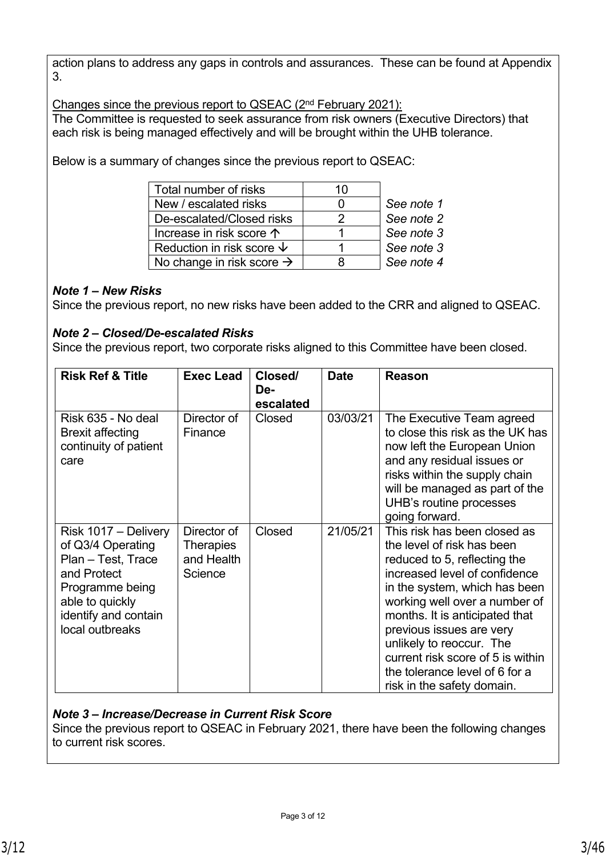action plans to address any gaps in controls and assurances. These can be found at Appendix 3.

Changes since the previous report to QSEAC (2nd February 2021): The Committee is requested to seek assurance from risk owners (Executive Directors) that each risk is being managed effectively and will be brought within the UHB tolerance.

Below is a summary of changes since the previous report to QSEAC:

| Total number of risks                 | 10 |            |
|---------------------------------------|----|------------|
| New / escalated risks                 |    | See note 1 |
| De-escalated/Closed risks             | 2  | See note 2 |
| Increase in risk score $\uparrow$     |    | See note 3 |
| Reduction in risk score $\downarrow$  |    | See note 3 |
| No change in risk score $\rightarrow$ |    | See note 4 |

## *Note 1 – New Risks*

Since the previous report, no new risks have been added to the CRR and aligned to QSEAC.

## *Note 2 – Closed/De-escalated Risks*

Since the previous report, two corporate risks aligned to this Committee have been closed.

| <b>Risk Ref &amp; Title</b>                                                                                                                                     | <b>Exec Lead</b>                                         | Closed/<br>De-<br>escalated | <b>Date</b> | <b>Reason</b>                                                                                                                                                                                                                                                                                                                                                                                |
|-----------------------------------------------------------------------------------------------------------------------------------------------------------------|----------------------------------------------------------|-----------------------------|-------------|----------------------------------------------------------------------------------------------------------------------------------------------------------------------------------------------------------------------------------------------------------------------------------------------------------------------------------------------------------------------------------------------|
| Risk 635 - No deal<br><b>Brexit affecting</b><br>continuity of patient<br>care                                                                                  | Director of<br>Finance                                   | Closed                      | 03/03/21    | The Executive Team agreed<br>to close this risk as the UK has<br>now left the European Union<br>and any residual issues or<br>risks within the supply chain<br>will be managed as part of the<br>UHB's routine processes<br>going forward.                                                                                                                                                   |
| Risk 1017 – Delivery<br>of Q3/4 Operating<br>Plan - Test, Trace<br>and Protect<br>Programme being<br>able to quickly<br>identify and contain<br>local outbreaks | Director of<br><b>Therapies</b><br>and Health<br>Science | Closed                      | 21/05/21    | This risk has been closed as<br>the level of risk has been<br>reduced to 5, reflecting the<br>increased level of confidence<br>in the system, which has been<br>working well over a number of<br>months. It is anticipated that<br>previous issues are very<br>unlikely to reoccur. The<br>current risk score of 5 is within<br>the tolerance level of 6 for a<br>risk in the safety domain. |

### *Note 3 – Increase/Decrease in Current Risk Score*

Since the previous report to QSEAC in February 2021, there have been the following changes to current risk scores.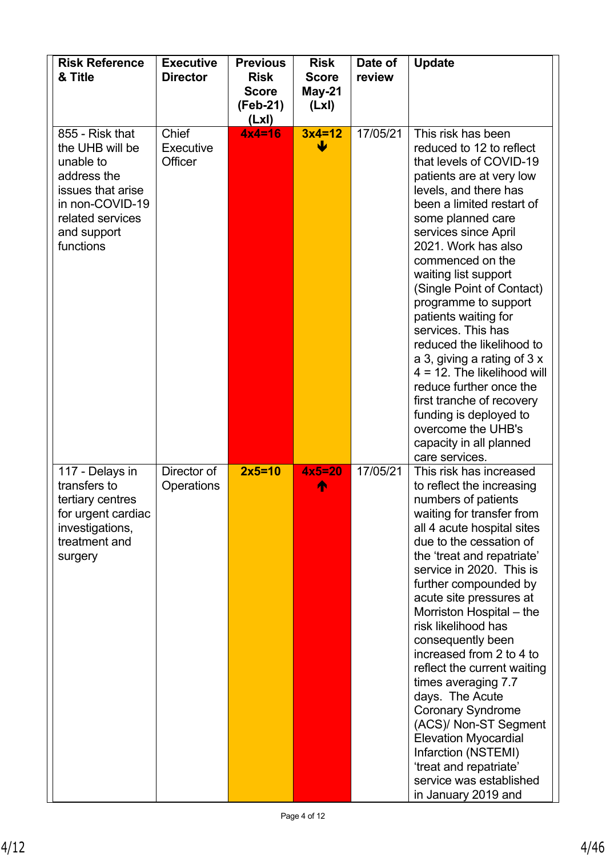| <b>Risk Reference</b><br>& Title                                                                                                                       | <b>Executive</b><br><b>Director</b>  | <b>Previous</b><br><b>Risk</b><br><b>Score</b><br>(Feb-21)<br>(LxI) | <b>Risk</b><br><b>Score</b><br>May-21<br>(Lx) | Date of<br>review | <b>Update</b>                                                                                                                                                                                                                                                                                                                                                                                                                                                                                                                                                                                                                                       |
|--------------------------------------------------------------------------------------------------------------------------------------------------------|--------------------------------------|---------------------------------------------------------------------|-----------------------------------------------|-------------------|-----------------------------------------------------------------------------------------------------------------------------------------------------------------------------------------------------------------------------------------------------------------------------------------------------------------------------------------------------------------------------------------------------------------------------------------------------------------------------------------------------------------------------------------------------------------------------------------------------------------------------------------------------|
| 855 - Risk that<br>the UHB will be<br>unable to<br>address the<br>issues that arise<br>in non-COVID-19<br>related services<br>and support<br>functions | Chief<br><b>Executive</b><br>Officer | $4x4=16$                                                            | $3x4=12$<br>ψ                                 | 17/05/21          | This risk has been<br>reduced to 12 to reflect<br>that levels of COVID-19<br>patients are at very low<br>levels, and there has<br>been a limited restart of<br>some planned care<br>services since April<br>2021. Work has also<br>commenced on the<br>waiting list support<br>(Single Point of Contact)<br>programme to support<br>patients waiting for<br>services. This has<br>reduced the likelihood to<br>a 3, giving a rating of $3x$<br>$4 = 12$ . The likelihood will<br>reduce further once the<br>first tranche of recovery<br>funding is deployed to<br>overcome the UHB's<br>capacity in all planned<br>care services.                  |
| 117 - Delays in<br>transfers to<br>tertiary centres<br>for urgent cardiac<br>investigations,<br>treatment and<br>surgery                               | Director of<br>Operations            | $2x5=10$                                                            | $4x5=20$<br>∧                                 | 17/05/21          | This risk has increased<br>to reflect the increasing<br>numbers of patients<br>waiting for transfer from<br>all 4 acute hospital sites<br>due to the cessation of<br>the 'treat and repatriate'<br>service in 2020. This is<br>further compounded by<br>acute site pressures at<br>Morriston Hospital – the<br>risk likelihood has<br>consequently been<br>increased from 2 to 4 to<br>reflect the current waiting<br>times averaging 7.7<br>days. The Acute<br><b>Coronary Syndrome</b><br>(ACS)/ Non-ST Segment<br><b>Elevation Myocardial</b><br>Infarction (NSTEMI)<br>'treat and repatriate'<br>service was established<br>in January 2019 and |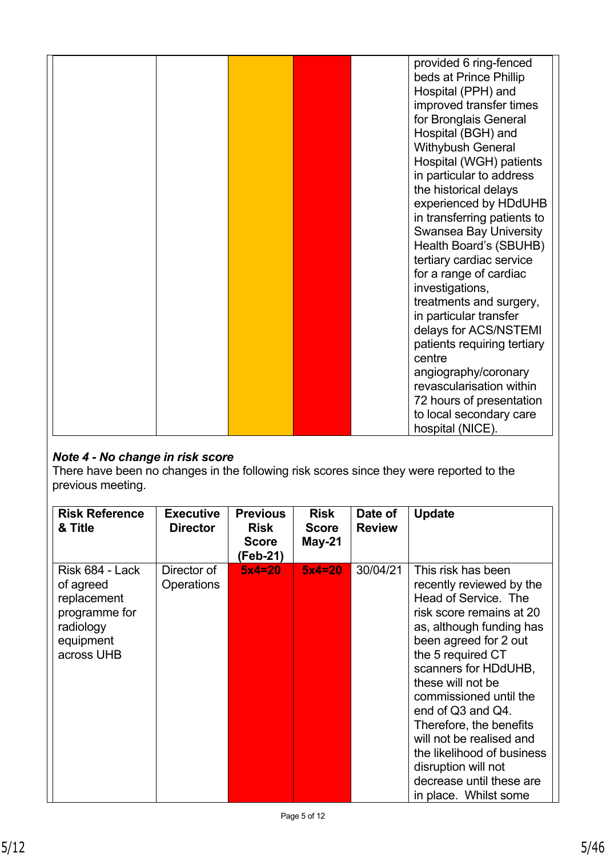|  |  |  | provided 6 ring-fenced        |
|--|--|--|-------------------------------|
|  |  |  | beds at Prince Phillip        |
|  |  |  | Hospital (PPH) and            |
|  |  |  | improved transfer times       |
|  |  |  | for Bronglais General         |
|  |  |  | Hospital (BGH) and            |
|  |  |  | Withybush General             |
|  |  |  | Hospital (WGH) patients       |
|  |  |  | in particular to address      |
|  |  |  | the historical delays         |
|  |  |  | experienced by HDdUHB         |
|  |  |  | in transferring patients to   |
|  |  |  | <b>Swansea Bay University</b> |
|  |  |  | Health Board's (SBUHB)        |
|  |  |  | tertiary cardiac service      |
|  |  |  | for a range of cardiac        |
|  |  |  | investigations,               |
|  |  |  | treatments and surgery,       |
|  |  |  | in particular transfer        |
|  |  |  | delays for ACS/NSTEMI         |
|  |  |  | patients requiring tertiary   |
|  |  |  | centre                        |
|  |  |  | angiography/coronary          |
|  |  |  | revascularisation within      |
|  |  |  | 72 hours of presentation      |
|  |  |  | to local secondary care       |
|  |  |  | hospital (NICE).              |

# *Note 4 - No change in risk score*

There have been no changes in the following risk scores since they were reported to the previous meeting.

| <b>Risk Reference</b><br>& Title                                                                     | <b>Executive</b><br><b>Director</b> | <b>Previous</b><br><b>Risk</b><br><b>Score</b><br>(Feb-21) | <b>Risk</b><br><b>Score</b><br>May-21 | Date of<br><b>Review</b> | <b>Update</b>                                                                                                                                                                                                                                                                                                                                                                                                                             |
|------------------------------------------------------------------------------------------------------|-------------------------------------|------------------------------------------------------------|---------------------------------------|--------------------------|-------------------------------------------------------------------------------------------------------------------------------------------------------------------------------------------------------------------------------------------------------------------------------------------------------------------------------------------------------------------------------------------------------------------------------------------|
| Risk 684 - Lack<br>of agreed<br>replacement<br>programme for<br>radiology<br>equipment<br>across UHB | Director of<br><b>Operations</b>    | $5x4=20$                                                   | $5x4=20$                              | 30/04/21                 | This risk has been<br>recently reviewed by the<br>Head of Service. The<br>risk score remains at 20<br>as, although funding has<br>been agreed for 2 out<br>the 5 required CT<br>scanners for HDdUHB,<br>these will not be<br>commissioned until the<br>end of Q3 and Q4.<br>Therefore, the benefits<br>will not be realised and<br>the likelihood of business<br>disruption will not<br>decrease until these are<br>in place. Whilst some |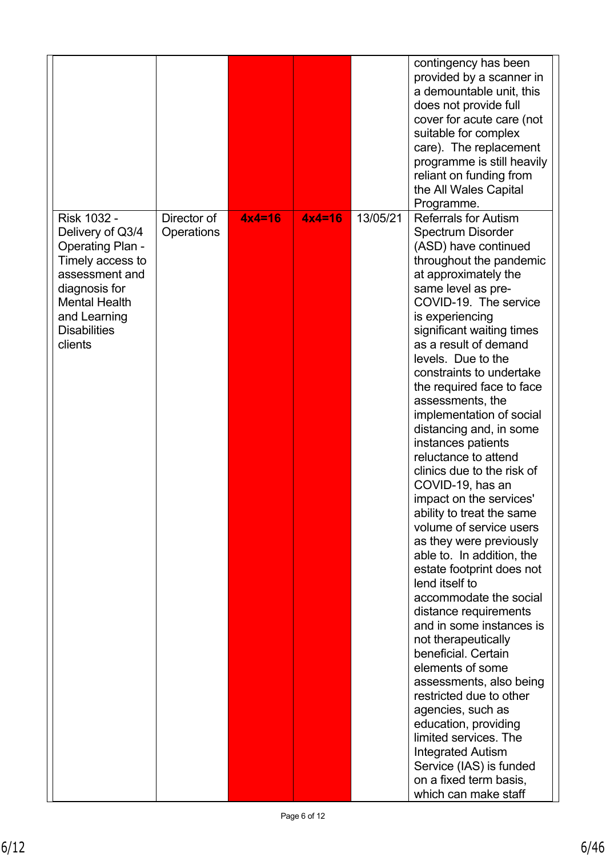|                                                                                                                                                                                             |                           |          |          |          | contingency has been<br>provided by a scanner in<br>a demountable unit, this<br>does not provide full<br>cover for acute care (not<br>suitable for complex<br>care). The replacement<br>programme is still heavily<br>reliant on funding from<br>the All Wales Capital<br>Programme.                                                                                                                                                                                                                                                                                                                                                                                                                                                                                                                                                                                                                                                                                                                                                                                                                 |
|---------------------------------------------------------------------------------------------------------------------------------------------------------------------------------------------|---------------------------|----------|----------|----------|------------------------------------------------------------------------------------------------------------------------------------------------------------------------------------------------------------------------------------------------------------------------------------------------------------------------------------------------------------------------------------------------------------------------------------------------------------------------------------------------------------------------------------------------------------------------------------------------------------------------------------------------------------------------------------------------------------------------------------------------------------------------------------------------------------------------------------------------------------------------------------------------------------------------------------------------------------------------------------------------------------------------------------------------------------------------------------------------------|
| Risk 1032 -<br>Delivery of Q3/4<br><b>Operating Plan -</b><br>Timely access to<br>assessment and<br>diagnosis for<br><b>Mental Health</b><br>and Learning<br><b>Disabilities</b><br>clients | Director of<br>Operations | $4x4=16$ | $4x4=16$ | 13/05/21 | <b>Referrals for Autism</b><br><b>Spectrum Disorder</b><br>(ASD) have continued<br>throughout the pandemic<br>at approximately the<br>same level as pre-<br>COVID-19. The service<br>is experiencing<br>significant waiting times<br>as a result of demand<br>levels. Due to the<br>constraints to undertake<br>the required face to face<br>assessments, the<br>implementation of social<br>distancing and, in some<br>instances patients<br>reluctance to attend<br>clinics due to the risk of<br>COVID-19, has an<br>impact on the services'<br>ability to treat the same<br>volume of service users<br>as they were previously<br>able to. In addition, the<br>estate footprint does not<br>lend itself to<br>accommodate the social<br>distance requirements<br>and in some instances is<br>not therapeutically<br>beneficial. Certain<br>elements of some<br>assessments, also being<br>restricted due to other<br>agencies, such as<br>education, providing<br>limited services. The<br><b>Integrated Autism</b><br>Service (IAS) is funded<br>on a fixed term basis,<br>which can make staff |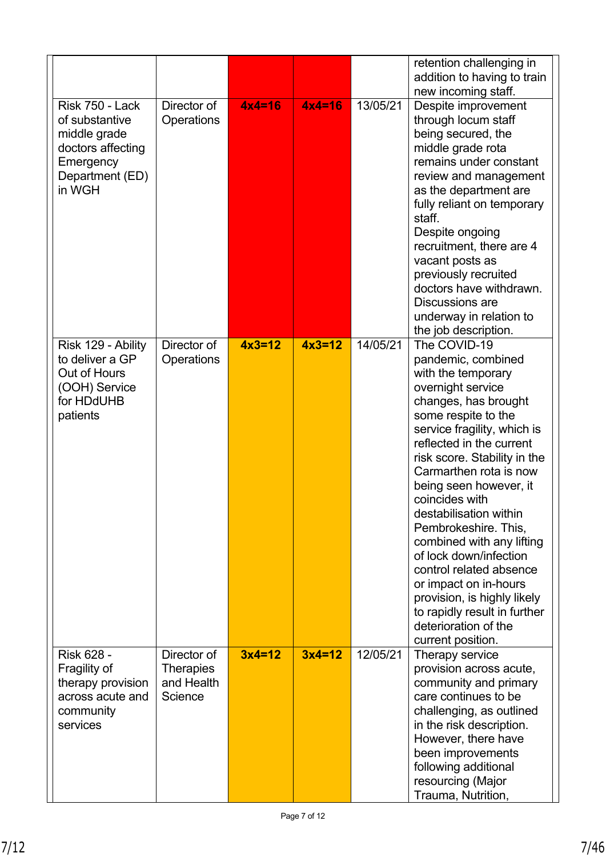|                                                                                                                  |                                                          |          |          |          | retention challenging in<br>addition to having to train<br>new incoming staff.                                                                                                                                                                                                                                                                                                                                                                                                                                                                                         |
|------------------------------------------------------------------------------------------------------------------|----------------------------------------------------------|----------|----------|----------|------------------------------------------------------------------------------------------------------------------------------------------------------------------------------------------------------------------------------------------------------------------------------------------------------------------------------------------------------------------------------------------------------------------------------------------------------------------------------------------------------------------------------------------------------------------------|
| Risk 750 - Lack<br>of substantive<br>middle grade<br>doctors affecting<br>Emergency<br>Department (ED)<br>in WGH | Director of<br><b>Operations</b>                         | $4x4=16$ | $4x4=16$ | 13/05/21 | Despite improvement<br>through locum staff<br>being secured, the<br>middle grade rota<br>remains under constant<br>review and management<br>as the department are<br>fully reliant on temporary<br>staff.<br>Despite ongoing<br>recruitment, there are 4<br>vacant posts as<br>previously recruited<br>doctors have withdrawn.<br><b>Discussions are</b><br>underway in relation to<br>the job description.                                                                                                                                                            |
| Risk 129 - Ability<br>to deliver a GP<br>Out of Hours<br>(OOH) Service<br>for HDdUHB<br>patients                 | Director of<br>Operations                                | $4x3=12$ | $4x3=12$ | 14/05/21 | The COVID-19<br>pandemic, combined<br>with the temporary<br>overnight service<br>changes, has brought<br>some respite to the<br>service fragility, which is<br>reflected in the current<br>risk score. Stability in the<br>Carmarthen rota is now<br>being seen however, it<br>coincides with<br>destabilisation within<br>Pembrokeshire. This,<br>combined with any lifting<br>of lock down/infection<br>control related absence<br>or impact on in-hours<br>provision, is highly likely<br>to rapidly result in further<br>deterioration of the<br>current position. |
| <b>Risk 628 -</b><br>Fragility of<br>therapy provision<br>across acute and<br>community<br>services              | Director of<br><b>Therapies</b><br>and Health<br>Science | $3x4=12$ | $3x4=12$ | 12/05/21 | Therapy service<br>provision across acute,<br>community and primary<br>care continues to be<br>challenging, as outlined<br>in the risk description.<br>However, there have<br>been improvements<br>following additional<br>resourcing (Major<br>Trauma, Nutrition,                                                                                                                                                                                                                                                                                                     |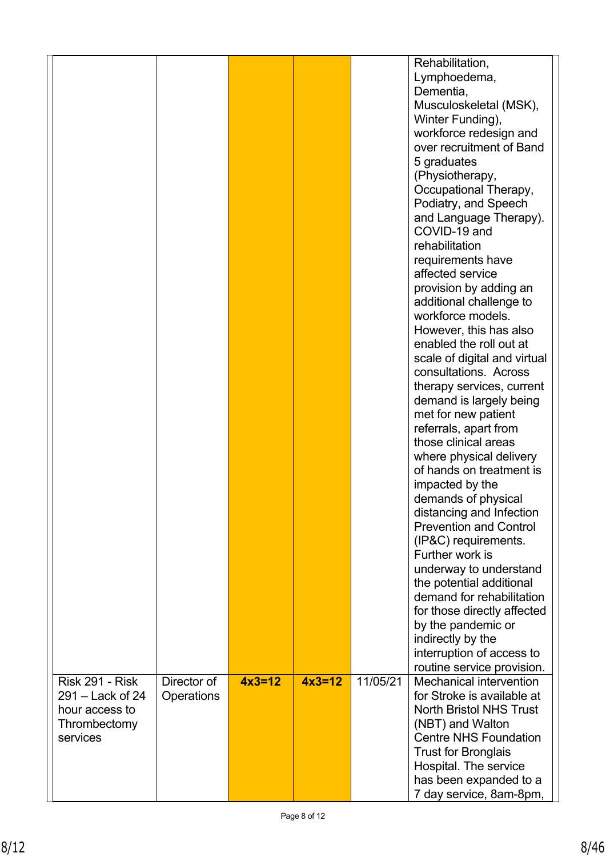|                                                                                            |                           |          |          |          | Rehabilitation,<br>Lymphoedema,<br>Dementia,<br>Musculoskeletal (MSK),<br>Winter Funding),<br>workforce redesign and<br>over recruitment of Band<br>5 graduates<br>(Physiotherapy,<br>Occupational Therapy,<br>Podiatry, and Speech<br>and Language Therapy).<br>COVID-19 and<br>rehabilitation<br>requirements have<br>affected service<br>provision by adding an<br>additional challenge to<br>workforce models.<br>However, this has also<br>enabled the roll out at<br>scale of digital and virtual<br>consultations. Across<br>therapy services, current<br>demand is largely being<br>met for new patient<br>referrals, apart from<br>those clinical areas<br>where physical delivery<br>of hands on treatment is<br>impacted by the<br>demands of physical<br>distancing and Infection<br><b>Prevention and Control</b><br>(IP&C) requirements.<br>Further work is<br>underway to understand<br>the potential additional<br>demand for rehabilitation<br>for those directly affected<br>by the pandemic or<br>indirectly by the |
|--------------------------------------------------------------------------------------------|---------------------------|----------|----------|----------|----------------------------------------------------------------------------------------------------------------------------------------------------------------------------------------------------------------------------------------------------------------------------------------------------------------------------------------------------------------------------------------------------------------------------------------------------------------------------------------------------------------------------------------------------------------------------------------------------------------------------------------------------------------------------------------------------------------------------------------------------------------------------------------------------------------------------------------------------------------------------------------------------------------------------------------------------------------------------------------------------------------------------------------|
|                                                                                            |                           |          |          |          | interruption of access to<br>routine service provision.                                                                                                                                                                                                                                                                                                                                                                                                                                                                                                                                                                                                                                                                                                                                                                                                                                                                                                                                                                                |
| <b>Risk 291 - Risk</b><br>$291 -$ Lack of 24<br>hour access to<br>Thrombectomy<br>services | Director of<br>Operations | $4x3=12$ | $4x3=12$ | 11/05/21 | Mechanical intervention<br>for Stroke is available at<br><b>North Bristol NHS Trust</b><br>(NBT) and Walton<br><b>Centre NHS Foundation</b><br><b>Trust for Bronglais</b><br>Hospital. The service<br>has been expanded to a<br>7 day service, 8am-8pm,                                                                                                                                                                                                                                                                                                                                                                                                                                                                                                                                                                                                                                                                                                                                                                                |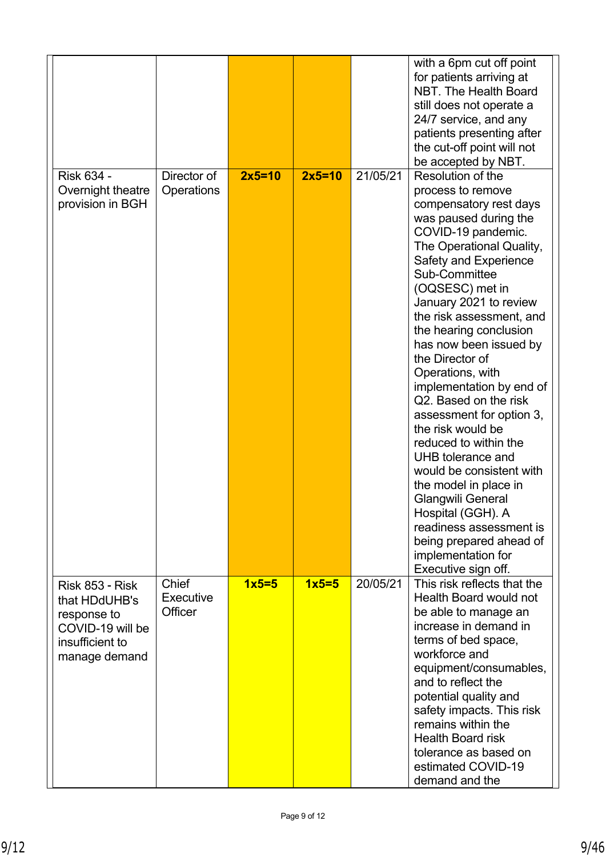|                                                                                                                |                                      |          |          |          | with a 6pm cut off point<br>for patients arriving at<br>NBT. The Health Board<br>still does not operate a<br>24/7 service, and any<br>patients presenting after<br>the cut-off point will not<br>be accepted by NBT.                                                                                                                                                                                                                                                                                                                                                                                                                                                                                            |
|----------------------------------------------------------------------------------------------------------------|--------------------------------------|----------|----------|----------|-----------------------------------------------------------------------------------------------------------------------------------------------------------------------------------------------------------------------------------------------------------------------------------------------------------------------------------------------------------------------------------------------------------------------------------------------------------------------------------------------------------------------------------------------------------------------------------------------------------------------------------------------------------------------------------------------------------------|
| Risk 634 -<br>Overnight theatre<br>provision in BGH                                                            | Director of<br>Operations            | $2x5=10$ | $2x5=10$ | 21/05/21 | Resolution of the<br>process to remove<br>compensatory rest days<br>was paused during the<br>COVID-19 pandemic.<br>The Operational Quality,<br>Safety and Experience<br>Sub-Committee<br>(OQSESC) met in<br>January 2021 to review<br>the risk assessment, and<br>the hearing conclusion<br>has now been issued by<br>the Director of<br>Operations, with<br>implementation by end of<br>Q2. Based on the risk<br>assessment for option 3,<br>the risk would be<br>reduced to within the<br>UHB tolerance and<br>would be consistent with<br>the model in place in<br>Glangwili General<br>Hospital (GGH). A<br>readiness assessment is<br>being prepared ahead of<br>implementation for<br>Executive sign off. |
| <b>Risk 853 - Risk</b><br>that HDdUHB's<br>response to<br>COVID-19 will be<br>insufficient to<br>manage demand | <b>Chief</b><br>Executive<br>Officer | $1x5=5$  | $1x5=5$  | 20/05/21 | This risk reflects that the<br>Health Board would not<br>be able to manage an<br>increase in demand in<br>terms of bed space,<br>workforce and<br>equipment/consumables,<br>and to reflect the<br>potential quality and<br>safety impacts. This risk<br>remains within the<br><b>Health Board risk</b><br>tolerance as based on<br>estimated COVID-19<br>demand and the                                                                                                                                                                                                                                                                                                                                         |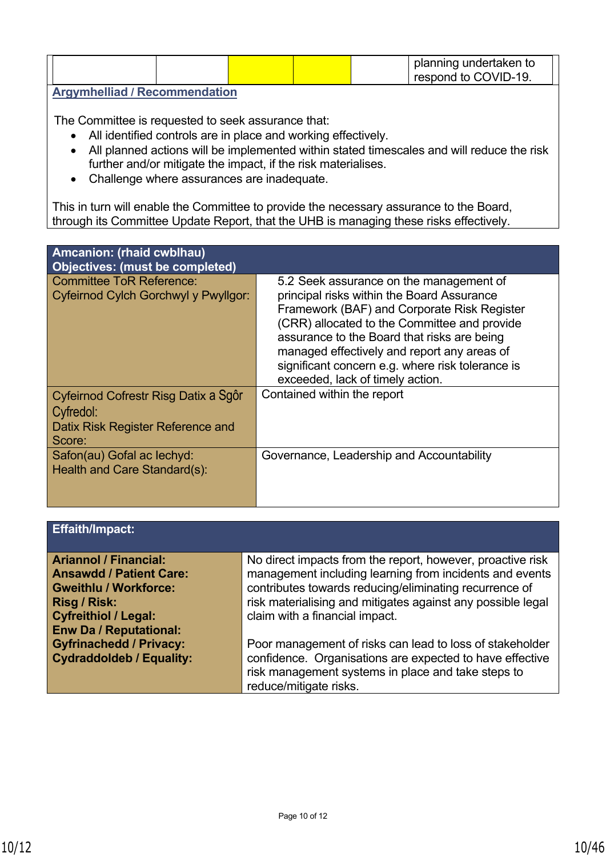|  |  |  |  |  | planning undertaken to<br>respond to COVID-19. |  |
|--|--|--|--|--|------------------------------------------------|--|
|  |  |  |  |  |                                                |  |

#### **Argymhelliad / Recommendation**

The Committee is requested to seek assurance that:

- All identified controls are in place and working effectively.
- All planned actions will be implemented within stated timescales and will reduce the risk further and/or mitigate the impact, if the risk materialises.
- Challenge where assurances are inadequate.

This in turn will enable the Committee to provide the necessary assurance to the Board, through its Committee Update Report, that the UHB is managing these risks effectively.

| Amcanion: (rhaid cwblhau)<br><b>Objectives: (must be completed)</b>                              |                                                                                                                                                                                                                                                                                                                                                                            |
|--------------------------------------------------------------------------------------------------|----------------------------------------------------------------------------------------------------------------------------------------------------------------------------------------------------------------------------------------------------------------------------------------------------------------------------------------------------------------------------|
| <b>Committee ToR Reference:</b><br>Cyfeirnod Cylch Gorchwyl y Pwyllgor:                          | 5.2 Seek assurance on the management of<br>principal risks within the Board Assurance<br>Framework (BAF) and Corporate Risk Register<br>(CRR) allocated to the Committee and provide<br>assurance to the Board that risks are being<br>managed effectively and report any areas of<br>significant concern e.g. where risk tolerance is<br>exceeded, lack of timely action. |
| Cyfeirnod Cofrestr Risg Datix a Sgôr<br>Cyfredol:<br>Datix Risk Register Reference and<br>Score: | Contained within the report                                                                                                                                                                                                                                                                                                                                                |
| Safon(au) Gofal ac lechyd:<br>Health and Care Standard(s):                                       | Governance, Leadership and Accountability                                                                                                                                                                                                                                                                                                                                  |

# **Effaith/Impact:**

| <b>Ariannol / Financial:</b>    | No direct impacts from the report, however, proactive risk  |
|---------------------------------|-------------------------------------------------------------|
| <b>Ansawdd / Patient Care:</b>  | management including learning from incidents and events     |
| <b>Gweithlu / Workforce:</b>    | contributes towards reducing/eliminating recurrence of      |
| Risg / Risk:                    | risk materialising and mitigates against any possible legal |
| <b>Cyfreithiol / Legal:</b>     | claim with a financial impact.                              |
| <b>Enw Da / Reputational:</b>   |                                                             |
| <b>Gyfrinachedd / Privacy:</b>  | Poor management of risks can lead to loss of stakeholder    |
| <b>Cydraddoldeb / Equality:</b> | confidence. Organisations are expected to have effective    |
|                                 | risk management systems in place and take steps to          |
|                                 | reduce/mitigate risks.                                      |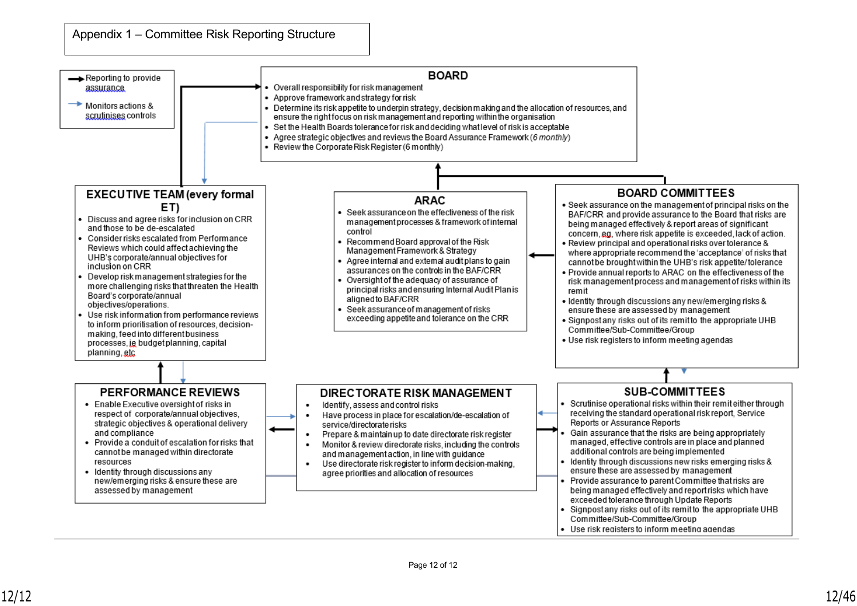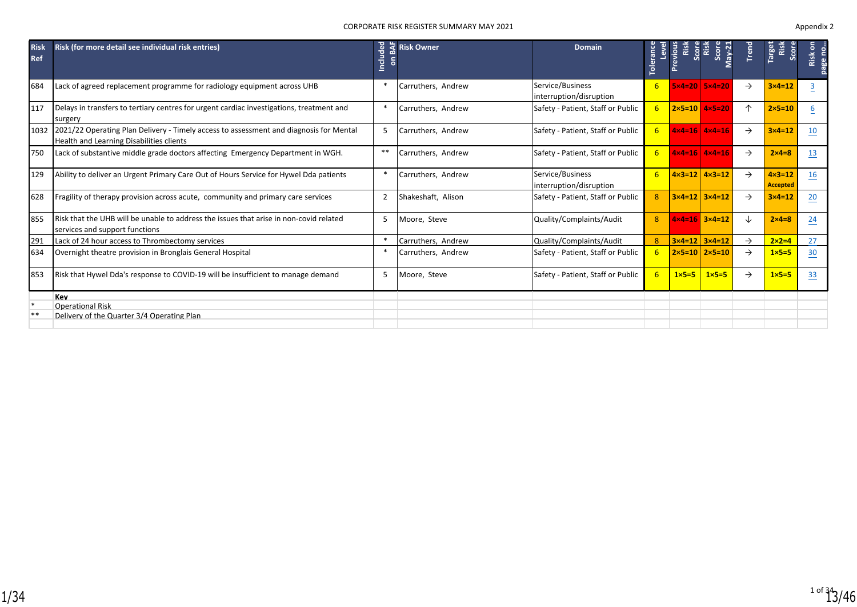|                           |                                                                                                                                    |                   | <b>CORPORATE RISK REGISTER SUMMARY MAY 2021</b> |                                             |                |                  |                                         |               |                                      | Appendix 2 |
|---------------------------|------------------------------------------------------------------------------------------------------------------------------------|-------------------|-------------------------------------------------|---------------------------------------------|----------------|------------------|-----------------------------------------|---------------|--------------------------------------|------------|
| <b>Risk</b><br><b>Ref</b> | Risk (for more detail see individual risk entries)                                                                                 | <b>Inclu</b><br>ã | <b><br/> Risk Owner</b>                         | <b>Domain</b>                               | Toleranc       | Previou:<br>Risl | Score<br>Risl<br>$May-2$<br><b>Scot</b> | Tren          | <b>Targe</b><br>Ris<br>Scon          | Risk       |
| 684                       | Lack of agreed replacement programme for radiology equipment across UHB                                                            | *                 | Carruthers, Andrew                              | Service/Business<br>interruption/disruption | 6              |                  | $5x4=20$ $5x4=20$                       | $\rightarrow$ | $3 \times 4 = 12$                    | 3          |
| 117                       | Delays in transfers to tertiary centres for urgent cardiac investigations, treatment and<br>surgery                                |                   | Carruthers, Andrew                              | Safety - Patient, Staff or Public           |                |                  | $2 \times 5 = 10$ $4 \times 5 = 20$     | 个             | $2 \times 5 = 10$                    | 6          |
| 1032                      | 2021/22 Operating Plan Delivery - Timely access to assessment and diagnosis for Mental<br>Health and Learning Disabilities clients | -5                | Carruthers, Andrew                              | Safety - Patient, Staff or Public           |                |                  | $4 \times 4 = 16$ $4 \times 4 = 16$     | $\rightarrow$ | $3 \times 4 = 12$                    | 10         |
| 750                       | Lack of substantive middle grade doctors affecting Emergency Department in WGH.                                                    | $* *$             | Carruthers, Andrew                              | Safety - Patient, Staff or Public           | 6              |                  | $4x4=16$ $4x4=16$                       | $\rightarrow$ | $2 \times 4 = 8$                     | 13         |
| 129                       | Ability to deliver an Urgent Primary Care Out of Hours Service for Hywel Dda patients                                              | *                 | Carruthers, Andrew                              | Service/Business<br>interruption/disruption |                |                  | $4 \times 3 = 12$ $4 \times 3 = 12$     | $\rightarrow$ | $4 \times 3 = 12$<br><b>Accepted</b> | 16         |
| 628                       | Fragility of therapy provision across acute, community and primary care services                                                   | $\overline{2}$    | Shakeshaft, Alison                              | Safety - Patient, Staff or Public           | $\mathbf{R}$   |                  | $3 \times 4 = 12$ $3 \times 4 = 12$     | $\rightarrow$ | $3 \times 4 = 12$                    | 20         |
| 855                       | Risk that the UHB will be unable to address the issues that arise in non-covid related<br>services and support functions           | 5                 | Moore, Steve                                    | Quality/Complaints/Audit                    | $\overline{R}$ |                  | $4 \times 4 = 16$ $3 \times 4 = 12$     | ↓             | $2 \times 4 = 8$                     | 24         |
| 291                       | Lack of 24 hour access to Thrombectomy services                                                                                    |                   | Carruthers, Andrew                              | Quality/Complaints/Audit                    | $\mathbf{R}$   |                  | $3 \times 4 = 12$ $3 \times 4 = 12$     | $\rightarrow$ | $2 \times 2 = 4$                     | 27         |
| 634                       | Overnight theatre provision in Bronglais General Hospital                                                                          | *                 | Carruthers, Andrew                              | Safety - Patient, Staff or Public           | 6              |                  | $2 \times 5 = 10$ 2×5=10                | $\rightarrow$ | $1 \times 5 = 5$                     | 30         |
| 853                       | Risk that Hywel Dda's response to COVID-19 will be insufficient to manage demand                                                   | 5                 | Moore, Steve                                    | Safety - Patient, Staff or Public           | 6              | $1 \times 5 = 5$ | $1 \times 5 = 5$                        | $\rightarrow$ | $1 \times 5 = 5$                     | 33         |
|                           | Kev                                                                                                                                |                   |                                                 |                                             |                |                  |                                         |               |                                      |            |
| $\ast$                    | <b>Operational Risk</b>                                                                                                            |                   |                                                 |                                             |                |                  |                                         |               |                                      |            |
| **                        | Delivery of the Quarter 3/4 Operating Plan                                                                                         |                   |                                                 |                                             |                |                  |                                         |               |                                      |            |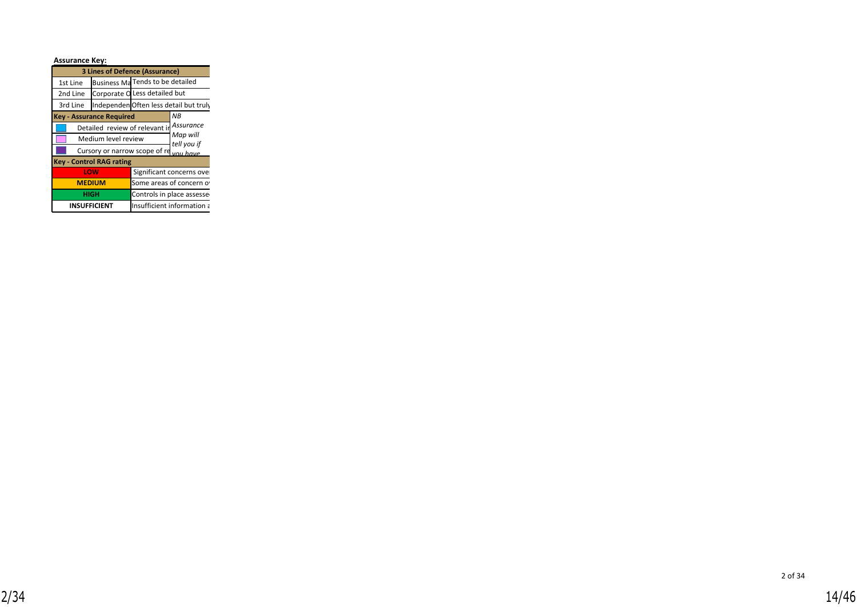| <b>Assurance Key:</b> |                                          |                                       |
|-----------------------|------------------------------------------|---------------------------------------|
|                       | <b>3 Lines of Defence (Assurance)</b>    |                                       |
| 1st Line              | Business Ma Tends to be detailed         |                                       |
| 2nd Line              | Corporate O Less detailed but            |                                       |
| 3rd Line              |                                          | IndependenOften less detail but truly |
|                       | <b>Key - Assurance Required</b>          | NB.                                   |
|                       | Detailed review of relevant in Assurance |                                       |
|                       | Medium level review                      | Map will<br>tell you if               |
|                       | Cursory or narrow scope of re you have   |                                       |
|                       | <b>Key - Control RAG rating</b>          |                                       |
|                       | LOW                                      | Significant concerns over             |
|                       | <b>MEDIUM</b>                            | Some areas of concern o               |
|                       | <b>HIGH</b>                              | Controls in place assesse             |
|                       | <b>INSUFFICIENT</b>                      | Insufficient information a            |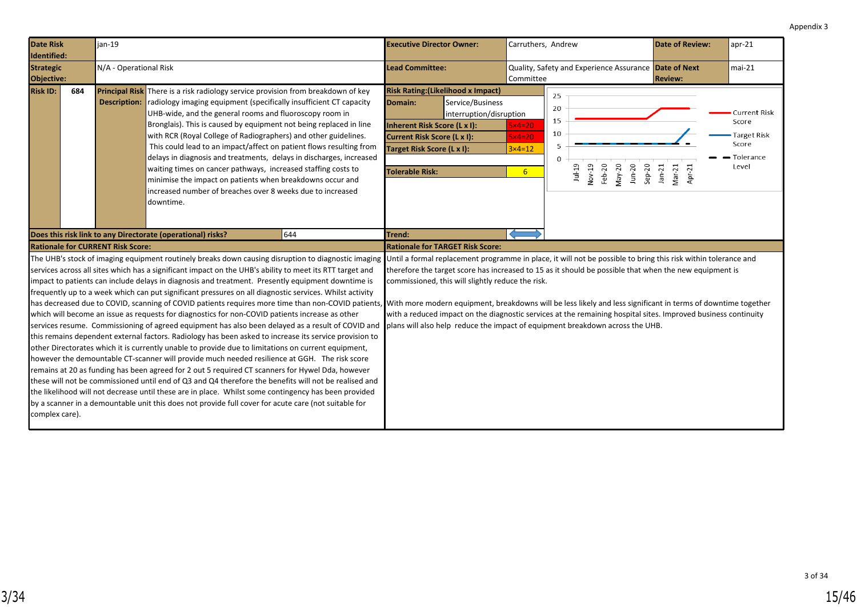<span id="page-14-0"></span>

| <b>Date Risk</b><br>Identified: |     | jan-19                                   |                                                                                                                                                                                                                                                                                                                                                                                                                                                                                                                                                                                                                                                                                                                                                                                                                                                                                                                                                                                                                                                                                                                                                                                                                                                                                                                                                                                                                                                                                                                                                                                                            |     | <b>Executive Director Owner:</b>                                                                                                                                                          |                                                                                                                                                                                                                                                                                                                                                                                                 | Carruthers, Andrew                                                 |                                       |                             |                        |                      | <b>Date of Review:</b> | $apr-21$                                                            |
|---------------------------------|-----|------------------------------------------|------------------------------------------------------------------------------------------------------------------------------------------------------------------------------------------------------------------------------------------------------------------------------------------------------------------------------------------------------------------------------------------------------------------------------------------------------------------------------------------------------------------------------------------------------------------------------------------------------------------------------------------------------------------------------------------------------------------------------------------------------------------------------------------------------------------------------------------------------------------------------------------------------------------------------------------------------------------------------------------------------------------------------------------------------------------------------------------------------------------------------------------------------------------------------------------------------------------------------------------------------------------------------------------------------------------------------------------------------------------------------------------------------------------------------------------------------------------------------------------------------------------------------------------------------------------------------------------------------------|-----|-------------------------------------------------------------------------------------------------------------------------------------------------------------------------------------------|-------------------------------------------------------------------------------------------------------------------------------------------------------------------------------------------------------------------------------------------------------------------------------------------------------------------------------------------------------------------------------------------------|--------------------------------------------------------------------|---------------------------------------|-----------------------------|------------------------|----------------------|------------------------|---------------------------------------------------------------------|
| <b>Strategic</b><br>Objective:  |     | N/A - Operational Risk                   |                                                                                                                                                                                                                                                                                                                                                                                                                                                                                                                                                                                                                                                                                                                                                                                                                                                                                                                                                                                                                                                                                                                                                                                                                                                                                                                                                                                                                                                                                                                                                                                                            |     | <b>Lead Committee:</b>                                                                                                                                                                    |                                                                                                                                                                                                                                                                                                                                                                                                 | Quality, Safety and Experience Assurance Date of Next<br>Committee |                                       |                             |                        | <b>Review:</b>       |                        | $mai-21$                                                            |
| <b>Risk ID:</b>                 | 684 | <b>Description:</b>                      | <b>Principal Risk</b> There is a risk radiology service provision from breakdown of key<br>radiology imaging equipment (specifically insufficient CT capacity<br>UHB-wide, and the general rooms and fluoroscopy room in<br>Bronglais). This is caused by equipment not being replaced in line<br>with RCR (Royal College of Radiographers) and other guidelines.<br>This could lead to an impact/affect on patient flows resulting from<br>delays in diagnosis and treatments, delays in discharges, increased<br>waiting times on cancer pathways, increased staffing costs to<br>minimise the impact on patients when breakdowns occur and<br>increased number of breaches over 8 weeks due to increased<br>downtime.                                                                                                                                                                                                                                                                                                                                                                                                                                                                                                                                                                                                                                                                                                                                                                                                                                                                                   |     | <b>Risk Rating: (Likelihood x Impact)</b><br>Domain:<br><b>Inherent Risk Score (L x I):</b><br><b>Current Risk Score (L x I):</b><br>Target Risk Score (L x I):<br><b>Tolerable Risk:</b> | Service/Business<br>interruption/disruption                                                                                                                                                                                                                                                                                                                                                     | $5x4=20$<br>$5x4=20$<br>$3 \times 4 = 12$<br>6 <sup>1</sup>        | 25<br>20<br>15<br>10<br>5<br>$\Omega$ | Nov-19<br>Feb-20<br>$1u+19$ | May-20<br>$J$ un- $20$ | $Sep-20$<br>$Jan-21$ | $Mar-21$<br>Apr-21     | Current Risk<br>Score<br>Target Risk<br>Score<br>Tolerance<br>Level |
|                                 |     |                                          | Does this risk link to any Directorate (operational) risks?                                                                                                                                                                                                                                                                                                                                                                                                                                                                                                                                                                                                                                                                                                                                                                                                                                                                                                                                                                                                                                                                                                                                                                                                                                                                                                                                                                                                                                                                                                                                                | 644 | Trend:                                                                                                                                                                                    |                                                                                                                                                                                                                                                                                                                                                                                                 |                                                                    |                                       |                             |                        |                      |                        |                                                                     |
|                                 |     | <b>Rationale for CURRENT Risk Score:</b> |                                                                                                                                                                                                                                                                                                                                                                                                                                                                                                                                                                                                                                                                                                                                                                                                                                                                                                                                                                                                                                                                                                                                                                                                                                                                                                                                                                                                                                                                                                                                                                                                            |     | <b>Rationale for TARGET Risk Score:</b>                                                                                                                                                   |                                                                                                                                                                                                                                                                                                                                                                                                 |                                                                    |                                       |                             |                        |                      |                        |                                                                     |
| complex care).                  |     |                                          | The UHB's stock of imaging equipment routinely breaks down causing disruption to diagnostic imaging<br>services across all sites which has a significant impact on the UHB's ability to meet its RTT target and<br>impact to patients can include delays in diagnosis and treatment. Presently equipment downtime is<br>frequently up to a week which can put significant pressures on all diagnostic services. Whilst activity<br>has decreased due to COVID, scanning of COVID patients requires more time than non-COVID patients, With more modern equipment, breakdowns will be less likely and less significant in terms of downtime together<br>which will become an issue as requests for diagnostics for non-COVID patients increase as other<br>services resume. Commissioning of agreed equipment has also been delayed as a result of COVID and<br>this remains dependent external factors. Radiology has been asked to increase its service provision to<br>other Directorates which it is currently unable to provide due to limitations on current equipment,<br>however the demountable CT-scanner will provide much needed resilience at GGH. The risk score<br>remains at 20 as funding has been agreed for 2 out 5 required CT scanners for Hywel Dda, however<br>these will not be commissioned until end of Q3 and Q4 therefore the benefits will not be realised and<br>the likelihood will not decrease until these are in place. Whilst some contingency has been provided<br>by a scanner in a demountable unit this does not provide full cover for acute care (not suitable for |     | plans will also help reduce the impact of equipment breakdown across the UHB.                                                                                                             | Until a formal replacement programme in place, it will not be possible to bring this risk within tolerance and<br>therefore the target score has increased to 15 as it should be possible that when the new equipment is<br>commissioned, this will slightly reduce the risk.<br>with a reduced impact on the diagnostic services at the remaining hospital sites. Improved business continuity |                                                                    |                                       |                             |                        |                      |                        |                                                                     |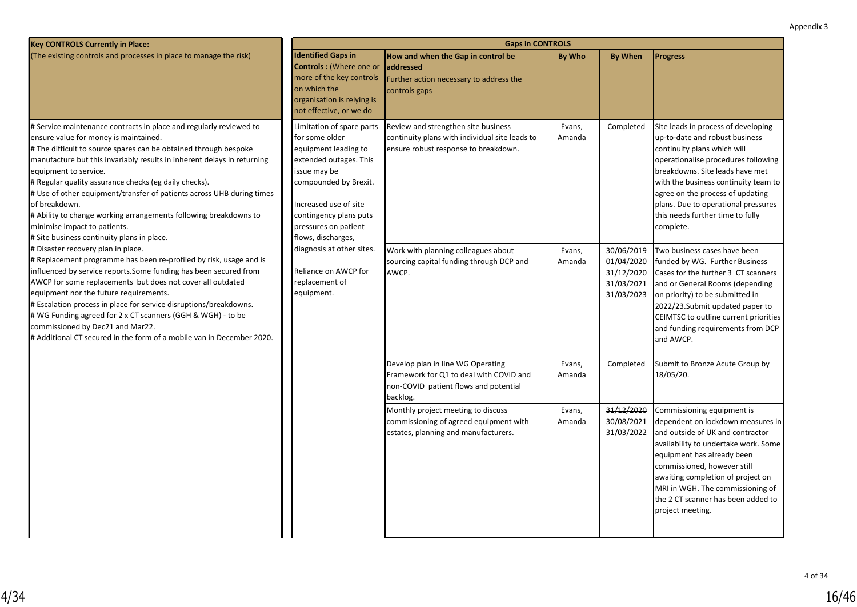| <b>Key CONTROLS Currently in Place:</b>                                                                                                                                                                                                                                                                                                                                                                                                                                                                                                                                                  |                                                                                                                                                                                                                                         | <b>Gaps in CONTROLS</b>                                                                                                           |                  |                                                                    |                                                                                                                                                                                                                                                                                                                                                    |
|------------------------------------------------------------------------------------------------------------------------------------------------------------------------------------------------------------------------------------------------------------------------------------------------------------------------------------------------------------------------------------------------------------------------------------------------------------------------------------------------------------------------------------------------------------------------------------------|-----------------------------------------------------------------------------------------------------------------------------------------------------------------------------------------------------------------------------------------|-----------------------------------------------------------------------------------------------------------------------------------|------------------|--------------------------------------------------------------------|----------------------------------------------------------------------------------------------------------------------------------------------------------------------------------------------------------------------------------------------------------------------------------------------------------------------------------------------------|
| (The existing controls and processes in place to manage the risk)                                                                                                                                                                                                                                                                                                                                                                                                                                                                                                                        | <b>Identified Gaps in</b><br><b>Controls: (Where one or</b><br>more of the key controls<br>on which the<br>organisation is relying is<br>not effective, or we do                                                                        | How and when the Gap in control be<br><b>addressed</b><br>Further action necessary to address the<br>controls gaps                | By Who           | <b>By When</b>                                                     | <b>Progress</b>                                                                                                                                                                                                                                                                                                                                    |
| # Service maintenance contracts in place and regularly reviewed to<br>ensure value for money is maintained.<br># The difficult to source spares can be obtained through bespoke<br>manufacture but this invariably results in inherent delays in returning<br>equipment to service.<br># Regular quality assurance checks (eg daily checks).<br># Use of other equipment/transfer of patients across UHB during times<br>of breakdown.<br># Ability to change working arrangements following breakdowns to<br>minimise impact to patients.<br># Site business continuity plans in place. | Limitation of spare parts<br>for some older<br>equipment leading to<br>extended outages. This<br>issue may be<br>compounded by Brexit.<br>Increased use of site<br>contingency plans puts<br>pressures on patient<br>flows, discharges, | Review and strengthen site business<br>continuity plans with individual site leads to<br>ensure robust response to breakdown.     | Evans,<br>Amanda | Completed                                                          | Site leads in process of developing<br>up-to-date and robust business<br>continuity plans which will<br>operationalise procedures following<br>breakdowns. Site leads have met<br>with the business continuity team to<br>agree on the process of updating<br>plans. Due to operational pressures<br>this needs further time to fully<br>complete. |
| # Disaster recovery plan in place.<br># Replacement programme has been re-profiled by risk, usage and is<br>influenced by service reports. Some funding has been secured from<br>AWCP for some replacements but does not cover all outdated<br>equipment nor the future requirements.<br># Escalation process in place for service disruptions/breakdowns.<br># WG Funding agreed for 2 x CT scanners (GGH & WGH) - to be<br>commissioned by Dec21 and Mar22.<br># Additional CT secured in the form of a mobile van in December 2020.                                                   | diagnosis at other sites.<br>Reliance on AWCP for<br>replacement of<br>equipment.                                                                                                                                                       | Work with planning colleagues about<br>sourcing capital funding through DCP and<br>AWCP.                                          | Evans,<br>Amanda | 30/06/2019<br>01/04/2020<br>31/12/2020<br>31/03/2021<br>31/03/2023 | Two business cases have been<br>funded by WG. Further Business<br>Cases for the further 3 CT scanners<br>and or General Rooms (depending<br>on priority) to be submitted in<br>2022/23. Submit updated paper to<br>CEIMTSC to outline current priorities<br>and funding requirements from DCP<br>and AWCP.                                         |
|                                                                                                                                                                                                                                                                                                                                                                                                                                                                                                                                                                                          |                                                                                                                                                                                                                                         | Develop plan in line WG Operating<br>Framework for Q1 to deal with COVID and<br>non-COVID patient flows and potential<br>backlog. | Evans,<br>Amanda | Completed                                                          | Submit to Bronze Acute Group by<br>18/05/20.                                                                                                                                                                                                                                                                                                       |
|                                                                                                                                                                                                                                                                                                                                                                                                                                                                                                                                                                                          |                                                                                                                                                                                                                                         | Monthly project meeting to discuss<br>commissioning of agreed equipment with<br>estates, planning and manufacturers.              | Evans,<br>Amanda | 31/12/2020<br>30/08/2021<br>31/03/2022                             | Commissioning equipment is<br>dependent on lockdown measures in<br>and outside of UK and contractor<br>availability to undertake work. Some<br>equipment has already been<br>commissioned, however still<br>awaiting completion of project on<br>MRI in WGH. The commissioning of<br>lthe 2 CT scanner has been added to<br>project meeting.       |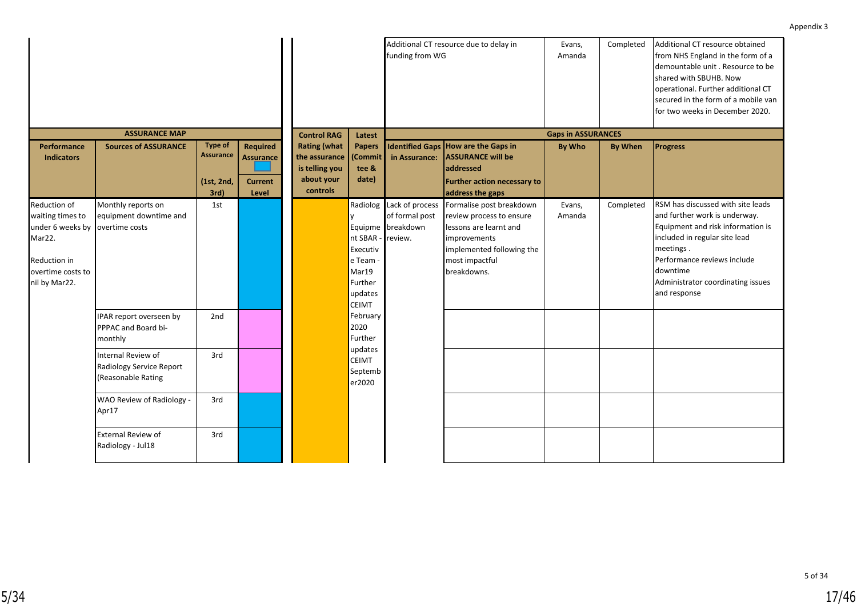|                                                                                                                             |                                                                      |                                                          |                                                                |                                                                                  |                                                                                                | funding from WG                                                   | Additional CT resource due to delay in                                                                                                                       | Evans,<br>Amanda          | Completed      | Additional CT resource obtained<br>from NHS England in the form of a<br>demountable unit . Resource to be<br>shared with SBUHB. Now<br>operational. Further additional CT<br>secured in the form of a mobile van<br>for two weeks in December 2020.   |
|-----------------------------------------------------------------------------------------------------------------------------|----------------------------------------------------------------------|----------------------------------------------------------|----------------------------------------------------------------|----------------------------------------------------------------------------------|------------------------------------------------------------------------------------------------|-------------------------------------------------------------------|--------------------------------------------------------------------------------------------------------------------------------------------------------------|---------------------------|----------------|-------------------------------------------------------------------------------------------------------------------------------------------------------------------------------------------------------------------------------------------------------|
|                                                                                                                             | <b>ASSURANCE MAP</b>                                                 |                                                          |                                                                | <b>Control RAG</b>                                                               | Latest                                                                                         |                                                                   |                                                                                                                                                              | <b>Gaps in ASSURANCES</b> |                |                                                                                                                                                                                                                                                       |
| <b>Performance</b><br><b>Indicators</b>                                                                                     | <b>Sources of ASSURANCE</b>                                          | <b>Type of</b><br><b>Assurance</b><br>(1st, 2nd,<br>3rd) | <b>Required</b><br><b>Assurance</b><br><b>Current</b><br>Level | <b>Rating (what</b><br>the assurance<br>is telling you<br>about your<br>controls | <b>Papers</b><br>(Commit<br>tee &<br>date)                                                     | in Assurance:                                                     | Identified Gaps How are the Gaps in<br><b>ASSURANCE will be</b><br>addressed<br><b>Further action necessary to</b><br>address the gaps                       | <b>By Who</b>             | <b>By When</b> | <b>Progress</b>                                                                                                                                                                                                                                       |
| <b>Reduction of</b><br>waiting times to<br>under 6 weeks by<br>Mar22.<br>Reduction in<br>overtime costs to<br>nil by Mar22. | Monthly reports on<br>equipment downtime and<br>overtime costs       | 1st                                                      |                                                                |                                                                                  | Radiolog<br>nt SBAR -<br>Executiv<br>$ $ e Team<br>Mar19<br>Further<br>updates<br><b>CEIMT</b> | Lack of process<br>of formal post<br>Equipme breakdown<br>review. | Formalise post breakdown<br>review process to ensure<br>lessons are learnt and<br>improvements<br>implemented following the<br>most impactful<br>breakdowns. | Evans,<br>Amanda          | Completed      | RSM has discussed with site leads<br>and further work is underway.<br>Equipment and risk information is<br>included in regular site lead<br>meetings.<br>Performance reviews include<br>downtime<br>Administrator coordinating issues<br>and response |
|                                                                                                                             | IPAR report overseen by<br>PPPAC and Board bi-<br>monthly            | 2nd                                                      |                                                                |                                                                                  | February<br>2020<br>Further                                                                    |                                                                   |                                                                                                                                                              |                           |                |                                                                                                                                                                                                                                                       |
|                                                                                                                             | Internal Review of<br>Radiology Service Report<br>(Reasonable Rating | 3rd                                                      |                                                                |                                                                                  | updates<br><b>CEIMT</b><br>Septemb<br>er2020                                                   |                                                                   |                                                                                                                                                              |                           |                |                                                                                                                                                                                                                                                       |
|                                                                                                                             | WAO Review of Radiology -<br>Apr17                                   | 3rd                                                      |                                                                |                                                                                  |                                                                                                |                                                                   |                                                                                                                                                              |                           |                |                                                                                                                                                                                                                                                       |
|                                                                                                                             | External Review of<br>Radiology - Jul18                              | 3rd                                                      |                                                                |                                                                                  |                                                                                                |                                                                   |                                                                                                                                                              |                           |                |                                                                                                                                                                                                                                                       |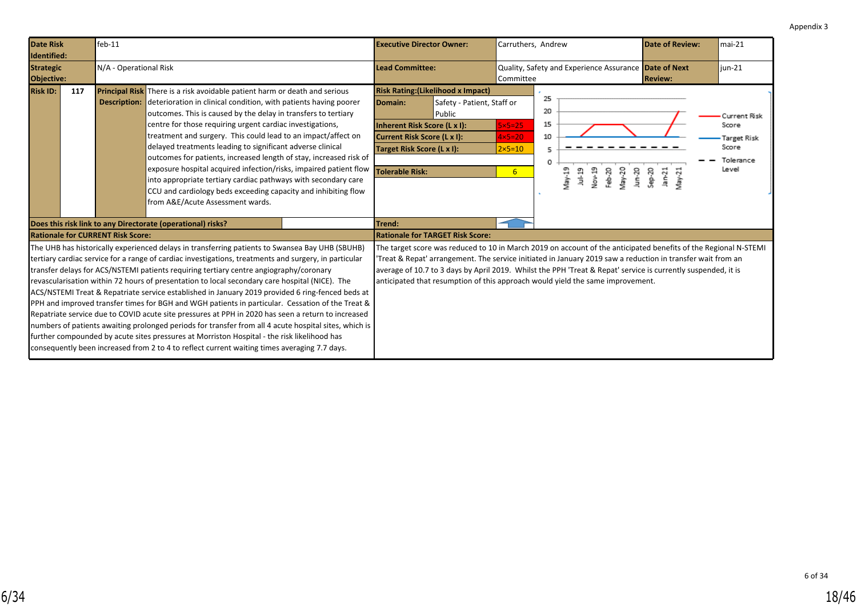<span id="page-17-0"></span>

| <b>Date Risk</b><br>Identified: |     | $feb-11$                                 |                                                                                                                                                                                                                                                                                                                                                                                                                                                                                                                                                                                                                                                                                                                                                                                                                                                                                                                                                                                                                                   | <b>Executive Director Owner:</b>                                                                                               |                                                                                   | Carruthers, Andrew                                                     |                                |                            |                  |                    | <b>Date of Review:</b>                                                                                                                                                                                                                                                                                                                          | $mai-21$                                                            |
|---------------------------------|-----|------------------------------------------|-----------------------------------------------------------------------------------------------------------------------------------------------------------------------------------------------------------------------------------------------------------------------------------------------------------------------------------------------------------------------------------------------------------------------------------------------------------------------------------------------------------------------------------------------------------------------------------------------------------------------------------------------------------------------------------------------------------------------------------------------------------------------------------------------------------------------------------------------------------------------------------------------------------------------------------------------------------------------------------------------------------------------------------|--------------------------------------------------------------------------------------------------------------------------------|-----------------------------------------------------------------------------------|------------------------------------------------------------------------|--------------------------------|----------------------------|------------------|--------------------|-------------------------------------------------------------------------------------------------------------------------------------------------------------------------------------------------------------------------------------------------------------------------------------------------------------------------------------------------|---------------------------------------------------------------------|
| <b>Strategic</b><br>Objective:  |     | N/A - Operational Risk                   |                                                                                                                                                                                                                                                                                                                                                                                                                                                                                                                                                                                                                                                                                                                                                                                                                                                                                                                                                                                                                                   | <b>Lead Committee:</b>                                                                                                         |                                                                                   | Committee                                                              |                                |                            |                  |                    | Quality, Safety and Experience Assurance Date of Next<br><b>Review:</b>                                                                                                                                                                                                                                                                         | $i$ un-21                                                           |
| <b>Risk ID:</b>                 | 117 |                                          | <b>Principal Risk</b> There is a risk avoidable patient harm or death and serious<br><b>Description:</b> deterioration in clinical condition, with patients having poorer<br>outcomes. This is caused by the delay in transfers to tertiary<br>centre for those requiring urgent cardiac investigations,<br>treatment and surgery. This could lead to an impact/affect on<br>delayed treatments leading to significant adverse clinical<br>outcomes for patients, increased length of stay, increased risk of<br>exposure hospital acquired infection/risks, impaired patient flow<br>into appropriate tertiary cardiac pathways with secondary care<br>CCU and cardiology beds exceeding capacity and inhibiting flow<br>from A&E/Acute Assessment wards.                                                                                                                                                                                                                                                                        | Domain:<br>Inherent Risk Score (L x I):<br>Current Risk Score (L x I):<br>Target Risk Score (L x I):<br><b>Tolerable Risk:</b> | <b>Risk Rating: (Likelihood x Impact)</b><br>Safety - Patient, Staff or<br>Public | $5\times 5=25$<br>$4\times5=20$<br>$2 \times 5 = 10$<br>6 <sup>1</sup> | 25<br>20<br>15<br>10<br>5<br>0 | $\sqrt{3N-19}$<br>$Jul-19$ | Nov-19<br>Feb-20 | $May-20$<br>Jun-20 | 20-des<br>$lan-21$<br>$V$ lay-21                                                                                                                                                                                                                                                                                                                | Current Risk<br>Score<br>Target Risk<br>Score<br>Tolerance<br>Level |
|                                 |     | <b>Rationale for CURRENT Risk Score:</b> | Does this risk link to any Directorate (operational) risks?                                                                                                                                                                                                                                                                                                                                                                                                                                                                                                                                                                                                                                                                                                                                                                                                                                                                                                                                                                       | Trend:                                                                                                                         | <b>Rationale for TARGET Risk Score:</b>                                           |                                                                        |                                |                            |                  |                    |                                                                                                                                                                                                                                                                                                                                                 |                                                                     |
|                                 |     |                                          | The UHB has historically experienced delays in transferring patients to Swansea Bay UHB (SBUHB)<br>tertiary cardiac service for a range of cardiac investigations, treatments and surgery, in particular<br>transfer delays for ACS/NSTEMI patients requiring tertiary centre angiography/coronary<br>revascularisation within 72 hours of presentation to local secondary care hospital (NICE). The<br>ACS/NSTEMI Treat & Repatriate service established in January 2019 provided 6 ring-fenced beds at<br><b>PPH</b> and improved transfer times for BGH and WGH patients in particular. Cessation of the Treat &<br>Repatriate service due to COVID acute site pressures at PPH in 2020 has seen a return to increased<br>numbers of patients awaiting prolonged periods for transfer from all 4 acute hospital sites, which is<br>further compounded by acute sites pressures at Morriston Hospital - the risk likelihood has<br>consequently been increased from 2 to 4 to reflect current waiting times averaging 7.7 days. |                                                                                                                                | anticipated that resumption of this approach would yield the same improvement.    |                                                                        |                                |                            |                  |                    | The target score was reduced to 10 in March 2019 on account of the anticipated benefits of the Regional N-STEMI<br>'Treat & Repat' arrangement. The service initiated in January 2019 saw a reduction in transfer wait from an<br>average of 10.7 to 3 days by April 2019. Whilst the PPH 'Treat & Repat' service is currently suspended, it is |                                                                     |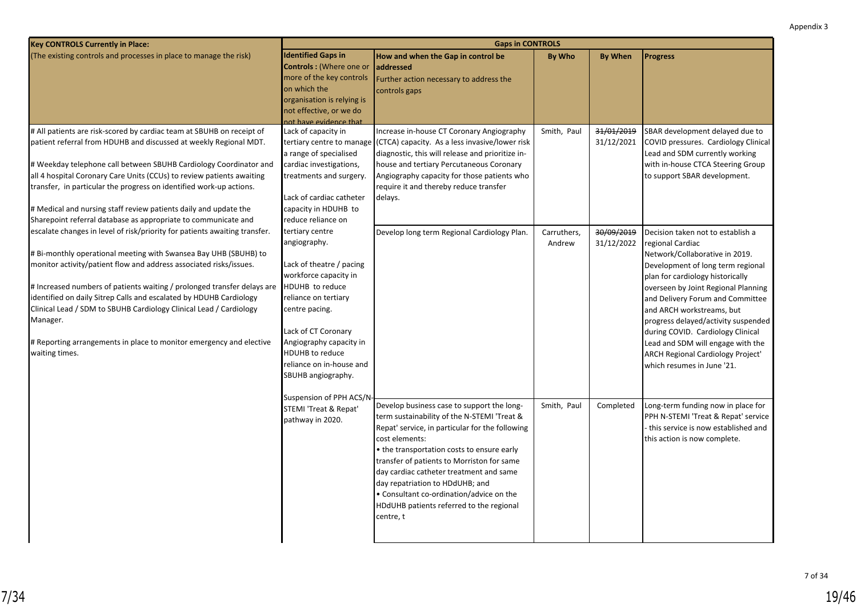| (The existing controls and processes in place to manage the risk)          | <b>Identified Gaps in</b>  | How and when the Gap in control be                                       | <b>By Who</b> | <b>By When</b> | <b>Progress</b>                       |
|----------------------------------------------------------------------------|----------------------------|--------------------------------------------------------------------------|---------------|----------------|---------------------------------------|
|                                                                            | Controls: (Where one or    | <b>laddressed</b>                                                        |               |                |                                       |
|                                                                            | more of the key controls   | Further action necessary to address the                                  |               |                |                                       |
|                                                                            | on which the               | controls gaps                                                            |               |                |                                       |
|                                                                            | organisation is relying is |                                                                          |               |                |                                       |
|                                                                            | not effective, or we do    |                                                                          |               |                |                                       |
|                                                                            | not have evidence that     |                                                                          |               |                |                                       |
| # All patients are risk-scored by cardiac team at SBUHB on receipt of      | Lack of capacity in        | Increase in-house CT Coronary Angiography                                | Smith, Paul   | 31/01/2019     | SBAR development delayed due to       |
| patient referral from HDUHB and discussed at weekly Regional MDT.          |                            | tertiary centre to manage (CTCA) capacity. As a less invasive/lower risk |               | 31/12/2021     | COVID pressures. Cardiology Clinical  |
|                                                                            | a range of specialised     | diagnostic, this will release and prioritize in-                         |               |                | Lead and SDM currently working        |
| # Weekday telephone call between SBUHB Cardiology Coordinator and          | cardiac investigations,    | house and tertiary Percutaneous Coronary                                 |               |                | with in-house CTCA Steering Group     |
| all 4 hospital Coronary Care Units (CCUs) to review patients awaiting      | treatments and surgery.    | Angiography capacity for those patients who                              |               |                | to support SBAR development.          |
| transfer, in particular the progress on identified work-up actions.        |                            | require it and thereby reduce transfer                                   |               |                |                                       |
|                                                                            | Lack of cardiac catheter   | delays.                                                                  |               |                |                                       |
| # Medical and nursing staff review patients daily and update the           | capacity in HDUHB to       |                                                                          |               |                |                                       |
| Sharepoint referral database as appropriate to communicate and             | reduce reliance on         |                                                                          |               |                |                                       |
| escalate changes in level of risk/priority for patients awaiting transfer. | tertiary centre            | Develop long term Regional Cardiology Plan.                              | Carruthers,   | 30/09/2019     | Decision taken not to establish a     |
|                                                                            | angiography.               |                                                                          | Andrew        | 31/12/2022     | regional Cardiac                      |
| # Bi-monthly operational meeting with Swansea Bay UHB (SBUHB) to           |                            |                                                                          |               |                | Network/Collaborative in 2019.        |
| monitor activity/patient flow and address associated risks/issues.         | Lack of theatre / pacing   |                                                                          |               |                | Development of long term regional     |
|                                                                            | workforce capacity in      |                                                                          |               |                | plan for cardiology historically      |
| # Increased numbers of patients waiting / prolonged transfer delays are    | HDUHB to reduce            |                                                                          |               |                | overseen by Joint Regional Planning   |
| identified on daily Sitrep Calls and escalated by HDUHB Cardiology         | reliance on tertiary       |                                                                          |               |                | and Delivery Forum and Committee      |
| Clinical Lead / SDM to SBUHB Cardiology Clinical Lead / Cardiology         | centre pacing.             |                                                                          |               |                | and ARCH workstreams, but             |
| Manager.                                                                   |                            |                                                                          |               |                | progress delayed/activity suspended   |
|                                                                            | Lack of CT Coronary        |                                                                          |               |                | during COVID. Cardiology Clinical     |
| # Reporting arrangements in place to monitor emergency and elective        | Angiography capacity in    |                                                                          |               |                | Lead and SDM will engage with the     |
| waiting times.                                                             | <b>HDUHB</b> to reduce     |                                                                          |               |                | ARCH Regional Cardiology Project'     |
|                                                                            | reliance on in-house and   |                                                                          |               |                | which resumes in June '21.            |
|                                                                            | SBUHB angiography.         |                                                                          |               |                |                                       |
|                                                                            |                            |                                                                          |               |                |                                       |
|                                                                            | Suspension of PPH ACS/N-   |                                                                          |               |                |                                       |
|                                                                            | STEMI 'Treat & Repat'      | Develop business case to support the long-                               | Smith, Paul   | Completed      | Long-term funding now in place for    |
|                                                                            | pathway in 2020.           | term sustainability of the N-STEMI 'Treat &                              |               |                | PPH N-STEMI 'Treat & Repat' service   |
|                                                                            |                            | Repat' service, in particular for the following                          |               |                | - this service is now established and |
|                                                                            |                            | cost elements:                                                           |               |                | this action is now complete.          |
|                                                                            |                            | • the transportation costs to ensure early                               |               |                |                                       |
|                                                                            |                            | transfer of patients to Morriston for same                               |               |                |                                       |
|                                                                            |                            | day cardiac catheter treatment and same                                  |               |                |                                       |
|                                                                            |                            | day repatriation to HDdUHB; and                                          |               |                |                                       |
|                                                                            |                            | • Consultant co-ordination/advice on the                                 |               |                |                                       |
|                                                                            |                            | HDdUHB patients referred to the regional                                 |               |                |                                       |

centre, t

**Gaps in CONTROLS**

**Key CONTROLS Currently in Place:**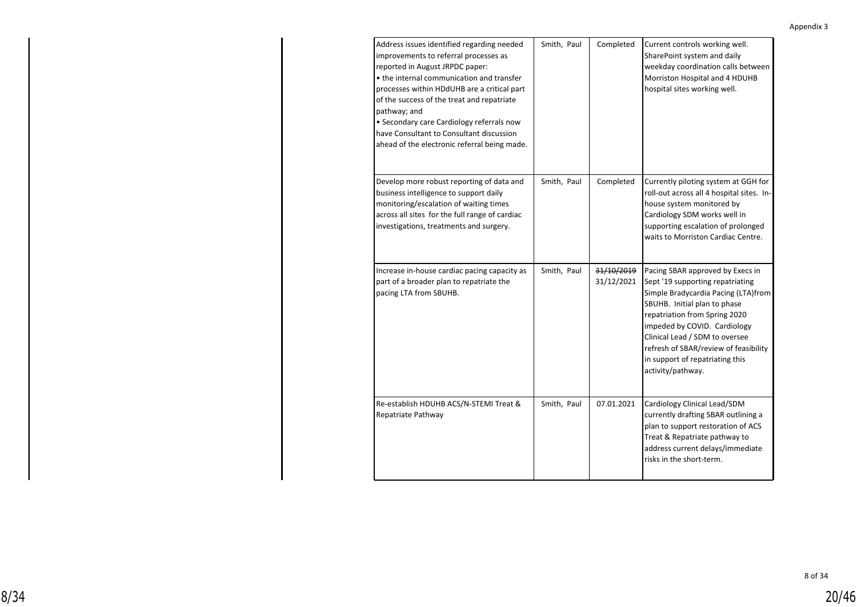| Address issues identified regarding needed<br>improvements to referral processes as<br>reported in August JRPDC paper:<br>• the internal communication and transfer<br>processes within HDdUHB are a critical part<br>of the success of the treat and repatriate<br>pathway; and<br>• Secondary care Cardiology referrals now<br>have Consultant to Consultant discussion<br>ahead of the electronic referral being made. | Smith, Paul | Completed                | Current controls working well.<br>SharePoint system and daily<br>weekday coordination calls between<br>Morriston Hospital and 4 HDUHB<br>hospital sites working well.                                                                                                                                                                           |
|---------------------------------------------------------------------------------------------------------------------------------------------------------------------------------------------------------------------------------------------------------------------------------------------------------------------------------------------------------------------------------------------------------------------------|-------------|--------------------------|-------------------------------------------------------------------------------------------------------------------------------------------------------------------------------------------------------------------------------------------------------------------------------------------------------------------------------------------------|
| Develop more robust reporting of data and<br>business intelligence to support daily<br>monitoring/escalation of waiting times<br>across all sites for the full range of cardiac<br>investigations, treatments and surgery.                                                                                                                                                                                                | Smith, Paul | Completed                | Currently piloting system at GGH for<br>roll-out across all 4 hospital sites. In-<br>house system monitored by<br>Cardiology SDM works well in<br>supporting escalation of prolonged<br>waits to Morriston Cardiac Centre.                                                                                                                      |
| Increase in-house cardiac pacing capacity as<br>part of a broader plan to repatriate the<br>pacing LTA from SBUHB.                                                                                                                                                                                                                                                                                                        | Smith, Paul | 31/10/2019<br>31/12/2021 | Pacing SBAR approved by Execs in<br>Sept '19 supporting repatriating<br>Simple Bradycardia Pacing (LTA)from<br>SBUHB. Initial plan to phase<br>repatriation from Spring 2020<br>impeded by COVID. Cardiology<br>Clinical Lead / SDM to oversee<br>refresh of SBAR/review of feasibility<br>in support of repatriating this<br>activity/pathway. |
| Re-establish HDUHB ACS/N-STEMI Treat &<br>Repatriate Pathway                                                                                                                                                                                                                                                                                                                                                              | Smith, Paul | 07.01.2021               | Cardiology Clinical Lead/SDM<br>currently drafting SBAR outlining a<br>plan to support restoration of ACS<br>Treat & Repatriate pathway to<br>address current delays/immediate<br>risks in the short-term.                                                                                                                                      |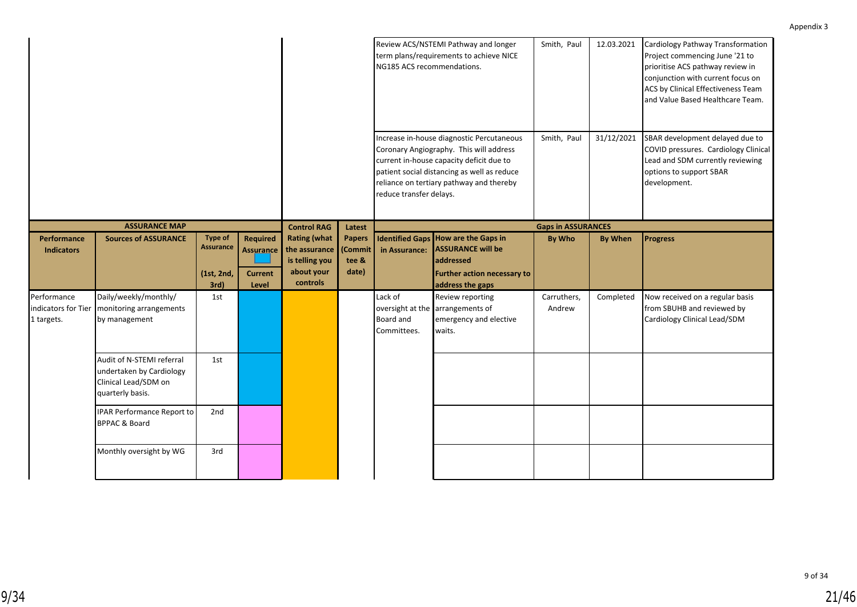|                                                  |                                                                                                   |                                                          |                                                                |                                                                                  |                                                  | NG185 ACS recommendations.          | Review ACS/NSTEMI Pathway and longer<br>term plans/requirements to achieve NICE                                                                                                                                             | Smith, Paul               | 12.03.2021     | Cardiology Pathway Transformation<br>Project commencing June '21 to<br>prioritise ACS pathway review in<br>conjunction with current focus on<br>ACS by Clinical Effectiveness Team<br>and Value Based Healthcare Team. |
|--------------------------------------------------|---------------------------------------------------------------------------------------------------|----------------------------------------------------------|----------------------------------------------------------------|----------------------------------------------------------------------------------|--------------------------------------------------|-------------------------------------|-----------------------------------------------------------------------------------------------------------------------------------------------------------------------------------------------------------------------------|---------------------------|----------------|------------------------------------------------------------------------------------------------------------------------------------------------------------------------------------------------------------------------|
|                                                  |                                                                                                   |                                                          |                                                                |                                                                                  |                                                  | reduce transfer delays.             | Increase in-house diagnostic Percutaneous<br>Coronary Angiography. This will address<br>current in-house capacity deficit due to<br>patient social distancing as well as reduce<br>reliance on tertiary pathway and thereby | Smith, Paul               | 31/12/2021     | SBAR development delayed due to<br>COVID pressures. Cardiology Clinical<br>Lead and SDM currently reviewing<br>options to support SBAR<br>development.                                                                 |
|                                                  | <b>ASSURANCE MAP</b>                                                                              |                                                          |                                                                | <b>Control RAG</b>                                                               | Latest                                           |                                     |                                                                                                                                                                                                                             | <b>Gaps in ASSURANCES</b> |                |                                                                                                                                                                                                                        |
| Performance<br><b>Indicators</b>                 | <b>Sources of ASSURANCE</b>                                                                       | <b>Type of</b><br><b>Assurance</b><br>(1st, 2nd,<br>3rd) | <b>Required</b><br><b>Assurance</b><br><b>Current</b><br>Level | <b>Rating (what</b><br>the assurance<br>is telling you<br>about your<br>controls | <b>Papers</b><br><b>Commit</b><br>tee &<br>date) | in Assurance:                       | Identified Gaps   How are the Gaps in<br><b>ASSURANCE will be</b><br>addressed<br><b>Further action necessary to</b><br>address the gaps                                                                                    | By Who                    | <b>By When</b> | <b>Progress</b>                                                                                                                                                                                                        |
| Performance<br>indicators for Tier<br>1 targets. | Daily/weekly/monthly/<br>monitoring arrangements<br>by management                                 | 1st                                                      |                                                                |                                                                                  |                                                  | Lack of<br>Board and<br>Committees. | Review reporting<br>oversight at the arrangements of<br>emergency and elective<br>waits.                                                                                                                                    | Carruthers,<br>Andrew     | Completed      | Now received on a regular basis<br>from SBUHB and reviewed by<br>Cardiology Clinical Lead/SDM                                                                                                                          |
|                                                  | Audit of N-STEMI referral<br>undertaken by Cardiology<br>Clinical Lead/SDM on<br>quarterly basis. | 1st                                                      |                                                                |                                                                                  |                                                  |                                     |                                                                                                                                                                                                                             |                           |                |                                                                                                                                                                                                                        |
|                                                  | IPAR Performance Report to<br><b>BPPAC &amp; Board</b>                                            | 2nd                                                      |                                                                |                                                                                  |                                                  |                                     |                                                                                                                                                                                                                             |                           |                |                                                                                                                                                                                                                        |
|                                                  | Monthly oversight by WG                                                                           | 3rd                                                      |                                                                |                                                                                  |                                                  |                                     |                                                                                                                                                                                                                             |                           |                |                                                                                                                                                                                                                        |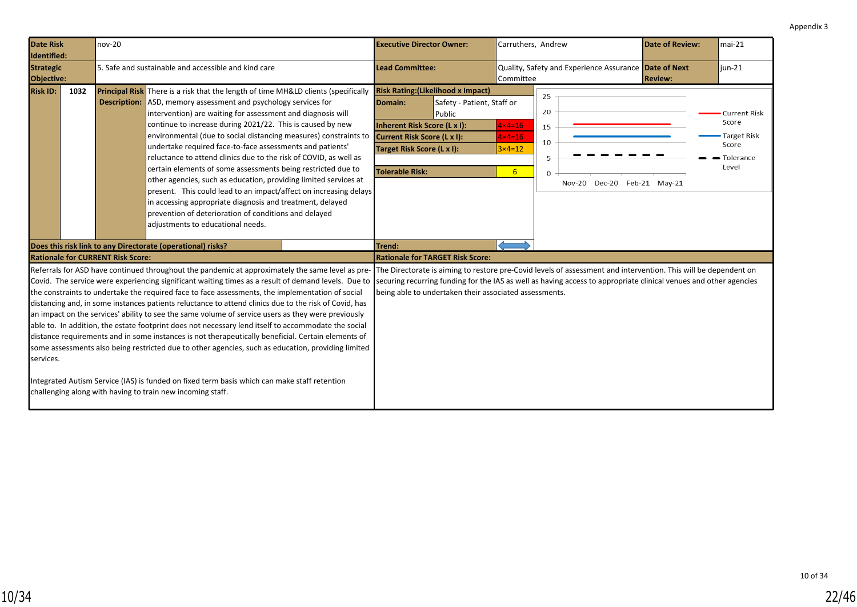<span id="page-21-0"></span>

| Date Risk<br>Identified:                              | nov-20 |                                                                                                                                                                                                                                                                                                                                                                                                                                                                                                                                                                                                                                                                                                                                                                                                                                                                                                                                                                                                             | <b>Executive Director Owner:</b>                                                                                                                                            |                                                        | Carruthers, Andrew                                                            |                                                                                                                                                                                                                                      | <b>Date of Review:</b> | $mai-21$                                                                   |
|-------------------------------------------------------|--------|-------------------------------------------------------------------------------------------------------------------------------------------------------------------------------------------------------------------------------------------------------------------------------------------------------------------------------------------------------------------------------------------------------------------------------------------------------------------------------------------------------------------------------------------------------------------------------------------------------------------------------------------------------------------------------------------------------------------------------------------------------------------------------------------------------------------------------------------------------------------------------------------------------------------------------------------------------------------------------------------------------------|-----------------------------------------------------------------------------------------------------------------------------------------------------------------------------|--------------------------------------------------------|-------------------------------------------------------------------------------|--------------------------------------------------------------------------------------------------------------------------------------------------------------------------------------------------------------------------------------|------------------------|----------------------------------------------------------------------------|
| <b>Strategic</b><br>Objective:                        |        | 5. Safe and sustainable and accessible and kind care                                                                                                                                                                                                                                                                                                                                                                                                                                                                                                                                                                                                                                                                                                                                                                                                                                                                                                                                                        | <b>Lead Committee:</b>                                                                                                                                                      |                                                        | Committee                                                                     | Quality, Safety and Experience Assurance Date of Next                                                                                                                                                                                | <b>Review:</b>         | $jun-21$                                                                   |
| <b>Risk ID:</b><br>1032                               |        | <b>Principal Risk</b> There is a risk that the length of time MH&LD clients (specifically<br><b>Description:</b> ASD, memory assessment and psychology services for<br>intervention) are waiting for assessment and diagnosis will<br>continue to increase during 2021/22. This is caused by new<br>environmental (due to social distancing measures) constraints to<br>undertake required face-to-face assessments and patients'<br>reluctance to attend clinics due to the risk of COVID, as well as<br>certain elements of some assessments being restricted due to<br>other agencies, such as education, providing limited services at<br>present. This could lead to an impact/affect on increasing delays<br>in accessing appropriate diagnosis and treatment, delayed<br>prevention of deterioration of conditions and delayed<br>adjustments to educational needs.                                                                                                                                  | <b>Risk Rating: (Likelihood x Impact)</b><br>Domain:<br>Inherent Risk Score (L x I):<br>Current Risk Score (L x I):<br>Target Risk Score (L x I):<br><b>Tolerable Risk:</b> | Safety - Patient, Staff or<br>Public                   | $4 \times 4 = 16$<br>$4 \times 4 = 16$<br>$3 \times 4 = 12$<br>6 <sup>1</sup> | 25<br>20<br>15<br>10<br>5<br>$\mathbf 0$<br>Nov-20 Dec-20 Feb-21 May-21                                                                                                                                                              |                        | <b>Current Risk</b><br>Score<br>Target Risk<br>Score<br>Tolerance<br>Level |
|                                                       |        | Does this risk link to any Directorate (operational) risks?                                                                                                                                                                                                                                                                                                                                                                                                                                                                                                                                                                                                                                                                                                                                                                                                                                                                                                                                                 | Trend:                                                                                                                                                                      |                                                        |                                                                               |                                                                                                                                                                                                                                      |                        |                                                                            |
| <b>Rationale for CURRENT Risk Score:</b><br>services. |        | Referrals for ASD have continued throughout the pandemic at approximately the same level as pre-<br>Covid. The service were experiencing significant waiting times as a result of demand levels. Due to<br>the constraints to undertake the required face to face assessments, the implementation of social<br>distancing and, in some instances patients reluctance to attend clinics due to the risk of Covid, has<br>an impact on the services' ability to see the same volume of service users as they were previously<br>able to. In addition, the estate footprint does not necessary lend itself to accommodate the social<br>distance requirements and in some instances is not therapeutically beneficial. Certain elements of<br>some assessments also being restricted due to other agencies, such as education, providing limited<br>Integrated Autism Service (IAS) is funded on fixed term basis which can make staff retention<br>challenging along with having to train new incoming staff. | <b>Rationale for TARGET Risk Score:</b>                                                                                                                                     | being able to undertaken their associated assessments. |                                                                               | The Directorate is aiming to restore pre-Covid levels of assessment and intervention. This will be dependent on<br>securing recurring funding for the IAS as well as having access to appropriate clinical venues and other agencies |                        |                                                                            |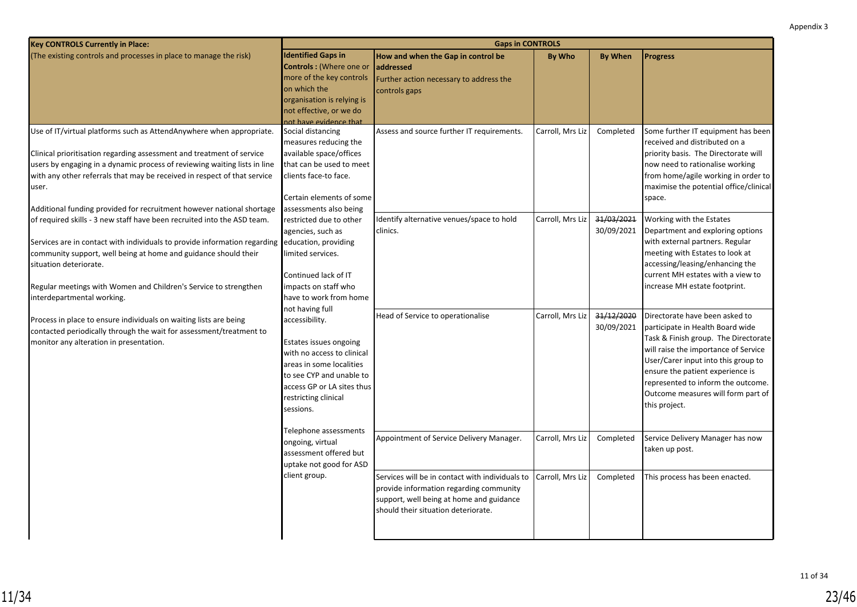| <b>Identified Gaps in</b><br>(The existing controls and processes in place to manage the risk)<br>How and when the Gap in control be<br><b>By Who</b><br><b>By When</b><br><b>Progress</b><br><b>Controls:</b> (Where one or<br>laddressed<br>more of the key controls<br>Further action necessary to address the<br>on which the<br>controls gaps<br>organisation is relying is<br>not effective, or we do<br>not have evidence that<br>Social distancing<br>Carroll, Mrs Liz<br>Use of IT/virtual platforms such as AttendAnywhere when appropriate.<br>Assess and source further IT requirements.<br>Completed<br>measures reducing the<br>received and distributed on a<br>available space/offices<br>Clinical prioritisation regarding assessment and treatment of service<br>priority basis. The Directorate will<br>users by engaging in a dynamic process of reviewing waiting lists in line<br>that can be used to meet<br>now need to rationalise working<br>with any other referrals that may be received in respect of that service<br>clients face-to face.<br>user.<br>Certain elements of some<br>space.<br>Additional funding provided for recruitment however national shortage<br>assessments also being<br>Carroll, Mrs Liz<br>31/03/2021<br>Identify alternative venues/space to hold<br>Working with the Estates<br>of required skills - 3 new staff have been recruited into the ASD team.<br>restricted due to other<br>clinics.<br>30/09/2021<br>Department and exploring options<br>agencies, such as<br>with external partners. Regular<br>Services are in contact with individuals to provide information regarding<br>education, providing<br>meeting with Estates to look at<br>community support, well being at home and guidance should their<br>limited services.<br>accessing/leasing/enhancing the<br>situation deteriorate.<br>current MH estates with a view to<br>Continued lack of IT<br>increase MH estate footprint.<br>impacts on staff who<br>Regular meetings with Women and Children's Service to strengthen<br>interdepartmental working.<br>have to work from home<br>not having full<br>31/12/2020<br>Head of Service to operationalise<br>Carroll, Mrs Liz<br>Directorate have been asked to<br>Process in place to ensure individuals on waiting lists are being<br>accessibility.<br>30/09/2021<br>participate in Health Board wide<br>contacted periodically through the wait for assessment/treatment to<br>monitor any alteration in presentation.<br>Estates issues ongoing<br>will raise the importance of Service<br>with no access to clinical<br>User/Carer input into this group to<br>areas in some localities<br>ensure the patient experience is<br>to see CYP and unable to |
|--------------------------------------------------------------------------------------------------------------------------------------------------------------------------------------------------------------------------------------------------------------------------------------------------------------------------------------------------------------------------------------------------------------------------------------------------------------------------------------------------------------------------------------------------------------------------------------------------------------------------------------------------------------------------------------------------------------------------------------------------------------------------------------------------------------------------------------------------------------------------------------------------------------------------------------------------------------------------------------------------------------------------------------------------------------------------------------------------------------------------------------------------------------------------------------------------------------------------------------------------------------------------------------------------------------------------------------------------------------------------------------------------------------------------------------------------------------------------------------------------------------------------------------------------------------------------------------------------------------------------------------------------------------------------------------------------------------------------------------------------------------------------------------------------------------------------------------------------------------------------------------------------------------------------------------------------------------------------------------------------------------------------------------------------------------------------------------------------------------------------------------------------------------------------------------------------------------------------------------------------------------------------------------------------------------------------------------------------------------------------------------------------------------------------------------------------------------------------------------------------------------------------------------------------------------------------------------------------------------------------------------------------------------------------------------------------------------------------------------------|
| Some further IT equipment has been                                                                                                                                                                                                                                                                                                                                                                                                                                                                                                                                                                                                                                                                                                                                                                                                                                                                                                                                                                                                                                                                                                                                                                                                                                                                                                                                                                                                                                                                                                                                                                                                                                                                                                                                                                                                                                                                                                                                                                                                                                                                                                                                                                                                                                                                                                                                                                                                                                                                                                                                                                                                                                                                                                         |
|                                                                                                                                                                                                                                                                                                                                                                                                                                                                                                                                                                                                                                                                                                                                                                                                                                                                                                                                                                                                                                                                                                                                                                                                                                                                                                                                                                                                                                                                                                                                                                                                                                                                                                                                                                                                                                                                                                                                                                                                                                                                                                                                                                                                                                                                                                                                                                                                                                                                                                                                                                                                                                                                                                                                            |
|                                                                                                                                                                                                                                                                                                                                                                                                                                                                                                                                                                                                                                                                                                                                                                                                                                                                                                                                                                                                                                                                                                                                                                                                                                                                                                                                                                                                                                                                                                                                                                                                                                                                                                                                                                                                                                                                                                                                                                                                                                                                                                                                                                                                                                                                                                                                                                                                                                                                                                                                                                                                                                                                                                                                            |
|                                                                                                                                                                                                                                                                                                                                                                                                                                                                                                                                                                                                                                                                                                                                                                                                                                                                                                                                                                                                                                                                                                                                                                                                                                                                                                                                                                                                                                                                                                                                                                                                                                                                                                                                                                                                                                                                                                                                                                                                                                                                                                                                                                                                                                                                                                                                                                                                                                                                                                                                                                                                                                                                                                                                            |
|                                                                                                                                                                                                                                                                                                                                                                                                                                                                                                                                                                                                                                                                                                                                                                                                                                                                                                                                                                                                                                                                                                                                                                                                                                                                                                                                                                                                                                                                                                                                                                                                                                                                                                                                                                                                                                                                                                                                                                                                                                                                                                                                                                                                                                                                                                                                                                                                                                                                                                                                                                                                                                                                                                                                            |
|                                                                                                                                                                                                                                                                                                                                                                                                                                                                                                                                                                                                                                                                                                                                                                                                                                                                                                                                                                                                                                                                                                                                                                                                                                                                                                                                                                                                                                                                                                                                                                                                                                                                                                                                                                                                                                                                                                                                                                                                                                                                                                                                                                                                                                                                                                                                                                                                                                                                                                                                                                                                                                                                                                                                            |
| from home/agile working in order to<br>maximise the potential office/clinical<br>Task & Finish group. The Directorate                                                                                                                                                                                                                                                                                                                                                                                                                                                                                                                                                                                                                                                                                                                                                                                                                                                                                                                                                                                                                                                                                                                                                                                                                                                                                                                                                                                                                                                                                                                                                                                                                                                                                                                                                                                                                                                                                                                                                                                                                                                                                                                                                                                                                                                                                                                                                                                                                                                                                                                                                                                                                      |
|                                                                                                                                                                                                                                                                                                                                                                                                                                                                                                                                                                                                                                                                                                                                                                                                                                                                                                                                                                                                                                                                                                                                                                                                                                                                                                                                                                                                                                                                                                                                                                                                                                                                                                                                                                                                                                                                                                                                                                                                                                                                                                                                                                                                                                                                                                                                                                                                                                                                                                                                                                                                                                                                                                                                            |
|                                                                                                                                                                                                                                                                                                                                                                                                                                                                                                                                                                                                                                                                                                                                                                                                                                                                                                                                                                                                                                                                                                                                                                                                                                                                                                                                                                                                                                                                                                                                                                                                                                                                                                                                                                                                                                                                                                                                                                                                                                                                                                                                                                                                                                                                                                                                                                                                                                                                                                                                                                                                                                                                                                                                            |
|                                                                                                                                                                                                                                                                                                                                                                                                                                                                                                                                                                                                                                                                                                                                                                                                                                                                                                                                                                                                                                                                                                                                                                                                                                                                                                                                                                                                                                                                                                                                                                                                                                                                                                                                                                                                                                                                                                                                                                                                                                                                                                                                                                                                                                                                                                                                                                                                                                                                                                                                                                                                                                                                                                                                            |
|                                                                                                                                                                                                                                                                                                                                                                                                                                                                                                                                                                                                                                                                                                                                                                                                                                                                                                                                                                                                                                                                                                                                                                                                                                                                                                                                                                                                                                                                                                                                                                                                                                                                                                                                                                                                                                                                                                                                                                                                                                                                                                                                                                                                                                                                                                                                                                                                                                                                                                                                                                                                                                                                                                                                            |
|                                                                                                                                                                                                                                                                                                                                                                                                                                                                                                                                                                                                                                                                                                                                                                                                                                                                                                                                                                                                                                                                                                                                                                                                                                                                                                                                                                                                                                                                                                                                                                                                                                                                                                                                                                                                                                                                                                                                                                                                                                                                                                                                                                                                                                                                                                                                                                                                                                                                                                                                                                                                                                                                                                                                            |
|                                                                                                                                                                                                                                                                                                                                                                                                                                                                                                                                                                                                                                                                                                                                                                                                                                                                                                                                                                                                                                                                                                                                                                                                                                                                                                                                                                                                                                                                                                                                                                                                                                                                                                                                                                                                                                                                                                                                                                                                                                                                                                                                                                                                                                                                                                                                                                                                                                                                                                                                                                                                                                                                                                                                            |
|                                                                                                                                                                                                                                                                                                                                                                                                                                                                                                                                                                                                                                                                                                                                                                                                                                                                                                                                                                                                                                                                                                                                                                                                                                                                                                                                                                                                                                                                                                                                                                                                                                                                                                                                                                                                                                                                                                                                                                                                                                                                                                                                                                                                                                                                                                                                                                                                                                                                                                                                                                                                                                                                                                                                            |
|                                                                                                                                                                                                                                                                                                                                                                                                                                                                                                                                                                                                                                                                                                                                                                                                                                                                                                                                                                                                                                                                                                                                                                                                                                                                                                                                                                                                                                                                                                                                                                                                                                                                                                                                                                                                                                                                                                                                                                                                                                                                                                                                                                                                                                                                                                                                                                                                                                                                                                                                                                                                                                                                                                                                            |
|                                                                                                                                                                                                                                                                                                                                                                                                                                                                                                                                                                                                                                                                                                                                                                                                                                                                                                                                                                                                                                                                                                                                                                                                                                                                                                                                                                                                                                                                                                                                                                                                                                                                                                                                                                                                                                                                                                                                                                                                                                                                                                                                                                                                                                                                                                                                                                                                                                                                                                                                                                                                                                                                                                                                            |
|                                                                                                                                                                                                                                                                                                                                                                                                                                                                                                                                                                                                                                                                                                                                                                                                                                                                                                                                                                                                                                                                                                                                                                                                                                                                                                                                                                                                                                                                                                                                                                                                                                                                                                                                                                                                                                                                                                                                                                                                                                                                                                                                                                                                                                                                                                                                                                                                                                                                                                                                                                                                                                                                                                                                            |
|                                                                                                                                                                                                                                                                                                                                                                                                                                                                                                                                                                                                                                                                                                                                                                                                                                                                                                                                                                                                                                                                                                                                                                                                                                                                                                                                                                                                                                                                                                                                                                                                                                                                                                                                                                                                                                                                                                                                                                                                                                                                                                                                                                                                                                                                                                                                                                                                                                                                                                                                                                                                                                                                                                                                            |
|                                                                                                                                                                                                                                                                                                                                                                                                                                                                                                                                                                                                                                                                                                                                                                                                                                                                                                                                                                                                                                                                                                                                                                                                                                                                                                                                                                                                                                                                                                                                                                                                                                                                                                                                                                                                                                                                                                                                                                                                                                                                                                                                                                                                                                                                                                                                                                                                                                                                                                                                                                                                                                                                                                                                            |
|                                                                                                                                                                                                                                                                                                                                                                                                                                                                                                                                                                                                                                                                                                                                                                                                                                                                                                                                                                                                                                                                                                                                                                                                                                                                                                                                                                                                                                                                                                                                                                                                                                                                                                                                                                                                                                                                                                                                                                                                                                                                                                                                                                                                                                                                                                                                                                                                                                                                                                                                                                                                                                                                                                                                            |
|                                                                                                                                                                                                                                                                                                                                                                                                                                                                                                                                                                                                                                                                                                                                                                                                                                                                                                                                                                                                                                                                                                                                                                                                                                                                                                                                                                                                                                                                                                                                                                                                                                                                                                                                                                                                                                                                                                                                                                                                                                                                                                                                                                                                                                                                                                                                                                                                                                                                                                                                                                                                                                                                                                                                            |
|                                                                                                                                                                                                                                                                                                                                                                                                                                                                                                                                                                                                                                                                                                                                                                                                                                                                                                                                                                                                                                                                                                                                                                                                                                                                                                                                                                                                                                                                                                                                                                                                                                                                                                                                                                                                                                                                                                                                                                                                                                                                                                                                                                                                                                                                                                                                                                                                                                                                                                                                                                                                                                                                                                                                            |
|                                                                                                                                                                                                                                                                                                                                                                                                                                                                                                                                                                                                                                                                                                                                                                                                                                                                                                                                                                                                                                                                                                                                                                                                                                                                                                                                                                                                                                                                                                                                                                                                                                                                                                                                                                                                                                                                                                                                                                                                                                                                                                                                                                                                                                                                                                                                                                                                                                                                                                                                                                                                                                                                                                                                            |
|                                                                                                                                                                                                                                                                                                                                                                                                                                                                                                                                                                                                                                                                                                                                                                                                                                                                                                                                                                                                                                                                                                                                                                                                                                                                                                                                                                                                                                                                                                                                                                                                                                                                                                                                                                                                                                                                                                                                                                                                                                                                                                                                                                                                                                                                                                                                                                                                                                                                                                                                                                                                                                                                                                                                            |
|                                                                                                                                                                                                                                                                                                                                                                                                                                                                                                                                                                                                                                                                                                                                                                                                                                                                                                                                                                                                                                                                                                                                                                                                                                                                                                                                                                                                                                                                                                                                                                                                                                                                                                                                                                                                                                                                                                                                                                                                                                                                                                                                                                                                                                                                                                                                                                                                                                                                                                                                                                                                                                                                                                                                            |
|                                                                                                                                                                                                                                                                                                                                                                                                                                                                                                                                                                                                                                                                                                                                                                                                                                                                                                                                                                                                                                                                                                                                                                                                                                                                                                                                                                                                                                                                                                                                                                                                                                                                                                                                                                                                                                                                                                                                                                                                                                                                                                                                                                                                                                                                                                                                                                                                                                                                                                                                                                                                                                                                                                                                            |
|                                                                                                                                                                                                                                                                                                                                                                                                                                                                                                                                                                                                                                                                                                                                                                                                                                                                                                                                                                                                                                                                                                                                                                                                                                                                                                                                                                                                                                                                                                                                                                                                                                                                                                                                                                                                                                                                                                                                                                                                                                                                                                                                                                                                                                                                                                                                                                                                                                                                                                                                                                                                                                                                                                                                            |
|                                                                                                                                                                                                                                                                                                                                                                                                                                                                                                                                                                                                                                                                                                                                                                                                                                                                                                                                                                                                                                                                                                                                                                                                                                                                                                                                                                                                                                                                                                                                                                                                                                                                                                                                                                                                                                                                                                                                                                                                                                                                                                                                                                                                                                                                                                                                                                                                                                                                                                                                                                                                                                                                                                                                            |
|                                                                                                                                                                                                                                                                                                                                                                                                                                                                                                                                                                                                                                                                                                                                                                                                                                                                                                                                                                                                                                                                                                                                                                                                                                                                                                                                                                                                                                                                                                                                                                                                                                                                                                                                                                                                                                                                                                                                                                                                                                                                                                                                                                                                                                                                                                                                                                                                                                                                                                                                                                                                                                                                                                                                            |
| represented to inform the outcome.<br>access GP or LA sites thus                                                                                                                                                                                                                                                                                                                                                                                                                                                                                                                                                                                                                                                                                                                                                                                                                                                                                                                                                                                                                                                                                                                                                                                                                                                                                                                                                                                                                                                                                                                                                                                                                                                                                                                                                                                                                                                                                                                                                                                                                                                                                                                                                                                                                                                                                                                                                                                                                                                                                                                                                                                                                                                                           |
| Outcome measures will form part of<br>restricting clinical                                                                                                                                                                                                                                                                                                                                                                                                                                                                                                                                                                                                                                                                                                                                                                                                                                                                                                                                                                                                                                                                                                                                                                                                                                                                                                                                                                                                                                                                                                                                                                                                                                                                                                                                                                                                                                                                                                                                                                                                                                                                                                                                                                                                                                                                                                                                                                                                                                                                                                                                                                                                                                                                                 |
| this project.<br>sessions.                                                                                                                                                                                                                                                                                                                                                                                                                                                                                                                                                                                                                                                                                                                                                                                                                                                                                                                                                                                                                                                                                                                                                                                                                                                                                                                                                                                                                                                                                                                                                                                                                                                                                                                                                                                                                                                                                                                                                                                                                                                                                                                                                                                                                                                                                                                                                                                                                                                                                                                                                                                                                                                                                                                 |
|                                                                                                                                                                                                                                                                                                                                                                                                                                                                                                                                                                                                                                                                                                                                                                                                                                                                                                                                                                                                                                                                                                                                                                                                                                                                                                                                                                                                                                                                                                                                                                                                                                                                                                                                                                                                                                                                                                                                                                                                                                                                                                                                                                                                                                                                                                                                                                                                                                                                                                                                                                                                                                                                                                                                            |
| Telephone assessments                                                                                                                                                                                                                                                                                                                                                                                                                                                                                                                                                                                                                                                                                                                                                                                                                                                                                                                                                                                                                                                                                                                                                                                                                                                                                                                                                                                                                                                                                                                                                                                                                                                                                                                                                                                                                                                                                                                                                                                                                                                                                                                                                                                                                                                                                                                                                                                                                                                                                                                                                                                                                                                                                                                      |
| Appointment of Service Delivery Manager.<br>Carroll, Mrs Liz<br>Service Delivery Manager has now<br>Completed<br>ongoing, virtual                                                                                                                                                                                                                                                                                                                                                                                                                                                                                                                                                                                                                                                                                                                                                                                                                                                                                                                                                                                                                                                                                                                                                                                                                                                                                                                                                                                                                                                                                                                                                                                                                                                                                                                                                                                                                                                                                                                                                                                                                                                                                                                                                                                                                                                                                                                                                                                                                                                                                                                                                                                                          |
| taken up post.<br>assessment offered but                                                                                                                                                                                                                                                                                                                                                                                                                                                                                                                                                                                                                                                                                                                                                                                                                                                                                                                                                                                                                                                                                                                                                                                                                                                                                                                                                                                                                                                                                                                                                                                                                                                                                                                                                                                                                                                                                                                                                                                                                                                                                                                                                                                                                                                                                                                                                                                                                                                                                                                                                                                                                                                                                                   |
| uptake not good for ASD                                                                                                                                                                                                                                                                                                                                                                                                                                                                                                                                                                                                                                                                                                                                                                                                                                                                                                                                                                                                                                                                                                                                                                                                                                                                                                                                                                                                                                                                                                                                                                                                                                                                                                                                                                                                                                                                                                                                                                                                                                                                                                                                                                                                                                                                                                                                                                                                                                                                                                                                                                                                                                                                                                                    |
| client group.<br>Services will be in contact with individuals to<br>Carroll, Mrs Liz<br>Completed<br>This process has been enacted.                                                                                                                                                                                                                                                                                                                                                                                                                                                                                                                                                                                                                                                                                                                                                                                                                                                                                                                                                                                                                                                                                                                                                                                                                                                                                                                                                                                                                                                                                                                                                                                                                                                                                                                                                                                                                                                                                                                                                                                                                                                                                                                                                                                                                                                                                                                                                                                                                                                                                                                                                                                                        |
| provide information regarding community                                                                                                                                                                                                                                                                                                                                                                                                                                                                                                                                                                                                                                                                                                                                                                                                                                                                                                                                                                                                                                                                                                                                                                                                                                                                                                                                                                                                                                                                                                                                                                                                                                                                                                                                                                                                                                                                                                                                                                                                                                                                                                                                                                                                                                                                                                                                                                                                                                                                                                                                                                                                                                                                                                    |
| support, well being at home and guidance                                                                                                                                                                                                                                                                                                                                                                                                                                                                                                                                                                                                                                                                                                                                                                                                                                                                                                                                                                                                                                                                                                                                                                                                                                                                                                                                                                                                                                                                                                                                                                                                                                                                                                                                                                                                                                                                                                                                                                                                                                                                                                                                                                                                                                                                                                                                                                                                                                                                                                                                                                                                                                                                                                   |
| should their situation deteriorate.                                                                                                                                                                                                                                                                                                                                                                                                                                                                                                                                                                                                                                                                                                                                                                                                                                                                                                                                                                                                                                                                                                                                                                                                                                                                                                                                                                                                                                                                                                                                                                                                                                                                                                                                                                                                                                                                                                                                                                                                                                                                                                                                                                                                                                                                                                                                                                                                                                                                                                                                                                                                                                                                                                        |
|                                                                                                                                                                                                                                                                                                                                                                                                                                                                                                                                                                                                                                                                                                                                                                                                                                                                                                                                                                                                                                                                                                                                                                                                                                                                                                                                                                                                                                                                                                                                                                                                                                                                                                                                                                                                                                                                                                                                                                                                                                                                                                                                                                                                                                                                                                                                                                                                                                                                                                                                                                                                                                                                                                                                            |
|                                                                                                                                                                                                                                                                                                                                                                                                                                                                                                                                                                                                                                                                                                                                                                                                                                                                                                                                                                                                                                                                                                                                                                                                                                                                                                                                                                                                                                                                                                                                                                                                                                                                                                                                                                                                                                                                                                                                                                                                                                                                                                                                                                                                                                                                                                                                                                                                                                                                                                                                                                                                                                                                                                                                            |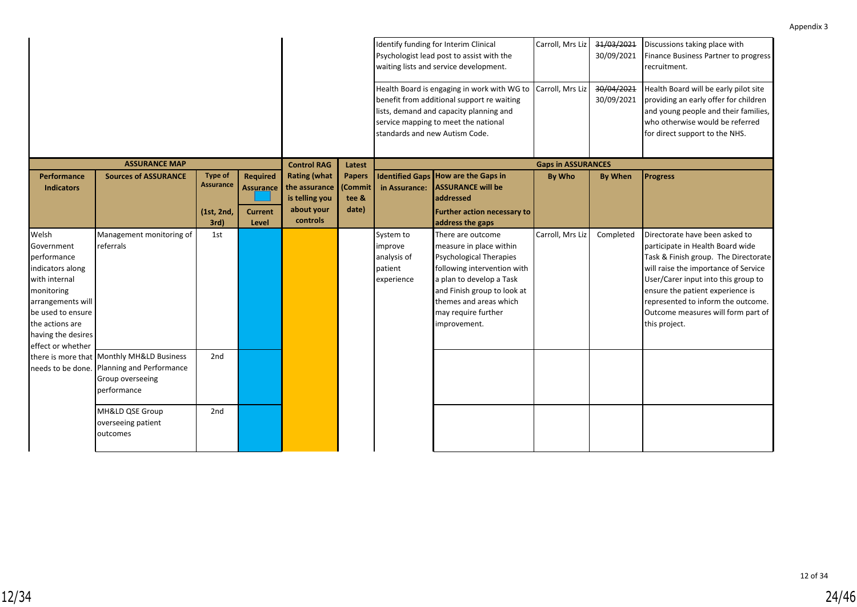|                                                                                                                                                                                               |                                                                                                          |                                                          |                                                                |                                                                                  |                                            |                                                              | Identify funding for Interim Clinical<br>Psychologist lead post to assist with the<br>waiting lists and service development.<br>Health Board is engaging in work with WG to<br>benefit from additional support re waiting<br>lists, demand and capacity planning and<br>service mapping to meet the national<br>standards and new Autism Code. | Carroll, Mrs Liz<br>Carroll, Mrs Liz | 31/03/2021<br>30/09/2021<br>30/04/2021<br>30/09/2021 | Discussions taking place with<br>Finance Business Partner to progress<br>recruitment.<br>Health Board will be early pilot site<br>providing an early offer for children<br>and young people and their families,<br>who otherwise would be referred<br>for direct support to the NHS.                                       |
|-----------------------------------------------------------------------------------------------------------------------------------------------------------------------------------------------|----------------------------------------------------------------------------------------------------------|----------------------------------------------------------|----------------------------------------------------------------|----------------------------------------------------------------------------------|--------------------------------------------|--------------------------------------------------------------|------------------------------------------------------------------------------------------------------------------------------------------------------------------------------------------------------------------------------------------------------------------------------------------------------------------------------------------------|--------------------------------------|------------------------------------------------------|----------------------------------------------------------------------------------------------------------------------------------------------------------------------------------------------------------------------------------------------------------------------------------------------------------------------------|
|                                                                                                                                                                                               | <b>ASSURANCE MAP</b>                                                                                     |                                                          |                                                                | <b>Control RAG</b>                                                               | Latest                                     |                                                              |                                                                                                                                                                                                                                                                                                                                                | <b>Gaps in ASSURANCES</b>            |                                                      |                                                                                                                                                                                                                                                                                                                            |
| <b>Performance</b><br><b>Indicators</b>                                                                                                                                                       | <b>Sources of ASSURANCE</b>                                                                              | <b>Type of</b><br><b>Assurance</b><br>(1st, 2nd,<br>3rd) | <b>Required</b><br><b>Assurance</b><br><b>Current</b><br>Level | <b>Rating (what</b><br>the assurance<br>is telling you<br>about your<br>controls | <b>Papers</b><br>(Commit<br>tee &<br>date) | <b>Identified Gaps</b><br>in Assurance:                      | <b>How are the Gaps in</b><br><b>ASSURANCE will be</b><br>addressed<br><b>Further action necessary to</b><br>address the gaps                                                                                                                                                                                                                  | By Who                               | <b>By When</b>                                       | <b>Progress</b>                                                                                                                                                                                                                                                                                                            |
| Welsh<br>Government<br>performance<br>indicators along<br>with internal<br>monitoring<br>arrangements will<br>be used to ensure<br>the actions are<br>having the desires<br>effect or whether | Management monitoring of<br>referrals                                                                    | 1st                                                      |                                                                |                                                                                  |                                            | System to<br>improve<br>analysis of<br>patient<br>experience | There are outcome<br>measure in place within<br><b>Psychological Therapies</b><br>following intervention with<br>a plan to develop a Task<br>and Finish group to look at<br>themes and areas which<br>may require further<br>improvement.                                                                                                      | Carroll, Mrs Liz                     | Completed                                            | Directorate have been asked to<br>participate in Health Board wide<br>Task & Finish group. The Directorate<br>will raise the importance of Service<br>User/Carer input into this group to<br>ensure the patient experience is<br>represented to inform the outcome.<br>Outcome measures will form part of<br>this project. |
| needs to be done.                                                                                                                                                                             | there is more that Monthly MH&LD Business<br>Planning and Performance<br>Group overseeing<br>performance | 2nd                                                      |                                                                |                                                                                  |                                            |                                                              |                                                                                                                                                                                                                                                                                                                                                |                                      |                                                      |                                                                                                                                                                                                                                                                                                                            |
|                                                                                                                                                                                               | MH&LD QSE Group<br>overseeing patient<br>outcomes                                                        | 2nd                                                      |                                                                |                                                                                  |                                            |                                                              |                                                                                                                                                                                                                                                                                                                                                |                                      |                                                      |                                                                                                                                                                                                                                                                                                                            |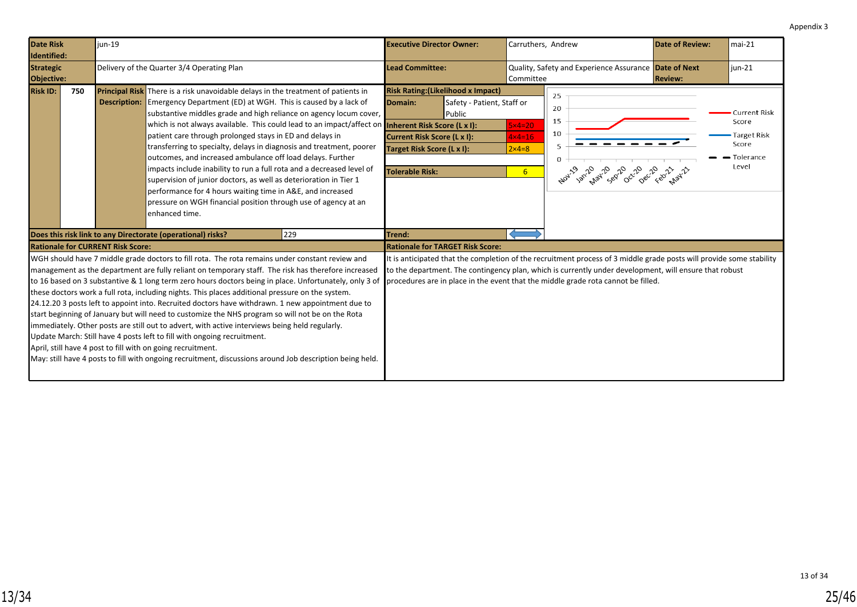<span id="page-24-0"></span>

| Date Risk<br>Identified:       |     | iun-19                                                          |                                                                                                                                                                                                                                                                                                                                                                                                                                                                                                                                                                                                                                                                                                                                                                                                                                                                                                                                                                                                                                                                                                                                                                                                                                                                                                                                                                                                                                                                                                                                                                                                                                                                                                                                                                                                                                                                    |     | <b>Executive Director Owner:</b>                                                                                                                                                                                                                                                                                                                                                                                                                                                                                                                                                                              | Carruthers, Andrew                                                  |                                                                          | <b>Date of Review:</b> | lmai-21                                                                    |
|--------------------------------|-----|-----------------------------------------------------------------|--------------------------------------------------------------------------------------------------------------------------------------------------------------------------------------------------------------------------------------------------------------------------------------------------------------------------------------------------------------------------------------------------------------------------------------------------------------------------------------------------------------------------------------------------------------------------------------------------------------------------------------------------------------------------------------------------------------------------------------------------------------------------------------------------------------------------------------------------------------------------------------------------------------------------------------------------------------------------------------------------------------------------------------------------------------------------------------------------------------------------------------------------------------------------------------------------------------------------------------------------------------------------------------------------------------------------------------------------------------------------------------------------------------------------------------------------------------------------------------------------------------------------------------------------------------------------------------------------------------------------------------------------------------------------------------------------------------------------------------------------------------------------------------------------------------------------------------------------------------------|-----|---------------------------------------------------------------------------------------------------------------------------------------------------------------------------------------------------------------------------------------------------------------------------------------------------------------------------------------------------------------------------------------------------------------------------------------------------------------------------------------------------------------------------------------------------------------------------------------------------------------|---------------------------------------------------------------------|--------------------------------------------------------------------------|------------------------|----------------------------------------------------------------------------|
| <b>Strategic</b><br>Objective: |     |                                                                 | Delivery of the Quarter 3/4 Operating Plan                                                                                                                                                                                                                                                                                                                                                                                                                                                                                                                                                                                                                                                                                                                                                                                                                                                                                                                                                                                                                                                                                                                                                                                                                                                                                                                                                                                                                                                                                                                                                                                                                                                                                                                                                                                                                         |     | <b>Lead Committee:</b>                                                                                                                                                                                                                                                                                                                                                                                                                                                                                                                                                                                        | Committee                                                           | Quality, Safety and Experience Assurance Date of Next                    | <b>Review:</b>         | $jun-21$                                                                   |
| <b>Risk ID:</b>                | 750 | <b>Description:</b><br><b>Rationale for CURRENT Risk Score:</b> | <b>Principal Risk</b> There is a risk unavoidable delays in the treatment of patients in<br>Emergency Department (ED) at WGH. This is caused by a lack of<br>substantive middles grade and high reliance on agency locum cover,<br>which is not always available. This could lead to an impact/affect on<br>patient care through prolonged stays in ED and delays in<br>transferring to specialty, delays in diagnosis and treatment, poorer<br>outcomes, and increased ambulance off load delays. Further<br>impacts include inability to run a full rota and a decreased level of<br>supervision of junior doctors, as well as deterioration in Tier 1<br>performance for 4 hours waiting time in A&E, and increased<br>pressure on WGH financial position through use of agency at an<br>enhanced time.<br>Does this risk link to any Directorate (operational) risks?<br>WGH should have 7 middle grade doctors to fill rota. The rota remains under constant review and<br>management as the department are fully reliant on temporary staff. The risk has therefore increased<br>to 16 based on 3 substantive & 1 long term zero hours doctors being in place. Unfortunately, only 3 of<br>these doctors work a full rota, including nights. This places additional pressure on the system.<br>24.12.20 3 posts left to appoint into. Recruited doctors have withdrawn. 1 new appointment due to<br>start beginning of January but will need to customize the NHS program so will not be on the Rota<br>immediately. Other posts are still out to advert, with active interviews being held regularly.<br>Update March: Still have 4 posts left to fill with ongoing recruitment.<br>April, still have 4 post to fill with on going recruitment.<br>May: still have 4 posts to fill with ongoing recruitment, discussions around Job description being held. | 229 | <b>Risk Rating: (Likelihood x Impact)</b><br>Safety - Patient, Staff or<br><b>Domain:</b><br><b>Public</b><br>Inherent Risk Score (L x I):<br>Current Risk Score (L x I):<br>Target Risk Score (L x I):<br><b>Tolerable Risk:</b><br>Trend:<br><b>Rationale for TARGET Risk Score:</b><br>It is anticipated that the completion of the recruitment process of 3 middle grade posts will provide some stability<br>to the department. The contingency plan, which is currently under development, will ensure that robust<br>procedures are in place in the event that the middle grade rota cannot be filled. | $5x4=20$<br>$4 \times 4 = 16$<br>$2 \times 4 = 8$<br>6 <sup>1</sup> | 25<br>20<br>15<br>10<br>5<br>0<br>Nov. 1921, 2021, 2022, 2022, 2021, 212 |                        | <b>Current Risk</b><br>Score<br>Target Risk<br>Score<br>Tolerance<br>Level |
|                                |     |                                                                 |                                                                                                                                                                                                                                                                                                                                                                                                                                                                                                                                                                                                                                                                                                                                                                                                                                                                                                                                                                                                                                                                                                                                                                                                                                                                                                                                                                                                                                                                                                                                                                                                                                                                                                                                                                                                                                                                    |     |                                                                                                                                                                                                                                                                                                                                                                                                                                                                                                                                                                                                               |                                                                     |                                                                          |                        |                                                                            |

13 of 34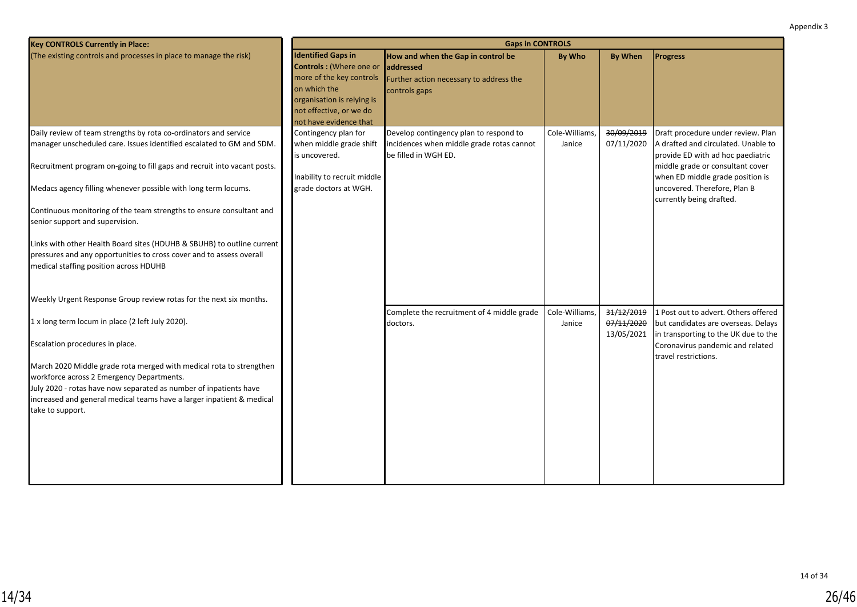| <b>Key CONTROLS Currently in Place:</b>                                                                                                                                                                                                                                                                                                                                   | <b>Gaps in CONTROLS</b>                                                                                                                                                             |                                                                                                              |                          |                                        |                                                                                                                                                                                                                        |  |  |  |
|---------------------------------------------------------------------------------------------------------------------------------------------------------------------------------------------------------------------------------------------------------------------------------------------------------------------------------------------------------------------------|-------------------------------------------------------------------------------------------------------------------------------------------------------------------------------------|--------------------------------------------------------------------------------------------------------------|--------------------------|----------------------------------------|------------------------------------------------------------------------------------------------------------------------------------------------------------------------------------------------------------------------|--|--|--|
| (The existing controls and processes in place to manage the risk)                                                                                                                                                                                                                                                                                                         | <b>Identified Gaps in</b><br>Controls: (Where one or<br>more of the key controls<br>on which the<br>organisation is relying is<br>not effective, or we do<br>not have evidence that | How and when the Gap in control be<br>laddressed<br>Further action necessary to address the<br>controls gaps | By Who                   | <b>By When</b>                         | <b>Progress</b>                                                                                                                                                                                                        |  |  |  |
| Daily review of team strengths by rota co-ordinators and service<br>manager unscheduled care. Issues identified escalated to GM and SDM.<br>Recruitment program on-going to fill gaps and recruit into vacant posts.<br>Medacs agency filling whenever possible with long term locums.                                                                                    | Contingency plan for<br>when middle grade shift<br>is uncovered.<br>Inability to recruit middle<br>grade doctors at WGH.                                                            | Develop contingency plan to respond to<br>incidences when middle grade rotas cannot<br>be filled in WGH ED.  | Cole-Williams,<br>Janice | 30/09/2019<br>07/11/2020               | Draft procedure under review. Plan<br>A drafted and circulated. Unable to<br>provide ED with ad hoc paediatric<br>middle grade or consultant cover<br>when ED middle grade position is<br>uncovered. Therefore, Plan B |  |  |  |
| Continuous monitoring of the team strengths to ensure consultant and<br>senior support and supervision.<br>Links with other Health Board sites (HDUHB & SBUHB) to outline current<br>pressures and any opportunities to cross cover and to assess overall<br>medical staffing position across HDUHB<br>Weekly Urgent Response Group review rotas for the next six months. |                                                                                                                                                                                     |                                                                                                              |                          |                                        | currently being drafted.                                                                                                                                                                                               |  |  |  |
| 1 x long term locum in place (2 left July 2020).<br>Escalation procedures in place.<br>March 2020 Middle grade rota merged with medical rota to strengthen<br>workforce across 2 Emergency Departments.<br>July 2020 - rotas have now separated as number of inpatients have<br>increased and general medical teams have a larger inpatient & medical<br>take to support. |                                                                                                                                                                                     | Complete the recruitment of 4 middle grade<br>doctors.                                                       | Cole-Williams,<br>Janice | 31/12/2019<br>07/11/2020<br>13/05/2021 | 1 Post out to advert. Others offered<br>but candidates are overseas. Delays<br>in transporting to the UK due to the<br>Coronavirus pandemic and related<br>travel restrictions.                                        |  |  |  |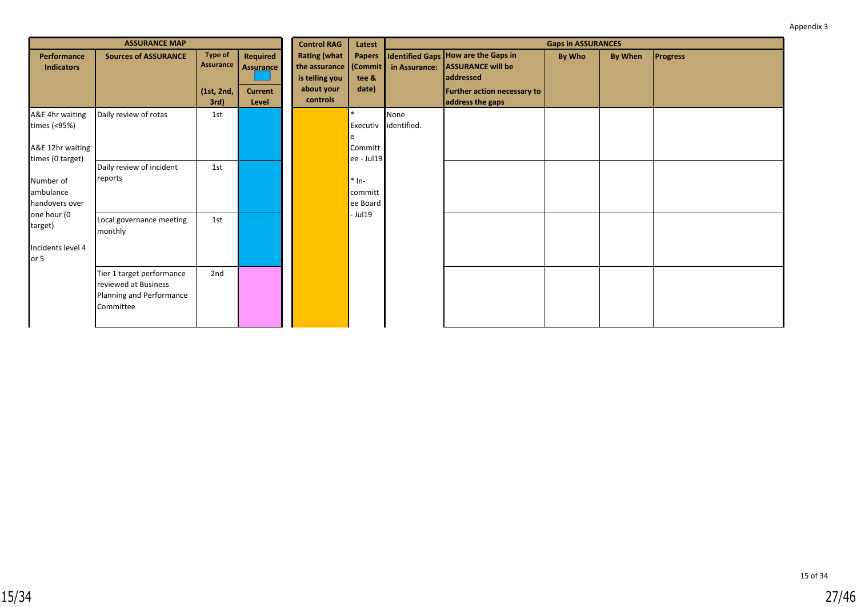|                                                              | <b>ASSURANCE MAP</b>                                                                       |                                                          |                                                  | <b>Control RAG</b>                                                                       | Latest<br><b>Papers</b><br>tee &<br>date)    | <b>Gaps in ASSURANCES</b> |                                                                                                                                        |        |         |                 |  |  |
|--------------------------------------------------------------|--------------------------------------------------------------------------------------------|----------------------------------------------------------|--------------------------------------------------|------------------------------------------------------------------------------------------|----------------------------------------------|---------------------------|----------------------------------------------------------------------------------------------------------------------------------------|--------|---------|-----------------|--|--|
| Performance<br><b>Indicators</b>                             | <b>Sources of ASSURANCE</b>                                                                | <b>Type of</b><br><b>Assurance</b><br>(1st, 2nd,<br>3rd) | Required<br>Assurance<br><b>Current</b><br>Level | <b>Rating (what</b><br>the assurance (Commit<br>is telling you<br>about your<br>controls |                                              | in Assurance:             | <b>Identified Gaps How are the Gaps in</b><br><b>ASSURANCE will be</b><br>addressed<br>Further action necessary to<br>address the gaps | By Who | By When | <b>Progress</b> |  |  |
| A&E 4hr waiting<br>times (<95%)<br>A&E 12hr waiting          | Daily review of rotas                                                                      | 1st                                                      |                                                  |                                                                                          | Executiv<br>Committ                          | None<br>identified.       |                                                                                                                                        |        |         |                 |  |  |
| times (0 target)<br>Number of<br>ambulance<br>handovers over | Daily review of incident<br>reports                                                        | 1st                                                      |                                                  |                                                                                          | ee - Jul19<br>$*$ In-<br>committ<br>ee Board |                           |                                                                                                                                        |        |         |                 |  |  |
| one hour (0<br>target)<br>Incidents level 4<br>or 5          | Local governance meeting<br>monthly                                                        | 1st                                                      |                                                  |                                                                                          | - Jul19                                      |                           |                                                                                                                                        |        |         |                 |  |  |
|                                                              | Tier 1 target performance<br>reviewed at Business<br>Planning and Performance<br>Committee | 2nd                                                      |                                                  |                                                                                          |                                              |                           |                                                                                                                                        |        |         |                 |  |  |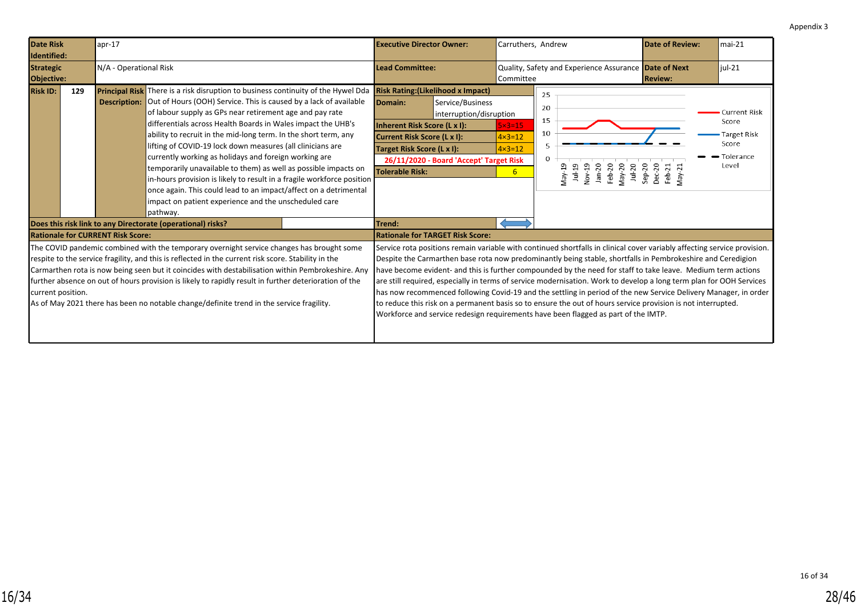<span id="page-27-0"></span>

| <b>Date Risk</b><br>Identified: |     | apr-17                                   |                                                                                                                                                                                                                                                                                                                                                                                                                                                                                                                                                                                                                                                                                                                                                                                               | <b>Executive Director Owner:</b>                                                                                                                                            |                                                                                        | Carruthers, Andrew                                                 |                                                                                                                                                                                                                                                                                                                                                                                                                                                                                                                                                                                                                                                                                                                                                                                                         | <b>Date of Review:</b>                    | $mai-21$                                                                   |
|---------------------------------|-----|------------------------------------------|-----------------------------------------------------------------------------------------------------------------------------------------------------------------------------------------------------------------------------------------------------------------------------------------------------------------------------------------------------------------------------------------------------------------------------------------------------------------------------------------------------------------------------------------------------------------------------------------------------------------------------------------------------------------------------------------------------------------------------------------------------------------------------------------------|-----------------------------------------------------------------------------------------------------------------------------------------------------------------------------|----------------------------------------------------------------------------------------|--------------------------------------------------------------------|---------------------------------------------------------------------------------------------------------------------------------------------------------------------------------------------------------------------------------------------------------------------------------------------------------------------------------------------------------------------------------------------------------------------------------------------------------------------------------------------------------------------------------------------------------------------------------------------------------------------------------------------------------------------------------------------------------------------------------------------------------------------------------------------------------|-------------------------------------------|----------------------------------------------------------------------------|
| <b>Strategic</b><br>Objective:  |     | N/A - Operational Risk                   |                                                                                                                                                                                                                                                                                                                                                                                                                                                                                                                                                                                                                                                                                                                                                                                               | <b>Lead Committee:</b>                                                                                                                                                      |                                                                                        | Quality, Safety and Experience Assurance Date of Next<br>Committee |                                                                                                                                                                                                                                                                                                                                                                                                                                                                                                                                                                                                                                                                                                                                                                                                         | <b>Review:</b>                            | $iul-21$                                                                   |
| <b>Risk ID:</b>                 | 129 |                                          | <b>Principal Risk</b> There is a risk disruption to business continuity of the Hywel Dda<br><b>Description:</b> Out of Hours (OOH) Service. This is caused by a lack of available<br>of labour supply as GPs near retirement age and pay rate<br>differentials across Health Boards in Wales impact the UHB's<br>ability to recruit in the mid-long term. In the short term, any<br>lifting of COVID-19 lock down measures (all clinicians are<br>currently working as holidays and foreign working are<br>temporarily unavailable to them) as well as possible impacts on<br>in-hours provision is likely to result in a fragile workforce position<br>once again. This could lead to an impact/affect on a detrimental<br>impact on patient experience and the unscheduled care<br>pathway. | <b>Risk Rating: (Likelihood x Impact)</b><br>Domain:<br>Inherent Risk Score (L x I):<br>Current Risk Score (L x I):<br>Target Risk Score (L x I):<br><b>Tolerable Risk:</b> | Service/Business<br>interruption/disruption<br>26/11/2020 - Board 'Accept' Target Risk | $5 \times 3 = 15$<br>$4 \times 3 = 12$<br>$4 \times 3 = 12$<br>6   | 25<br>20<br>15<br>10<br>0<br>Nov-19<br>$Jan-20$<br>Feb-20<br>May-20<br>$1 ul-19$<br>$Jul-20$<br>May-19                                                                                                                                                                                                                                                                                                                                                                                                                                                                                                                                                                                                                                                                                                  | $Sep-20$<br>Dec-20<br>Feb-21<br>$Ma$ y-21 | Current Risk<br>Score<br><b>Target Risk</b><br>Score<br>Tolerance<br>Level |
|                                 |     | <b>Rationale for CURRENT Risk Score:</b> | Does this risk link to any Directorate (operational) risks?                                                                                                                                                                                                                                                                                                                                                                                                                                                                                                                                                                                                                                                                                                                                   | Trend:<br><b>Rationale for TARGET Risk Score:</b>                                                                                                                           |                                                                                        |                                                                    |                                                                                                                                                                                                                                                                                                                                                                                                                                                                                                                                                                                                                                                                                                                                                                                                         |                                           |                                                                            |
| current position.               |     |                                          | The COVID pandemic combined with the temporary overnight service changes has brought some<br>respite to the service fragility, and this is reflected in the current risk score. Stability in the<br>Carmarthen rota is now being seen but it coincides with destabilisation within Pembrokeshire. Any<br>further absence on out of hours provision is likely to rapidly result in further deterioration of the<br>As of May 2021 there has been no notable change/definite trend in the service fragility.                                                                                                                                                                                                                                                                                    |                                                                                                                                                                             |                                                                                        |                                                                    | Service rota positions remain variable with continued shortfalls in clinical cover variably affecting service provision.<br>Despite the Carmarthen base rota now predominantly being stable, shortfalls in Pembrokeshire and Ceredigion<br>have become evident- and this is further compounded by the need for staff to take leave. Medium term actions<br>are still required, especially in terms of service modernisation. Work to develop a long term plan for OOH Services<br>has now recommenced following Covid-19 and the settling in period of the new Service Delivery Manager, in order<br>to reduce this risk on a permanent basis so to ensure the out of hours service provision is not interrupted.<br>Workforce and service redesign requirements have been flagged as part of the IMTP. |                                           |                                                                            |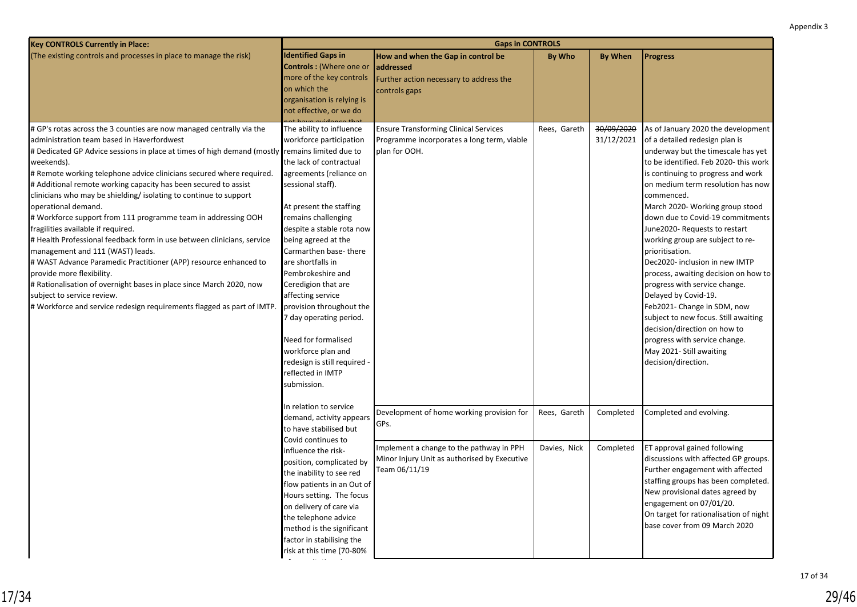| <b>Key CONTROLS Currently in Place:</b>                                                                                                                                                                                                                                                                                                                                                                                                                                                                                                                                                                                                                                                                                                                                                                                                                                                                                                                                         | <b>Gaps in CONTROLS</b>                                                                                                                                                                                                                                                                                                                                                                                                                                                                                                     |                                                                                                                                                                |                              |                          |                                                                                                                                                                                                                                                                                                                                                                                                                                                                                                                                                                                                                                                                                                                                          |  |  |  |
|---------------------------------------------------------------------------------------------------------------------------------------------------------------------------------------------------------------------------------------------------------------------------------------------------------------------------------------------------------------------------------------------------------------------------------------------------------------------------------------------------------------------------------------------------------------------------------------------------------------------------------------------------------------------------------------------------------------------------------------------------------------------------------------------------------------------------------------------------------------------------------------------------------------------------------------------------------------------------------|-----------------------------------------------------------------------------------------------------------------------------------------------------------------------------------------------------------------------------------------------------------------------------------------------------------------------------------------------------------------------------------------------------------------------------------------------------------------------------------------------------------------------------|----------------------------------------------------------------------------------------------------------------------------------------------------------------|------------------------------|--------------------------|------------------------------------------------------------------------------------------------------------------------------------------------------------------------------------------------------------------------------------------------------------------------------------------------------------------------------------------------------------------------------------------------------------------------------------------------------------------------------------------------------------------------------------------------------------------------------------------------------------------------------------------------------------------------------------------------------------------------------------------|--|--|--|
| (The existing controls and processes in place to manage the risk)                                                                                                                                                                                                                                                                                                                                                                                                                                                                                                                                                                                                                                                                                                                                                                                                                                                                                                               | <b>Identified Gaps in</b><br><b>Controls:</b> (Where one or<br>more of the key controls<br>on which the<br>organisation is relying is<br>not effective, or we do                                                                                                                                                                                                                                                                                                                                                            | How and when the Gap in control be<br>addressed<br>Further action necessary to address the<br>controls gaps                                                    | <b>By Who</b>                | <b>By When</b>           | <b>Progress</b>                                                                                                                                                                                                                                                                                                                                                                                                                                                                                                                                                                                                                                                                                                                          |  |  |  |
| # GP's rotas across the 3 counties are now managed centrally via the<br>administration team based in Haverfordwest<br># Dedicated GP Advice sessions in place at times of high demand (mostly remains limited due to<br> weekends).<br># Remote working telephone advice clinicians secured where required.<br># Additional remote working capacity has been secured to assist<br>clinicians who may be shielding/ isolating to continue to support<br>operational demand.<br># Workforce support from 111 programme team in addressing OOH<br>fragilities available if required.<br># Health Professional feedback form in use between clinicians, service<br>management and 111 (WAST) leads.<br># WAST Advance Paramedic Practitioner (APP) resource enhanced to<br>provide more flexibility.<br># Rationalisation of overnight bases in place since March 2020, now<br>subject to service review.<br># Workforce and service redesign requirements flagged as part of IMTP. | The ability to influence<br>workforce participation<br>the lack of contractual<br>agreements (reliance on<br>sessional staff).<br>At present the staffing<br>remains challenging<br>despite a stable rota now<br>being agreed at the<br>Carmarthen base-there<br>are shortfalls in<br>Pembrokeshire and<br>Ceredigion that are<br>affecting service<br>provision throughout the<br>7 day operating period.<br>Need for formalised<br>workforce plan and<br>redesign is still required -<br>reflected in IMTP<br>submission. | <b>Ensure Transforming Clinical Services</b><br>Programme incorporates a long term, viable<br>plan for OOH.                                                    | Rees, Gareth                 | 30/09/2020<br>31/12/2021 | As of January 2020 the development<br>of a detailed redesign plan is<br>underway but the timescale has yet<br>to be identified. Feb 2020-this work<br>is continuing to progress and work<br>on medium term resolution has now<br>commenced.<br>March 2020- Working group stood<br>down due to Covid-19 commitments<br>June2020- Requests to restart<br>working group are subject to re-<br>prioritisation.<br>Dec2020- inclusion in new IMTP<br>process, awaiting decision on how to<br>progress with service change.<br>Delayed by Covid-19.<br>Feb2021- Change in SDM, now<br>subject to new focus. Still awaiting<br>decision/direction on how to<br>progress with service change.<br>May 2021- Still awaiting<br>decision/direction. |  |  |  |
|                                                                                                                                                                                                                                                                                                                                                                                                                                                                                                                                                                                                                                                                                                                                                                                                                                                                                                                                                                                 | In relation to service<br>demand, activity appears<br>to have stabilised but<br>Covid continues to<br>influence the risk-<br>position, complicated by<br>the inability to see red<br>flow patients in an Out of<br>Hours setting. The focus<br>on delivery of care via<br>the telephone advice<br>method is the significant<br>factor in stabilising the<br>risk at this time (70-80%                                                                                                                                       | Development of home working provision for<br>GPs.<br>Implement a change to the pathway in PPH<br>Minor Injury Unit as authorised by Executive<br>Team 06/11/19 | Rees, Gareth<br>Davies, Nick | Completed<br>Completed   | Completed and evolving.<br><b>ET approval gained following</b><br>discussions with affected GP groups.<br>Further engagement with affected<br>staffing groups has been completed.<br>New provisional dates agreed by<br>engagement on 07/01/20.<br>On target for rationalisation of night<br>base cover from 09 March 2020                                                                                                                                                                                                                                                                                                                                                                                                               |  |  |  |

of consultations is now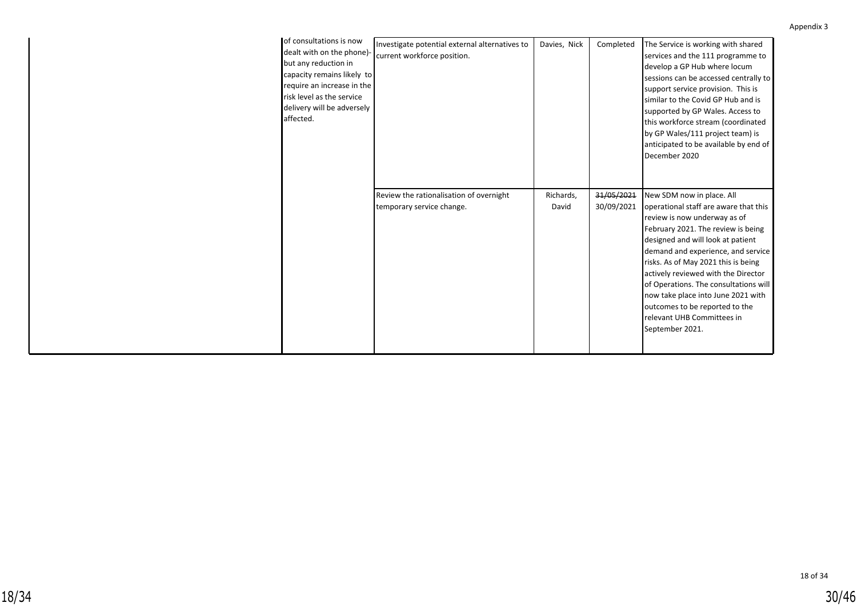| of consultations is now<br>dealt with on the phone)-<br>but any reduction in<br>capacity remains likely to<br>require an increase in the<br>risk level as the service<br>delivery will be adversely<br>laffected. | Investigate potential external alternatives to<br>current workforce position.<br>Review the rationalisation of overnight | Davies, Nick<br>Richards, | Completed<br>31/05/2021 | The Service is working with shared<br>services and the 111 programme to<br>develop a GP Hub where locum<br>sessions can be accessed centrally to<br>support service provision. This is<br>similar to the Covid GP Hub and is<br>supported by GP Wales. Access to<br>this workforce stream (coordinated<br>by GP Wales/111 project team) is<br>anticipated to be available by end of<br>December 2020<br>New SDM now in place. All      |
|-------------------------------------------------------------------------------------------------------------------------------------------------------------------------------------------------------------------|--------------------------------------------------------------------------------------------------------------------------|---------------------------|-------------------------|----------------------------------------------------------------------------------------------------------------------------------------------------------------------------------------------------------------------------------------------------------------------------------------------------------------------------------------------------------------------------------------------------------------------------------------|
|                                                                                                                                                                                                                   | temporary service change.                                                                                                | David                     | 30/09/2021              | operational staff are aware that this<br>review is now underway as of<br>February 2021. The review is being<br>designed and will look at patient<br>demand and experience, and service<br>risks. As of May 2021 this is being<br>actively reviewed with the Director<br>of Operations. The consultations will<br>now take place into June 2021 with<br>outcomes to be reported to the<br>relevant UHB Committees in<br>September 2021. |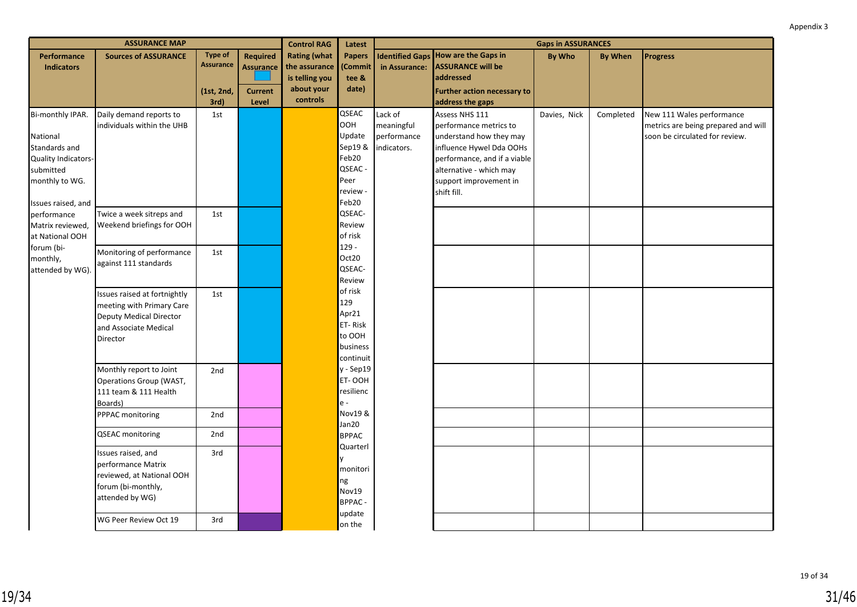|                                                                                                     | <b>ASSURANCE MAP</b>                                                                                                      |                                    |                              | <b>Control RAG</b>                                     | Latest                                                                             | <b>Gaps in ASSURANCES</b>                           |                                                                                                                                                                                                     |               |                |                                                                                                    |
|-----------------------------------------------------------------------------------------------------|---------------------------------------------------------------------------------------------------------------------------|------------------------------------|------------------------------|--------------------------------------------------------|------------------------------------------------------------------------------------|-----------------------------------------------------|-----------------------------------------------------------------------------------------------------------------------------------------------------------------------------------------------------|---------------|----------------|----------------------------------------------------------------------------------------------------|
| Performance<br><b>Indicators</b>                                                                    | <b>Sources of ASSURANCE</b>                                                                                               | <b>Type of</b><br><b>Assurance</b> | Required<br><b>Assurance</b> | <b>Rating (what</b><br>the assurance<br>is telling you | <b>Papers</b><br>(Commit<br>tee &                                                  | in Assurance:                                       | <b>Identified Gaps How are the Gaps in</b><br><b>ASSURANCE will be</b><br>addressed                                                                                                                 | <b>By Who</b> | <b>By When</b> | <b>Progress</b>                                                                                    |
|                                                                                                     |                                                                                                                           | (1st, 2nd,<br>3rd)                 | <b>Current</b><br>Level      | about your<br>controls                                 | date)                                                                              |                                                     | <b>Further action necessary to</b><br>address the gaps                                                                                                                                              |               |                |                                                                                                    |
| Bi-monthly IPAR.<br>National<br>Standards and<br>Quality Indicators-<br>submitted<br>monthly to WG. | Daily demand reports to<br>individuals within the UHB                                                                     | 1st                                |                              |                                                        | QSEAC<br>ООН<br>Update<br>Sep19 &<br>Feb20<br>QSEAC -<br>Peer<br>review ·<br>Feb20 | Lack of<br>meaningful<br>performance<br>indicators. | Assess NHS 111<br>performance metrics to<br>understand how they may<br>influence Hywel Dda OOHs<br>performance, and if a viable<br>alternative - which may<br>support improvement in<br>shift fill. | Davies, Nick  | Completed      | New 111 Wales performance<br>metrics are being prepared and will<br>soon be circulated for review. |
| Issues raised, and<br>performance<br>Matrix reviewed,<br>at National OOH                            | Twice a week sitreps and<br>Weekend briefings for OOH                                                                     | 1st                                |                              |                                                        | QSEAC-<br>Review<br>of risk                                                        |                                                     |                                                                                                                                                                                                     |               |                |                                                                                                    |
| forum (bi-<br>monthly,<br>attended by WG)                                                           | Monitoring of performance<br>against 111 standards                                                                        | 1st                                |                              |                                                        | $129 -$<br>Oct20<br>QSEAC-<br>Review                                               |                                                     |                                                                                                                                                                                                     |               |                |                                                                                                    |
|                                                                                                     | Issues raised at fortnightly<br>meeting with Primary Care<br>Deputy Medical Director<br>and Associate Medical<br>Director | 1st                                |                              |                                                        | of risk<br>129<br>Apr21<br>ET-Risk<br>to OOH<br>business<br>continuit              |                                                     |                                                                                                                                                                                                     |               |                |                                                                                                    |
|                                                                                                     | Monthly report to Joint<br>Operations Group (WAST,<br>111 team & 111 Health<br>Boards)                                    | 2nd                                |                              |                                                        | $y - Sep19$<br>ET-OOH<br>resilienc<br>$e -$                                        |                                                     |                                                                                                                                                                                                     |               |                |                                                                                                    |
|                                                                                                     | PPPAC monitoring<br><b>QSEAC</b> monitoring                                                                               | 2nd<br>2nd                         |                              |                                                        | Nov19 &<br>Jan20<br><b>BPPAC</b>                                                   |                                                     |                                                                                                                                                                                                     |               |                |                                                                                                    |
|                                                                                                     | Issues raised, and<br>performance Matrix<br>reviewed, at National OOH<br>forum (bi-monthly,<br>attended by WG)            | 3rd                                |                              |                                                        | Quarterl<br>y<br>monitori<br>ng<br>Nov19<br><b>BPPAC-</b><br>update                |                                                     |                                                                                                                                                                                                     |               |                |                                                                                                    |
|                                                                                                     | WG Peer Review Oct 19                                                                                                     | 3rd                                |                              |                                                        | on the                                                                             |                                                     |                                                                                                                                                                                                     |               |                |                                                                                                    |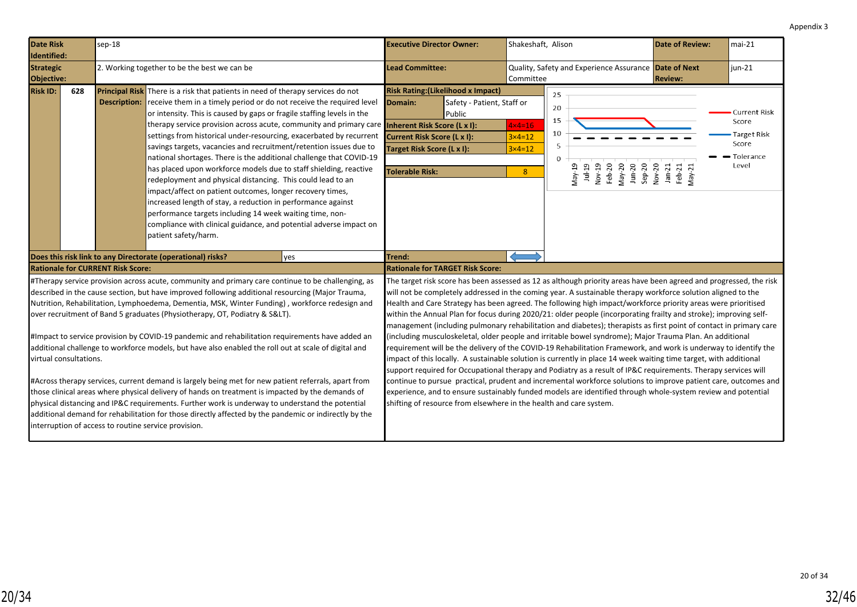<span id="page-31-0"></span>

| <b>Date Risk</b><br>Identified:                                                                                            | sep-18              |                                                                                                                                                                                                                                                                                                                                                                                                                                                                                                                                                                                                                                                                                                                                                                                                                                                                                                                                                                                                                        | <b>Executive Director Owner:</b>                                                                                                                                                                                                                                                                                                                                                                                                                                                                                                                                                                                                                                                                                                                                                                                                                                                                                                                                                                                                                                                                                                                                                                                                                                                                                                                                                                                         | Shakeshaft, Alison                                   |                                                                                                             | <b>Date of Review:</b>                 | mai-21                                                                |
|----------------------------------------------------------------------------------------------------------------------------|---------------------|------------------------------------------------------------------------------------------------------------------------------------------------------------------------------------------------------------------------------------------------------------------------------------------------------------------------------------------------------------------------------------------------------------------------------------------------------------------------------------------------------------------------------------------------------------------------------------------------------------------------------------------------------------------------------------------------------------------------------------------------------------------------------------------------------------------------------------------------------------------------------------------------------------------------------------------------------------------------------------------------------------------------|--------------------------------------------------------------------------------------------------------------------------------------------------------------------------------------------------------------------------------------------------------------------------------------------------------------------------------------------------------------------------------------------------------------------------------------------------------------------------------------------------------------------------------------------------------------------------------------------------------------------------------------------------------------------------------------------------------------------------------------------------------------------------------------------------------------------------------------------------------------------------------------------------------------------------------------------------------------------------------------------------------------------------------------------------------------------------------------------------------------------------------------------------------------------------------------------------------------------------------------------------------------------------------------------------------------------------------------------------------------------------------------------------------------------------|------------------------------------------------------|-------------------------------------------------------------------------------------------------------------|----------------------------------------|-----------------------------------------------------------------------|
| <b>Strategic</b><br>Objective:                                                                                             |                     | 2. Working together to be the best we can be                                                                                                                                                                                                                                                                                                                                                                                                                                                                                                                                                                                                                                                                                                                                                                                                                                                                                                                                                                           | <b>Lead Committee:</b>                                                                                                                                                                                                                                                                                                                                                                                                                                                                                                                                                                                                                                                                                                                                                                                                                                                                                                                                                                                                                                                                                                                                                                                                                                                                                                                                                                                                   | Committee                                            | Quality, Safety and Experience Assurance Date of Next                                                       | <b>Review:</b>                         | $jun-21$                                                              |
| <b>Risk ID:</b><br>628                                                                                                     | <b>Description:</b> | Principal Risk There is a risk that patients in need of therapy services do not<br>receive them in a timely period or do not receive the required level<br>or intensity. This is caused by gaps or fragile staffing levels in the<br>therapy service provision across acute, community and primary care <b>Inherent Risk Score (L x I):</b><br>settings from historical under-resourcing, exacerbated by recurrent<br>savings targets, vacancies and recruitment/retention issues due to<br>national shortages. There is the additional challenge that COVID-19<br>has placed upon workforce models due to staff shielding, reactive<br>redeployment and physical distancing. This could lead to an<br>impact/affect on patient outcomes, longer recovery times,<br>increased length of stay, a reduction in performance against<br>performance targets including 14 week waiting time, non-<br>compliance with clinical guidance, and potential adverse impact on<br>patient safety/harm.                             | <b>Risk Rating: (Likelihood x Impact)</b><br>Domain:<br>Safety - Patient, Staff or<br>Public<br><b>Current Risk Score (L x I):</b><br>Target Risk Score (L x I):<br><b>Tolerable Risk:</b>                                                                                                                                                                                                                                                                                                                                                                                                                                                                                                                                                                                                                                                                                                                                                                                                                                                                                                                                                                                                                                                                                                                                                                                                                               | $4 \times 4 = 16$<br>$3x4=12$<br>$3\times 4=12$<br>8 | 25<br>20<br>15<br>10<br>5<br>$\Omega$<br>May-19<br>Jul-19<br>Nov-19<br>Feb-20<br>May-20<br>Jun-20<br>Jun-20 | Nov-20<br>Jan-21<br>Feb-21<br>$May-21$ | Current Risk<br>Score<br>Target Risk<br>Score<br>• Tolerance<br>Level |
|                                                                                                                            |                     | Does this risk link to any Directorate (operational) risks?<br><b>yes</b>                                                                                                                                                                                                                                                                                                                                                                                                                                                                                                                                                                                                                                                                                                                                                                                                                                                                                                                                              | Trend:                                                                                                                                                                                                                                                                                                                                                                                                                                                                                                                                                                                                                                                                                                                                                                                                                                                                                                                                                                                                                                                                                                                                                                                                                                                                                                                                                                                                                   |                                                      |                                                                                                             |                                        |                                                                       |
| <b>Rationale for CURRENT Risk Score:</b><br>virtual consultations.<br>interruption of access to routine service provision. |                     | #Therapy service provision across acute, community and primary care continue to be challenging, as<br>described in the cause section, but have improved following additional resourcing (Major Trauma,<br>Nutrition, Rehabilitation, Lymphoedema, Dementia, MSK, Winter Funding), workforce redesign and<br>over recruitment of Band 5 graduates (Physiotherapy, OT, Podiatry & S<).<br>#Impact to service provision by COVID-19 pandemic and rehabilitation requirements have added an<br>additional challenge to workforce models, but have also enabled the roll out at scale of digital and<br>#Across therapy services, current demand is largely being met for new patient referrals, apart from<br>those clinical areas where physical delivery of hands on treatment is impacted by the demands of<br>physical distancing and IP&C requirements. Further work is underway to understand the potential<br>additional demand for rehabilitation for those directly affected by the pandemic or indirectly by the | <b>Rationale for TARGET Risk Score:</b><br>The target risk score has been assessed as 12 as although priority areas have been agreed and progressed, the risk<br>will not be completely addressed in the coming year. A sustainable therapy workforce solution aligned to the<br>Health and Care Strategy has been agreed. The following high impact/workforce priority areas were prioritised<br>within the Annual Plan for focus during 2020/21: older people (incorporating frailty and stroke); improving self-<br>management (including pulmonary rehabilitation and diabetes); therapists as first point of contact in primary care<br>(including musculoskeletal, older people and irritable bowel syndrome); Major Trauma Plan. An additional<br>requirement will be the delivery of the COVID-19 Rehabilitation Framework, and work is underway to identify the<br>impact of this locally. A sustainable solution is currently in place 14 week waiting time target, with additional<br>support required for Occupational therapy and Podiatry as a result of IP&C requirements. Therapy services will<br>continue to pursue practical, prudent and incremental workforce solutions to improve patient care, outcomes and<br>experience, and to ensure sustainably funded models are identified through whole-system review and potential<br>shifting of resource from elsewhere in the health and care system. |                                                      |                                                                                                             |                                        |                                                                       |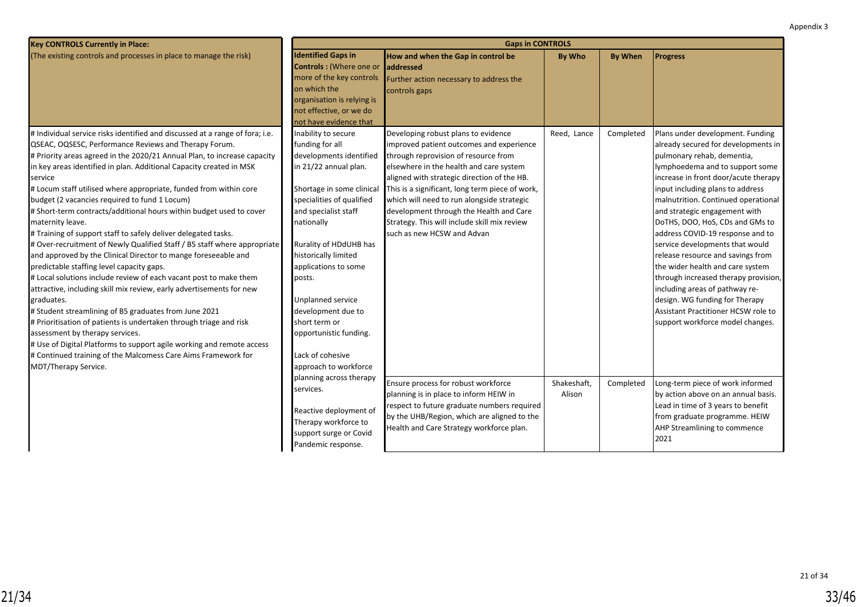| <b>Key CONTROLS Currently in Place:</b>                                                                                                                                                                                                                                                                                                                                                                                                                                                                                                                                                                                                                                                                                                                                                                                                                                                                                                                                                                                                                                                                                                                                                                                                                                          | <b>Gaps in CONTROLS</b>                                                                                                                                                                                                                                                                                                                                                                                                                      |                                                                                                                                                                                                                                                                                                                                                                                                                                             |                       |                |                                                                                                                                                                                                                                                                                                                                                                                                                                                                                                                                                                                                                                                                        |  |  |  |
|----------------------------------------------------------------------------------------------------------------------------------------------------------------------------------------------------------------------------------------------------------------------------------------------------------------------------------------------------------------------------------------------------------------------------------------------------------------------------------------------------------------------------------------------------------------------------------------------------------------------------------------------------------------------------------------------------------------------------------------------------------------------------------------------------------------------------------------------------------------------------------------------------------------------------------------------------------------------------------------------------------------------------------------------------------------------------------------------------------------------------------------------------------------------------------------------------------------------------------------------------------------------------------|----------------------------------------------------------------------------------------------------------------------------------------------------------------------------------------------------------------------------------------------------------------------------------------------------------------------------------------------------------------------------------------------------------------------------------------------|---------------------------------------------------------------------------------------------------------------------------------------------------------------------------------------------------------------------------------------------------------------------------------------------------------------------------------------------------------------------------------------------------------------------------------------------|-----------------------|----------------|------------------------------------------------------------------------------------------------------------------------------------------------------------------------------------------------------------------------------------------------------------------------------------------------------------------------------------------------------------------------------------------------------------------------------------------------------------------------------------------------------------------------------------------------------------------------------------------------------------------------------------------------------------------------|--|--|--|
| (The existing controls and processes in place to manage the risk)                                                                                                                                                                                                                                                                                                                                                                                                                                                                                                                                                                                                                                                                                                                                                                                                                                                                                                                                                                                                                                                                                                                                                                                                                | <b>Identified Gaps in</b><br>Controls: (Where one or<br>more of the key controls<br>on which the<br>organisation is relying is<br>not effective, or we do<br>not have evidence that                                                                                                                                                                                                                                                          | How and when the Gap in control be<br>laddressed<br>Further action necessary to address the<br>controls gaps                                                                                                                                                                                                                                                                                                                                | <b>By Who</b>         | <b>By When</b> | <b>Progress</b>                                                                                                                                                                                                                                                                                                                                                                                                                                                                                                                                                                                                                                                        |  |  |  |
| # Individual service risks identified and discussed at a range of fora; i.e.<br>QSEAC, OQSESC, Performance Reviews and Therapy Forum.<br># Priority areas agreed in the 2020/21 Annual Plan, to increase capacity<br>in key areas identified in plan. Additional Capacity created in MSK<br>service<br># Locum staff utilised where appropriate, funded from within core<br>budget (2 vacancies required to fund 1 Locum)<br># Short-term contracts/additional hours within budget used to cover<br>maternity leave.<br># Training of support staff to safely deliver delegated tasks.<br># Over-recruitment of Newly Qualified Staff / B5 staff where appropriate<br>and approved by the Clinical Director to mange foreseeable and<br>predictable staffing level capacity gaps.<br># Local solutions include review of each vacant post to make them<br>attractive, including skill mix review, early advertisements for new<br>graduates.<br># Student streamlining of B5 graduates from June 2021<br># Prioritisation of patients is undertaken through triage and risk<br>assessment by therapy services.<br># Use of Digital Platforms to support agile working and remote access<br># Continued training of the Malcomess Care Aims Framework for<br>MDT/Therapy Service. | Inability to secure<br>funding for all<br>developments identified<br>in 21/22 annual plan.<br>Shortage in some clinical<br>specialities of qualified<br>and specialist staff<br>nationally<br>Rurality of HDdUHB has<br>historically limited<br>applications to some<br>posts.<br>Unplanned service<br>development due to<br>short term or<br>opportunistic funding.<br>Lack of cohesive<br>approach to workforce<br>planning across therapy | Developing robust plans to evidence<br>improved patient outcomes and experience<br>through reprovision of resource from<br>elsewhere in the health and care system<br>aligned with strategic direction of the HB.<br>This is a significant, long term piece of work,<br>which will need to run alongside strategic<br>development through the Health and Care<br>Strategy. This will include skill mix review<br>such as new HCSW and Advan | Reed, Lance           | Completed      | Plans under development. Funding<br>already secured for developments in<br>pulmonary rehab, dementia,<br>lymphoedema and to support some<br>increase in front door/acute therapy<br>input including plans to address<br>malnutrition. Continued operational<br>and strategic engagement with<br>DoTHS, DOO, HoS, CDs and GMs to<br>address COVID-19 response and to<br>service developments that would<br>release resource and savings from<br>the wider health and care system<br>through increased therapy provision,<br>including areas of pathway re-<br>design. WG funding for Therapy<br>Assistant Practitioner HCSW role to<br>support workforce model changes. |  |  |  |
|                                                                                                                                                                                                                                                                                                                                                                                                                                                                                                                                                                                                                                                                                                                                                                                                                                                                                                                                                                                                                                                                                                                                                                                                                                                                                  | services.<br>Reactive deployment of<br>Therapy workforce to<br>support surge or Covid<br>Pandemic response.                                                                                                                                                                                                                                                                                                                                  | Ensure process for robust workforce<br>planning is in place to inform HEIW in<br>respect to future graduate numbers required<br>by the UHB/Region, which are aligned to the<br>Health and Care Strategy workforce plan.                                                                                                                                                                                                                     | Shakeshaft,<br>Alison | Completed      | Long-term piece of work informed<br>by action above on an annual basis.<br>Lead in time of 3 years to benefit<br>from graduate programme. HEIW<br>AHP Streamlining to commence<br>2021                                                                                                                                                                                                                                                                                                                                                                                                                                                                                 |  |  |  |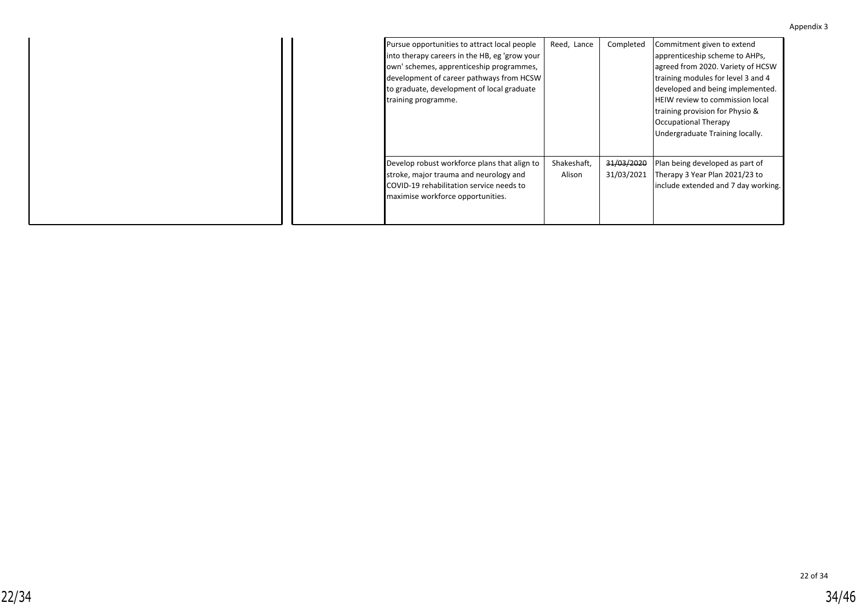| Appendix 3 |  |
|------------|--|
|------------|--|

| Pursue opportunities to attract local people<br>into therapy careers in the HB, eg 'grow your<br>own' schemes, apprenticeship programmes,<br>development of career pathways from HCSW<br>to graduate, development of local graduate<br>training programme. | Reed, Lance           | Completed                | Commitment given to extend<br>apprenticeship scheme to AHPs,<br>agreed from 2020. Variety of HCSW<br>training modules for level 3 and 4<br>developed and being implemented.<br><b>HEIW review to commission local</b><br>training provision for Physio &<br>Occupational Therapy<br>Undergraduate Training locally. |
|------------------------------------------------------------------------------------------------------------------------------------------------------------------------------------------------------------------------------------------------------------|-----------------------|--------------------------|---------------------------------------------------------------------------------------------------------------------------------------------------------------------------------------------------------------------------------------------------------------------------------------------------------------------|
| Develop robust workforce plans that align to<br>stroke, major trauma and neurology and<br>COVID-19 rehabilitation service needs to<br>maximise workforce opportunities.                                                                                    | Shakeshaft,<br>Alison | 31/03/2020<br>31/03/2021 | Plan being developed as part of<br>Therapy 3 Year Plan 2021/23 to<br>include extended and 7 day working.                                                                                                                                                                                                            |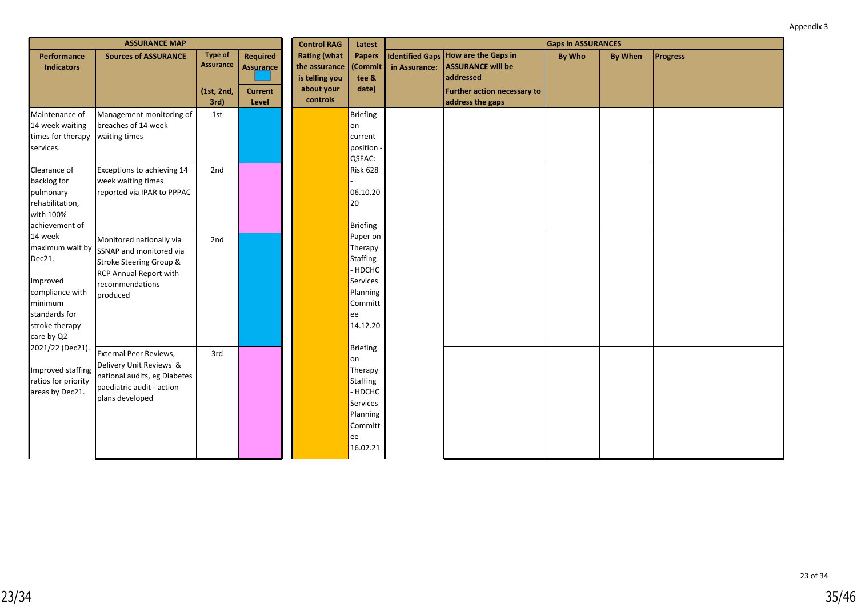|                                                                                                                                 | <b>ASSURANCE MAP</b>                                                                                                                    |                                                  |                                                       | <b>Control RAG</b>                                                               | Latest                                                                                                        | <b>Gaps in ASSURANCES</b> |                                                                                                                    |               |                |                 |
|---------------------------------------------------------------------------------------------------------------------------------|-----------------------------------------------------------------------------------------------------------------------------------------|--------------------------------------------------|-------------------------------------------------------|----------------------------------------------------------------------------------|---------------------------------------------------------------------------------------------------------------|---------------------------|--------------------------------------------------------------------------------------------------------------------|---------------|----------------|-----------------|
| Performance<br><b>Indicators</b>                                                                                                | <b>Sources of ASSURANCE</b>                                                                                                             | <b>Type of</b><br><b>Assurance</b><br>(1st, 2nd, | <b>Required</b><br><b>Assurance</b><br><b>Current</b> | <b>Rating (what</b><br>the assurance<br>is telling you<br>about your<br>controls | <b>Papers</b><br>Commit<br>tee &<br>date)                                                                     | in Assurance:             | <b>Identified Gaps How are the Gaps in</b><br><b>ASSURANCE will be</b><br>addressed<br>Further action necessary to | <b>By Who</b> | <b>By When</b> | <b>Progress</b> |
|                                                                                                                                 |                                                                                                                                         | 3rd)                                             | Level                                                 |                                                                                  |                                                                                                               |                           | address the gaps                                                                                                   |               |                |                 |
| Maintenance of<br>14 week waiting<br>times for therapy<br>services.                                                             | Management monitoring of<br>breaches of 14 week<br>waiting times                                                                        | 1st                                              |                                                       |                                                                                  | <b>Briefing</b><br>lon<br>current<br>position<br>QSEAC:                                                       |                           |                                                                                                                    |               |                |                 |
| Clearance of<br>backlog for<br>pulmonary<br>rehabilitation,<br>with 100%<br>achievement of                                      | Exceptions to achieving 14<br>week waiting times<br>reported via IPAR to PPPAC                                                          | 2nd                                              |                                                       |                                                                                  | <b>Risk 628</b><br>06.10.20<br>20<br>Briefing                                                                 |                           |                                                                                                                    |               |                |                 |
| 14 week<br>maximum wait by<br>Dec21.<br>Improved<br>compliance with<br>minimum<br>standards for<br>stroke therapy<br>care by Q2 | Monitored nationally via<br>SSNAP and monitored via<br>Stroke Steering Group &<br>RCP Annual Report with<br>recommendations<br>produced | 2nd                                              |                                                       |                                                                                  | Paper on<br>Therapy<br>Staffing<br>- HDCHC<br><b>Services</b><br>Planning<br>Committ<br>lee<br>14.12.20       |                           |                                                                                                                    |               |                |                 |
| 2021/22 (Dec21).<br>Improved staffing<br>ratios for priority<br>areas by Dec21.                                                 | External Peer Reviews,<br>Delivery Unit Reviews &<br>national audits, eg Diabetes<br>paediatric audit - action<br>plans developed       | 3rd                                              |                                                       |                                                                                  | Briefing<br>lon<br>Therapy<br>Staffing<br>- HDCHC<br><b>Services</b><br>Planning<br>Committ<br>ee<br>16.02.21 |                           |                                                                                                                    |               |                |                 |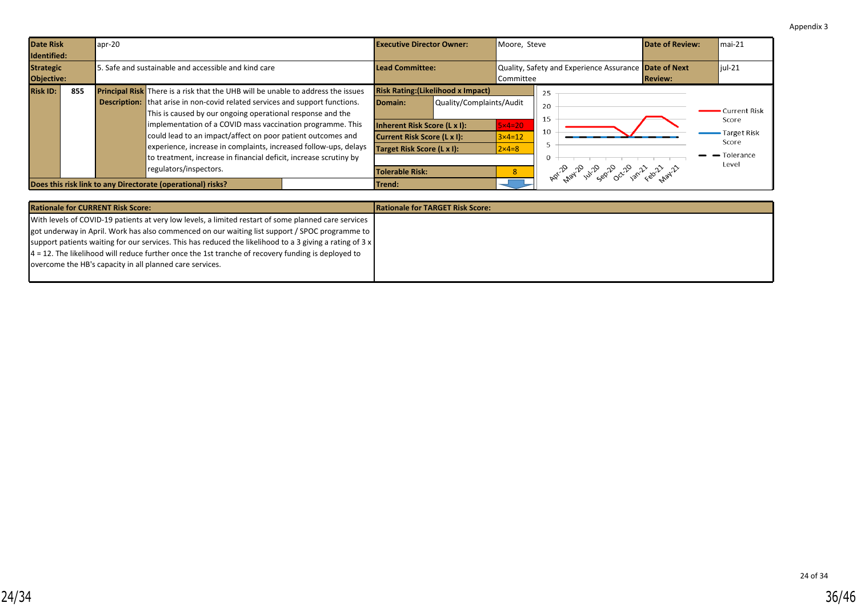<span id="page-35-0"></span>

| <b>Date Risk</b><br>Identified: |     | $apr-20$ |                                                                                                                                                                                                                                                                                                                                                                                                                                                                                                                                              |  | <b>Executive Director Owner:</b>                                                                                                                                     |                          | Moore, Steve                                           |                                                           | Date of Review: | $Imai-21$                                                               |
|---------------------------------|-----|----------|----------------------------------------------------------------------------------------------------------------------------------------------------------------------------------------------------------------------------------------------------------------------------------------------------------------------------------------------------------------------------------------------------------------------------------------------------------------------------------------------------------------------------------------------|--|----------------------------------------------------------------------------------------------------------------------------------------------------------------------|--------------------------|--------------------------------------------------------|-----------------------------------------------------------|-----------------|-------------------------------------------------------------------------|
| <b>Strategic</b><br>Objective:  |     |          | 5. Safe and sustainable and accessible and kind care                                                                                                                                                                                                                                                                                                                                                                                                                                                                                         |  | Lead Committee:<br>Committee                                                                                                                                         |                          |                                                        | Quality, Safety and Experience Assurance Date of Next     | <b>Review:</b>  | $ $ jul-21                                                              |
| <b>Risk ID:</b>                 | 855 |          | <b>Principal Risk</b> There is a risk that the UHB will be unable to address the issues<br><b>Description:</b> that arise in non-covid related services and support functions.<br>This is caused by our ongoing operational response and the<br>implementation of a COVID mass vaccination programme. This<br>could lead to an impact/affect on poor patient outcomes and<br>experience, increase in complaints, increased follow-ups, delays<br>to treatment, increase in financial deficit, increase scrutiny by<br>regulators/inspectors. |  | <b>Risk Rating: (Likelihood x Impact)</b><br>Domain:<br>Inherent Risk Score (L x I):<br>Current Risk Score (L x I):<br>Target Risk Score (L x I):<br>Tolerable Risk: | Quality/Complaints/Audit | $5\times 4=20$<br>$3\times 4=12$<br>$2\times 4=8$<br>8 | 25<br>20<br>15<br>10<br>Apr 12 12 12 28 20 22 23 23 23 24 |                 | Current Risk<br>Score<br>- Target Risk<br>Score<br>- Tolerance<br>Level |
|                                 |     |          | Does this risk link to any Directorate (operational) risks?                                                                                                                                                                                                                                                                                                                                                                                                                                                                                  |  | lTrend:                                                                                                                                                              |                          |                                                        |                                                           |                 |                                                                         |

| <b>Rationale for CURRENT Risk Score:</b>                                                                        | <b>IRationale for TARGET Risk Score:</b> |
|-----------------------------------------------------------------------------------------------------------------|------------------------------------------|
| With levels of COVID-19 patients at very low levels, a limited restart of some planned care services            |                                          |
| <b>got underway in April. Work has also commenced on our waiting list support / SPOC programme to  </b>         |                                          |
| support patients waiting for our services. This has reduced the likelihood to a 3 giving a rating of $3 \times$ |                                          |
| $4 = 12$ . The likelihood will reduce further once the 1st tranche of recovery funding is deployed to           |                                          |
| overcome the HB's capacity in all planned care services.                                                        |                                          |
|                                                                                                                 |                                          |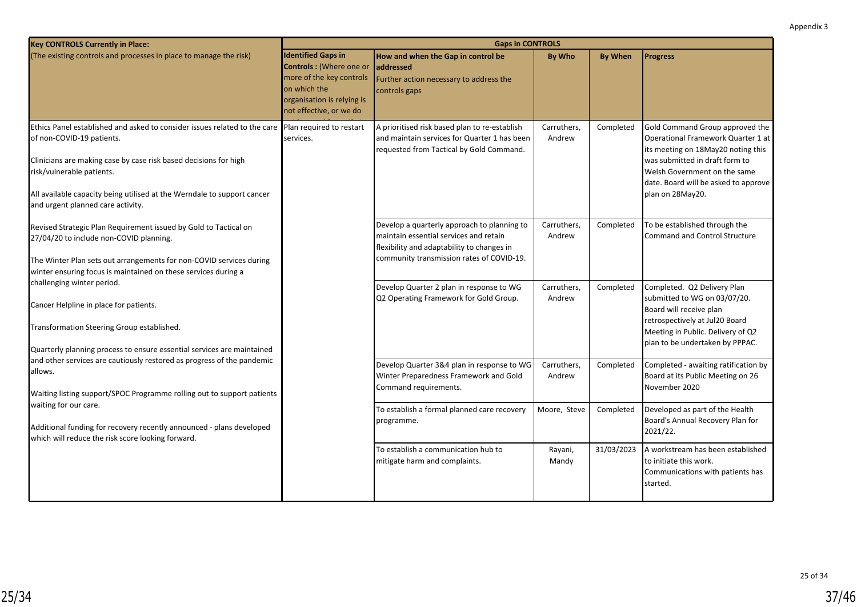| <b>Key CONTROLS Currently in Place:</b>                                                                                                                                                                                                                                                                                                          |                                                                                                                                                            | <b>Gaps in CONTROLS</b>                                                                                                                                                          |                       |                |                                                                                                                                                                                                                                           |
|--------------------------------------------------------------------------------------------------------------------------------------------------------------------------------------------------------------------------------------------------------------------------------------------------------------------------------------------------|------------------------------------------------------------------------------------------------------------------------------------------------------------|----------------------------------------------------------------------------------------------------------------------------------------------------------------------------------|-----------------------|----------------|-------------------------------------------------------------------------------------------------------------------------------------------------------------------------------------------------------------------------------------------|
| (The existing controls and processes in place to manage the risk)                                                                                                                                                                                                                                                                                | <b>Identified Gaps in</b><br>Controls : (Where one or<br>more of the key controls<br>on which the<br>organisation is relying is<br>not effective, or we do | How and when the Gap in control be<br>addressed<br>Further action necessary to address the<br>controls gaps                                                                      | <b>By Who</b>         | <b>By When</b> | <b>Progress</b>                                                                                                                                                                                                                           |
| Ethics Panel established and asked to consider issues related to the care Plan required to restart<br>of non-COVID-19 patients.<br>Clinicians are making case by case risk based decisions for high<br>risk/vulnerable patients.<br>All available capacity being utilised at the Werndale to support cancer<br>and urgent planned care activity. | services.                                                                                                                                                  | A prioritised risk based plan to re-establish<br>and maintain services for Quarter 1 has been<br>requested from Tactical by Gold Command.                                        | Carruthers,<br>Andrew | Completed      | Gold Command Group approved the<br>Operational Framework Quarter 1 at<br>its meeting on 18May20 noting this<br>was submitted in draft form to<br>Welsh Government on the same<br>date. Board will be asked to approve<br>plan on 28May20. |
| Revised Strategic Plan Requirement issued by Gold to Tactical on<br>27/04/20 to include non-COVID planning.<br>The Winter Plan sets out arrangements for non-COVID services during<br>winter ensuring focus is maintained on these services during a                                                                                             |                                                                                                                                                            | Develop a quarterly approach to planning to<br>maintain essential services and retain<br>flexibility and adaptability to changes in<br>community transmission rates of COVID-19. | Carruthers,<br>Andrew | Completed      | To be established through the<br><b>Command and Control Structure</b>                                                                                                                                                                     |
| challenging winter period.<br>Cancer Helpline in place for patients.<br>Transformation Steering Group established.<br>Quarterly planning process to ensure essential services are maintained                                                                                                                                                     |                                                                                                                                                            | Develop Quarter 2 plan in response to WG<br>Q2 Operating Framework for Gold Group.                                                                                               | Carruthers,<br>Andrew | Completed      | Completed. Q2 Delivery Plan<br>submitted to WG on 03/07/20.<br>Board will receive plan<br>retrospectively at Jul20 Board<br>Meeting in Public. Delivery of Q2<br>plan to be undertaken by PPPAC.                                          |
| and other services are cautiously restored as progress of the pandemic<br>allows.<br>Waiting listing support/SPOC Programme rolling out to support patients                                                                                                                                                                                      |                                                                                                                                                            | Develop Quarter 3&4 plan in response to WG<br>Winter Preparedness Framework and Gold<br>Command requirements.                                                                    | Carruthers,<br>Andrew | Completed      | Completed - awaiting ratification by<br>Board at its Public Meeting on 26<br>November 2020                                                                                                                                                |
| waiting for our care.<br>Additional funding for recovery recently announced - plans developed<br>which will reduce the risk score looking forward.                                                                                                                                                                                               |                                                                                                                                                            | To establish a formal planned care recovery<br>programme.                                                                                                                        | Moore, Steve          | Completed      | Developed as part of the Health<br>Board's Annual Recovery Plan for<br>2021/22.                                                                                                                                                           |
|                                                                                                                                                                                                                                                                                                                                                  |                                                                                                                                                            | To establish a communication hub to<br>mitigate harm and complaints.                                                                                                             | Rayani,<br>Mandy      | 31/03/2023     | A workstream has been established<br>to initiate this work.<br>Communications with patients has<br>started.                                                                                                                               |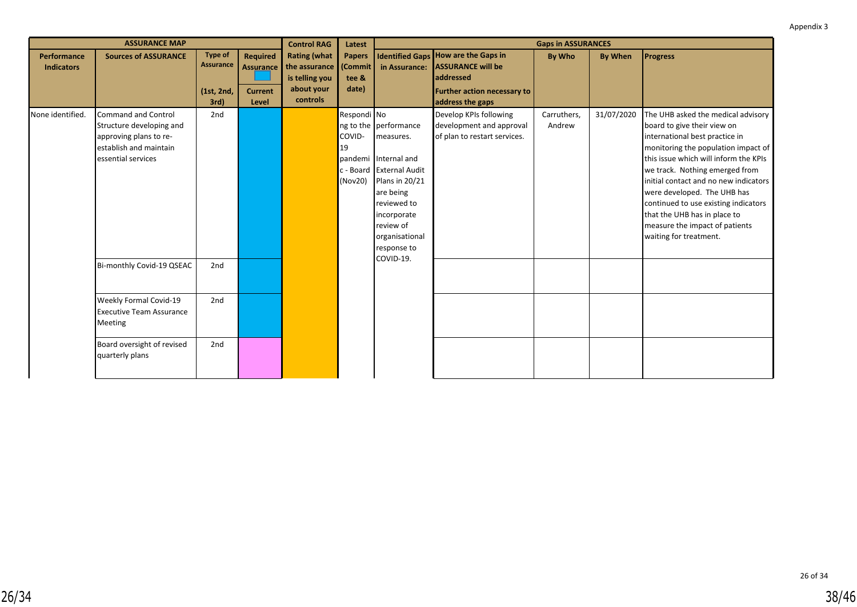|                                         | <b>ASSURANCE MAP</b>                                                                                                      |                                                          |                                                                | <b>Control RAG</b>                                                               | Latest                                      |                                                                                                                                                                                                                |                                                                                                                                               | <b>Gaps in ASSURANCES</b> |            |                                                                                                                                                                                                                                                                                                                                                                                                                                   |
|-----------------------------------------|---------------------------------------------------------------------------------------------------------------------------|----------------------------------------------------------|----------------------------------------------------------------|----------------------------------------------------------------------------------|---------------------------------------------|----------------------------------------------------------------------------------------------------------------------------------------------------------------------------------------------------------------|-----------------------------------------------------------------------------------------------------------------------------------------------|---------------------------|------------|-----------------------------------------------------------------------------------------------------------------------------------------------------------------------------------------------------------------------------------------------------------------------------------------------------------------------------------------------------------------------------------------------------------------------------------|
| <b>Performance</b><br><b>Indicators</b> | <b>Sources of ASSURANCE</b>                                                                                               | <b>Type of</b><br><b>Assurance</b><br>(1st, 2nd,<br>3rd) | <b>Required</b><br><b>Assurance</b><br><b>Current</b><br>Level | <b>Rating (what</b><br>the assurance<br>is telling you<br>about your<br>controls | <b>Papers</b><br>(Commit)<br>tee &<br>date) | in Assurance:                                                                                                                                                                                                  | <b>Identified Gaps How are the Gaps in</b><br><b>ASSURANCE will be</b><br>addressed<br><b>Further action necessary to</b><br>address the gaps | By Who                    | By When    | <b>Progress</b>                                                                                                                                                                                                                                                                                                                                                                                                                   |
| None identified.                        | Command and Control<br>Structure developing and<br>approving plans to re-<br>establish and maintain<br>essential services | 2nd                                                      |                                                                |                                                                                  | Respondi No<br>COVID-<br>19<br>(Nov20)      | ng to the performance<br>measures.<br>pandemi Internal and<br>c - Board External Audit<br>Plans in 20/21<br>are being<br>reviewed to<br>incorporate<br>review of<br>organisational<br>response to<br>COVID-19. | Develop KPIs following<br>development and approval<br>of plan to restart services.                                                            | Carruthers,<br>Andrew     | 31/07/2020 | The UHB asked the medical advisory<br>board to give their view on<br>international best practice in<br>monitoring the population impact of<br>this issue which will inform the KPIs<br>we track. Nothing emerged from<br>initial contact and no new indicators<br>were developed. The UHB has<br>continued to use existing indicators<br>that the UHB has in place to<br>measure the impact of patients<br>waiting for treatment. |
|                                         | Bi-monthly Covid-19 QSEAC                                                                                                 | 2nd                                                      |                                                                |                                                                                  |                                             |                                                                                                                                                                                                                |                                                                                                                                               |                           |            |                                                                                                                                                                                                                                                                                                                                                                                                                                   |
|                                         | Weekly Formal Covid-19<br><b>Executive Team Assurance</b><br>Meeting                                                      | 2nd                                                      |                                                                |                                                                                  |                                             |                                                                                                                                                                                                                |                                                                                                                                               |                           |            |                                                                                                                                                                                                                                                                                                                                                                                                                                   |
|                                         | Board oversight of revised<br>quarterly plans                                                                             | 2nd                                                      |                                                                |                                                                                  |                                             |                                                                                                                                                                                                                |                                                                                                                                               |                           |            |                                                                                                                                                                                                                                                                                                                                                                                                                                   |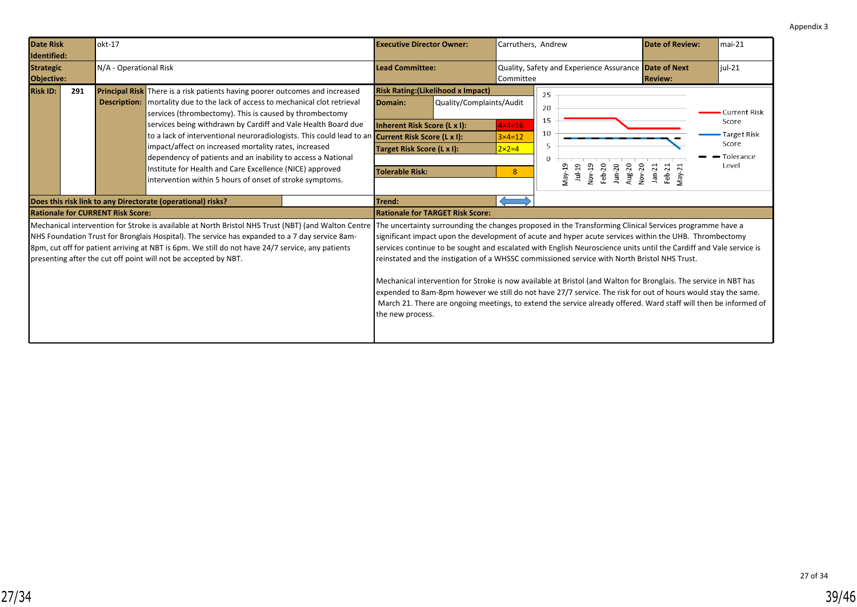<span id="page-38-0"></span>

| <b>Date Risk</b><br>Identified:                                                                                                                                                                                                                                                                                                                                                                                                                                                      |     | $lokt-17$                                |                                                                                                                                                                                                                                                                                                                                                                                                                                                                                                                                                                                                                                  |                                                                                                                                                                             | <b>Executive Director Owner:</b>        |                                                                              | Carruthers, Andrew                                                                                                                                                                                                                                                                                                                                                                                                                                                                                                                                                                                                                                                                    |                                                       | <b>Date of Review:</b>                                                     | $mai-21$ |  |  |
|--------------------------------------------------------------------------------------------------------------------------------------------------------------------------------------------------------------------------------------------------------------------------------------------------------------------------------------------------------------------------------------------------------------------------------------------------------------------------------------|-----|------------------------------------------|----------------------------------------------------------------------------------------------------------------------------------------------------------------------------------------------------------------------------------------------------------------------------------------------------------------------------------------------------------------------------------------------------------------------------------------------------------------------------------------------------------------------------------------------------------------------------------------------------------------------------------|-----------------------------------------------------------------------------------------------------------------------------------------------------------------------------|-----------------------------------------|------------------------------------------------------------------------------|---------------------------------------------------------------------------------------------------------------------------------------------------------------------------------------------------------------------------------------------------------------------------------------------------------------------------------------------------------------------------------------------------------------------------------------------------------------------------------------------------------------------------------------------------------------------------------------------------------------------------------------------------------------------------------------|-------------------------------------------------------|----------------------------------------------------------------------------|----------|--|--|
| <b>Strategic</b><br>Objective:                                                                                                                                                                                                                                                                                                                                                                                                                                                       |     | N/A - Operational Risk                   |                                                                                                                                                                                                                                                                                                                                                                                                                                                                                                                                                                                                                                  |                                                                                                                                                                             | <b>Lead Committee:</b>                  |                                                                              | Committee                                                                                                                                                                                                                                                                                                                                                                                                                                                                                                                                                                                                                                                                             | Quality, Safety and Experience Assurance Date of Next | <b>Review:</b>                                                             | $iul-21$ |  |  |
| <b>Risk ID:</b>                                                                                                                                                                                                                                                                                                                                                                                                                                                                      | 291 |                                          | <b>Principal Risk</b> There is a risk patients having poorer outcomes and increased<br><b>Description:</b> mortality due to the lack of access to mechanical clot retrieval<br>services (thrombectomy). This is caused by thrombectomy<br>services being withdrawn by Cardiff and Vale Health Board due<br>to a lack of interventional neuroradiologists. This could lead to an<br>impact/affect on increased mortality rates, increased<br>dependency of patients and an inability to access a National<br>Institute for Health and Care Excellence (NICE) approved<br>intervention within 5 hours of onset of stroke symptoms. | <b>Risk Rating: (Likelihood x Impact)</b><br>Domain:<br>Inherent Risk Score (L x I):<br>Current Risk Score (L x I):<br>Target Risk Score (L x I):<br><b>Tolerable Risk:</b> | Quality/Complaints/Audit                | $4 \times 4 = 16$<br>$3 \times 4 = 12$<br>$2 \times 2 = 4$<br>8 <sup>°</sup> | 25<br>20<br>15<br>10<br>5<br>$\mathbf{0}$<br>May-19<br>Nov-19<br>Feb-20<br>Aug-20<br>$1ul-19$<br>Jun-20                                                                                                                                                                                                                                                                                                                                                                                                                                                                                                                                                                               | Nov-20<br>$Jan-21$<br>Feb-21<br>$Map-21$              | <b>Current Risk</b><br>Score<br>Target Risk<br>Score<br>Tolerance<br>Level |          |  |  |
|                                                                                                                                                                                                                                                                                                                                                                                                                                                                                      |     |                                          | Does this risk link to any Directorate (operational) risks?                                                                                                                                                                                                                                                                                                                                                                                                                                                                                                                                                                      |                                                                                                                                                                             | Trend:                                  |                                                                              |                                                                                                                                                                                                                                                                                                                                                                                                                                                                                                                                                                                                                                                                                       |                                                       |                                                                            |          |  |  |
|                                                                                                                                                                                                                                                                                                                                                                                                                                                                                      |     | <b>Rationale for CURRENT Risk Score:</b> |                                                                                                                                                                                                                                                                                                                                                                                                                                                                                                                                                                                                                                  |                                                                                                                                                                             | <b>Rationale for TARGET Risk Score:</b> |                                                                              |                                                                                                                                                                                                                                                                                                                                                                                                                                                                                                                                                                                                                                                                                       |                                                       |                                                                            |          |  |  |
| Mechanical intervention for Stroke is available at North Bristol NHS Trust (NBT) (and Walton Centre The uncertainty surrounding the changes proposed in the Transforming Clinical Services programme have a<br>NHS Foundation Trust for Bronglais Hospital). The service has expanded to a 7 day service 8am-<br>8pm, cut off for patient arriving at NBT is 6pm. We still do not have 24/7 service, any patients<br>presenting after the cut off point will not be accepted by NBT. |     |                                          |                                                                                                                                                                                                                                                                                                                                                                                                                                                                                                                                                                                                                                  | the new process.                                                                                                                                                            |                                         |                                                                              | significant impact upon the development of acute and hyper acute services within the UHB. Thrombectomy<br>services continue to be sought and escalated with English Neuroscience units until the Cardiff and Vale service is<br>reinstated and the instigation of a WHSSC commissioned service with North Bristol NHS Trust.<br>Mechanical intervention for Stroke is now available at Bristol (and Walton for Bronglais. The service in NBT has<br>expended to 8am-8pm however we still do not have 27/7 service. The risk for out of hours would stay the same.<br>March 21. There are ongoing meetings, to extend the service already offered. Ward staff will then be informed of |                                                       |                                                                            |          |  |  |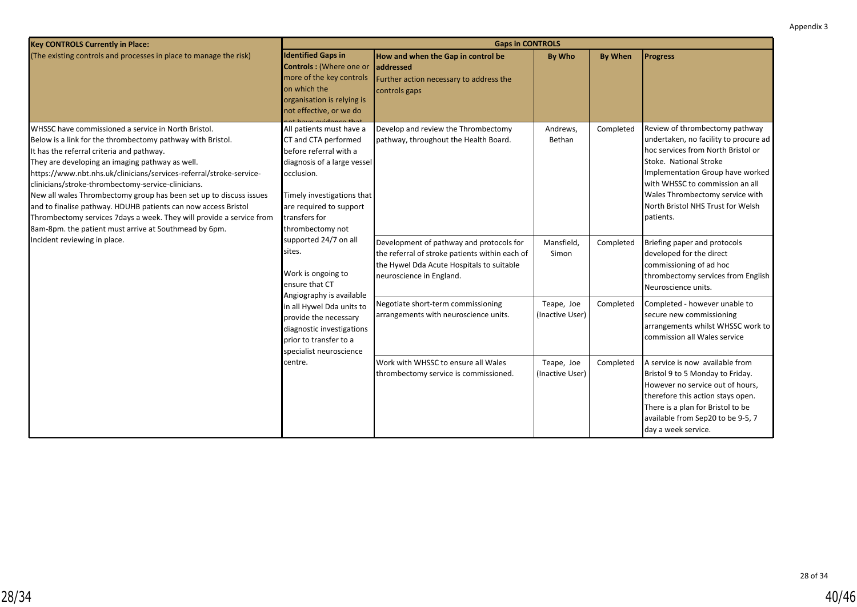| <b>Key CONTROLS Currently in Place:</b>                                                                                                                                                                                                                                                                                                                                                                                                                                                                                                                                                                                  |                                                                                                                                                                                                                       | <b>Gaps in CONTROLS</b>                                                                                                                                             |                               |                |                                                                                                                                                                                                                                                                                                     |
|--------------------------------------------------------------------------------------------------------------------------------------------------------------------------------------------------------------------------------------------------------------------------------------------------------------------------------------------------------------------------------------------------------------------------------------------------------------------------------------------------------------------------------------------------------------------------------------------------------------------------|-----------------------------------------------------------------------------------------------------------------------------------------------------------------------------------------------------------------------|---------------------------------------------------------------------------------------------------------------------------------------------------------------------|-------------------------------|----------------|-----------------------------------------------------------------------------------------------------------------------------------------------------------------------------------------------------------------------------------------------------------------------------------------------------|
| (The existing controls and processes in place to manage the risk)                                                                                                                                                                                                                                                                                                                                                                                                                                                                                                                                                        | <b>Identified Gaps in</b><br><b>Controls: (Where one or</b><br>more of the key controls<br>on which the<br>organisation is relying is<br>not effective, or we do                                                      | How and when the Gap in control be<br>laddressed<br>Further action necessary to address the<br>controls gaps                                                        | By Who                        | <b>By When</b> | <b>Progress</b>                                                                                                                                                                                                                                                                                     |
| WHSSC have commissioned a service in North Bristol.<br>Below is a link for the thrombectomy pathway with Bristol.<br>It has the referral criteria and pathway.<br>They are developing an imaging pathway as well.<br>https://www.nbt.nhs.uk/clinicians/services-referral/stroke-service-<br>clinicians/stroke-thrombectomy-service-clinicians.<br>New all wales Thrombectomy group has been set up to discuss issues<br>and to finalise pathway. HDUHB patients can now access Bristol<br>Thrombectomy services 7 days a week. They will provide a service from<br>8am-8pm. the patient must arrive at Southmead by 6pm. | All patients must have a<br>CT and CTA performed<br>before referral with a<br>diagnosis of a large vessel<br>occlusion.<br>Timely investigations that<br>are required to support<br>transfers for<br>thrombectomy not | Develop and review the Thrombectomy<br>pathway, throughout the Health Board.                                                                                        | Andrews,<br>Bethan            | Completed      | Review of thrombectomy pathway<br>undertaken, no facility to procure ad<br>hoc services from North Bristol or<br>Stoke. National Stroke<br>Implementation Group have worked<br>with WHSSC to commission an all<br>Wales Thrombectomy service with<br>North Bristol NHS Trust for Welsh<br>patients. |
| Incident reviewing in place.                                                                                                                                                                                                                                                                                                                                                                                                                                                                                                                                                                                             | supported 24/7 on all<br>sites.<br>Work is ongoing to<br>ensure that CT                                                                                                                                               | Development of pathway and protocols for<br>the referral of stroke patients within each of<br>the Hywel Dda Acute Hospitals to suitable<br>neuroscience in England. | Mansfield,<br>Simon           | Completed      | Briefing paper and protocols<br>developed for the direct<br>commissioning of ad hoc<br>thrombectomy services from English<br>Neuroscience units.                                                                                                                                                    |
|                                                                                                                                                                                                                                                                                                                                                                                                                                                                                                                                                                                                                          | Angiography is available<br>in all Hywel Dda units to<br>provide the necessary<br>diagnostic investigations<br>prior to transfer to a<br>specialist neuroscience                                                      | Negotiate short-term commissioning<br>arrangements with neuroscience units.                                                                                         | Teape, Joe<br>(Inactive User) | Completed      | Completed - however unable to<br>secure new commissioning<br>arrangements whilst WHSSC work to<br>commission all Wales service                                                                                                                                                                      |
|                                                                                                                                                                                                                                                                                                                                                                                                                                                                                                                                                                                                                          | centre.                                                                                                                                                                                                               | Work with WHSSC to ensure all Wales<br>thrombectomy service is commissioned.                                                                                        | Teape, Joe<br>(Inactive User) | Completed      | A service is now available from<br>Bristol 9 to 5 Monday to Friday.<br>However no service out of hours,<br>therefore this action stays open.<br>There is a plan for Bristol to be<br>available from Sep20 to be 9-5, 7<br>day a week service.                                                       |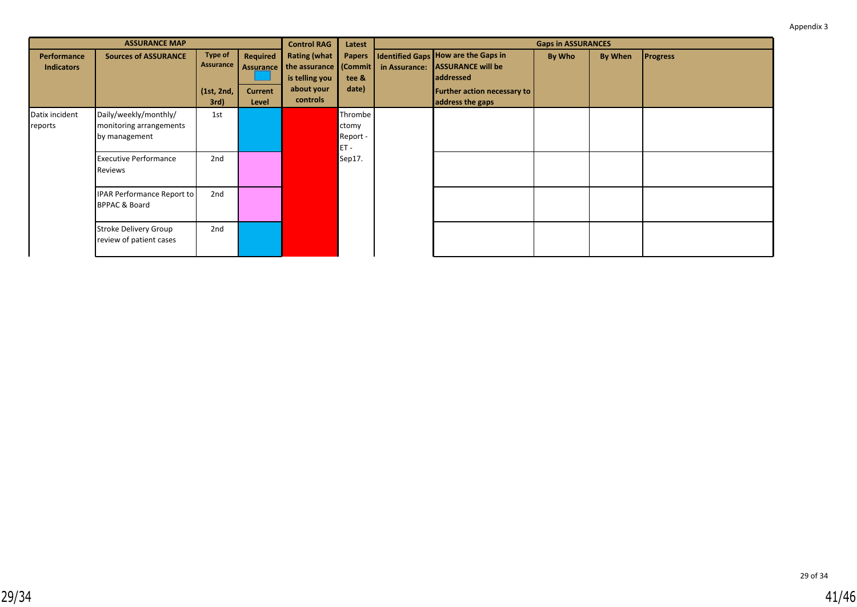|                                  | <b>ASSURANCE MAP</b>                                              |                                                   |                                                                                                                                                                                                | <b>Control RAG</b> | Latest                                 |                                                                                                                                 |        | <b>Gaps in ASSURANCES</b> |                 |  |
|----------------------------------|-------------------------------------------------------------------|---------------------------------------------------|------------------------------------------------------------------------------------------------------------------------------------------------------------------------------------------------|--------------------|----------------------------------------|---------------------------------------------------------------------------------------------------------------------------------|--------|---------------------------|-----------------|--|
| Performance<br><b>Indicators</b> | <b>Sources of ASSURANCE</b>                                       | <b>Type of</b><br>Assurance<br>(1st, 2nd,<br>3rd) | <b>Rating (what</b><br><b>Required</b><br><b>Papers</b><br>the assurance (Commit)<br><b>Assurance</b><br>is telling you<br>tee &<br>about your<br>date)<br><b>Current</b><br>controls<br>Level |                    | in Assurance:                          | Identified Gaps How are the Gaps in<br><b>ASSURANCE will be</b><br>addressed<br>Further action necessary to<br>address the gaps | By Who | <b>By When</b>            | <b>Progress</b> |  |
| Datix incident<br>reports        | Daily/weekly/monthly/<br>monitoring arrangements<br>by management | 1st                                               |                                                                                                                                                                                                |                    | Thrombe<br>ctomy<br>Report -<br>$ET -$ |                                                                                                                                 |        |                           |                 |  |
|                                  | <b>Executive Performance</b><br>Reviews                           | 2nd                                               |                                                                                                                                                                                                |                    | Sep17.                                 |                                                                                                                                 |        |                           |                 |  |
|                                  | IPAR Performance Report to<br><b>BPPAC &amp; Board</b>            | 2nd                                               |                                                                                                                                                                                                |                    |                                        |                                                                                                                                 |        |                           |                 |  |
|                                  | <b>Stroke Delivery Group</b><br>review of patient cases           | 2nd                                               |                                                                                                                                                                                                |                    |                                        |                                                                                                                                 |        |                           |                 |  |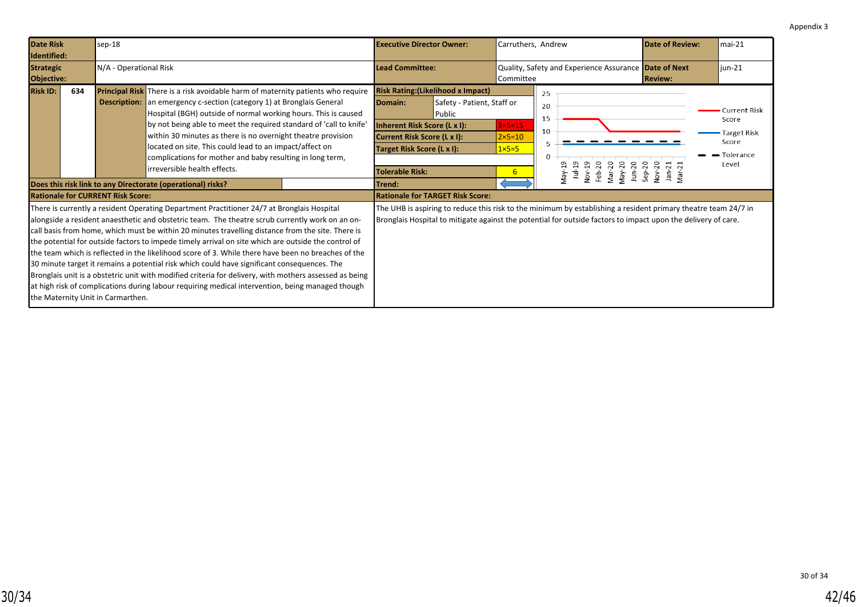<span id="page-41-0"></span>

| <b>Date Risk</b><br>Identified:                                                                                                                                                                                                                                                                                                                                                                                                                                                                                                                                                                                                                                                                                                                                                                                                                                                                               |     | sep-18                 |                                                                                                                                                                                                                                                                                                                                                                                                                                                                                                                                         |                                                                                                                                | <b>Executive Director Owner:</b>                                                  |                                                     | Carruthers, Andrew                                                                                                                                                                                                              |                                                       | Date of Review:                                                            | $mai-21$ |
|---------------------------------------------------------------------------------------------------------------------------------------------------------------------------------------------------------------------------------------------------------------------------------------------------------------------------------------------------------------------------------------------------------------------------------------------------------------------------------------------------------------------------------------------------------------------------------------------------------------------------------------------------------------------------------------------------------------------------------------------------------------------------------------------------------------------------------------------------------------------------------------------------------------|-----|------------------------|-----------------------------------------------------------------------------------------------------------------------------------------------------------------------------------------------------------------------------------------------------------------------------------------------------------------------------------------------------------------------------------------------------------------------------------------------------------------------------------------------------------------------------------------|--------------------------------------------------------------------------------------------------------------------------------|-----------------------------------------------------------------------------------|-----------------------------------------------------|---------------------------------------------------------------------------------------------------------------------------------------------------------------------------------------------------------------------------------|-------------------------------------------------------|----------------------------------------------------------------------------|----------|
| <b>Strategic</b><br>Objective:                                                                                                                                                                                                                                                                                                                                                                                                                                                                                                                                                                                                                                                                                                                                                                                                                                                                                |     | N/A - Operational Risk |                                                                                                                                                                                                                                                                                                                                                                                                                                                                                                                                         |                                                                                                                                | <b>Lead Committee:</b>                                                            |                                                     | Committee                                                                                                                                                                                                                       | Quality, Safety and Experience Assurance Date of Next | <b>Review:</b>                                                             | $jun-21$ |
| <b>Risk ID:</b>                                                                                                                                                                                                                                                                                                                                                                                                                                                                                                                                                                                                                                                                                                                                                                                                                                                                                               | 634 |                        | <b>Principal Risk</b> There is a risk avoidable harm of maternity patients who require<br><b>Description:</b> an emergency c-section (category 1) at Bronglais General<br>Hospital (BGH) outside of normal working hours. This is caused<br>by not being able to meet the required standard of 'call to knife'<br>within 30 minutes as there is no overnight theatre provision<br>located on site. This could lead to an impact/affect on<br>complications for mother and baby resulting in long term,<br>lirreversible health effects. | Domain:<br>Inherent Risk Score (L x I):<br>Current Risk Score (L x I):<br>Target Risk Score (L x I):<br><b>Tolerable Risk:</b> | <b>Risk Rating: (Likelihood x Impact)</b><br>Safety - Patient, Staff or<br>Public | $3x5-15$<br>$2\times 5=10$<br>$1 \times 5 = 5$<br>6 | 25<br>20<br>15<br>10<br>$\Omega$<br>Nov-19<br>Feb-20<br>May-20<br>Jun-20<br>Mar-20<br>May-19<br>$1u-19$                                                                                                                         | Nov-20<br>Jan-21<br>Mar-21<br>$Sep-20$                | Current Risk<br>Score<br><b>Target Risk</b><br>Score<br>Tolerance<br>Level |          |
|                                                                                                                                                                                                                                                                                                                                                                                                                                                                                                                                                                                                                                                                                                                                                                                                                                                                                                               |     |                        | Does this risk link to any Directorate (operational) risks?                                                                                                                                                                                                                                                                                                                                                                                                                                                                             |                                                                                                                                | Trend:                                                                            |                                                     |                                                                                                                                                                                                                                 |                                                       |                                                                            |          |
| <b>Rationale for CURRENT Risk Score:</b><br>There is currently a resident Operating Department Practitioner 24/7 at Bronglais Hospital<br>alongside a resident anaesthetic and obstetric team. The theatre scrub currently work on an on-<br>call basis from home, which must be within 20 minutes travelling distance from the site. There is<br>the potential for outside factors to impede timely arrival on site which are outside the control of<br>the team which is reflected in the likelihood score of 3. While there have been no breaches of the<br>30 minute target it remains a potential risk which could have significant consequences. The<br>Bronglais unit is a obstetric unit with modified criteria for delivery, with mothers assessed as being<br>at high risk of complications during labour requiring medical intervention, being managed though<br>the Maternity Unit in Carmarthen. |     |                        |                                                                                                                                                                                                                                                                                                                                                                                                                                                                                                                                         |                                                                                                                                | <b>Rationale for TARGET Risk Score:</b>                                           |                                                     | The UHB is aspiring to reduce this risk to the minimum by establishing a resident primary theatre team 24/7 in<br>Bronglais Hospital to mitigate against the potential for outside factors to impact upon the delivery of care. |                                                       |                                                                            |          |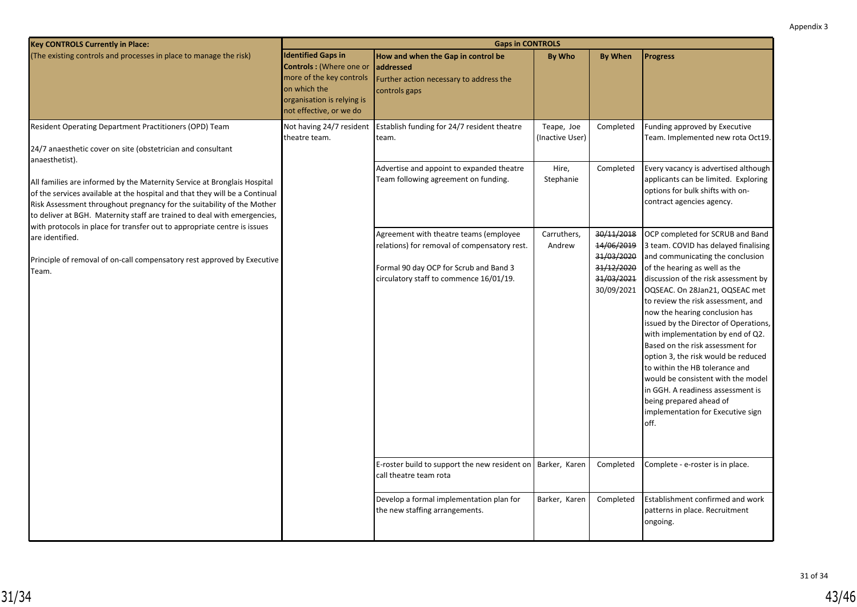| <b>Key CONTROLS Currently in Place:</b>                                                                                                                                                                                                                                                                                                                                                                     |                                                                                                                                                           | <b>Gaps in CONTROLS</b>                                                                                                                                                     |                               |                                                                                  |                                                                                                                                                                                                                                                                                                                                                                                                                                                                                                                                                                                                                                               |
|-------------------------------------------------------------------------------------------------------------------------------------------------------------------------------------------------------------------------------------------------------------------------------------------------------------------------------------------------------------------------------------------------------------|-----------------------------------------------------------------------------------------------------------------------------------------------------------|-----------------------------------------------------------------------------------------------------------------------------------------------------------------------------|-------------------------------|----------------------------------------------------------------------------------|-----------------------------------------------------------------------------------------------------------------------------------------------------------------------------------------------------------------------------------------------------------------------------------------------------------------------------------------------------------------------------------------------------------------------------------------------------------------------------------------------------------------------------------------------------------------------------------------------------------------------------------------------|
| (The existing controls and processes in place to manage the risk)                                                                                                                                                                                                                                                                                                                                           | <b>Identified Gaps in</b><br>Controls: (Where one or<br>more of the key controls<br>on which the<br>organisation is relying is<br>not effective, or we do | How and when the Gap in control be<br>laddressed<br>Further action necessary to address the<br>controls gaps                                                                | <b>By Who</b>                 | <b>By When</b>                                                                   | <b>Progress</b>                                                                                                                                                                                                                                                                                                                                                                                                                                                                                                                                                                                                                               |
| Resident Operating Department Practitioners (OPD) Team<br>24/7 anaesthetic cover on site (obstetrician and consultant                                                                                                                                                                                                                                                                                       | Not having 24/7 resident<br>theatre team.                                                                                                                 | Establish funding for 24/7 resident theatre<br>team.                                                                                                                        | Teape, Joe<br>(Inactive User) | Completed                                                                        | Funding approved by Executive<br>Team. Implemented new rota Oct19.                                                                                                                                                                                                                                                                                                                                                                                                                                                                                                                                                                            |
| anaesthetist).<br>All families are informed by the Maternity Service at Bronglais Hospital<br>of the services available at the hospital and that they will be a Continual<br>Risk Assessment throughout pregnancy for the suitability of the Mother<br>to deliver at BGH. Maternity staff are trained to deal with emergencies,<br>with protocols in place for transfer out to appropriate centre is issues |                                                                                                                                                           | Advertise and appoint to expanded theatre<br>Team following agreement on funding.                                                                                           | Hire,<br>Stephanie            | Completed                                                                        | Every vacancy is advertised although<br>applicants can be limited. Exploring<br>options for bulk shifts with on-<br>contract agencies agency.                                                                                                                                                                                                                                                                                                                                                                                                                                                                                                 |
| are identified.<br>Principle of removal of on-call compensatory rest approved by Executive<br>Team.                                                                                                                                                                                                                                                                                                         |                                                                                                                                                           | Agreement with theatre teams (employee<br>relations) for removal of compensatory rest.<br>Formal 90 day OCP for Scrub and Band 3<br>circulatory staff to commence 16/01/19. | Carruthers,<br>Andrew         | 30/11/2018<br>14/06/2019<br>31/03/2020<br>31/12/2020<br>31/03/2021<br>30/09/2021 | OCP completed for SCRUB and Band<br>3 team. COVID has delayed finalising<br>and communicating the conclusion<br>of the hearing as well as the<br>discussion of the risk assessment by<br>OQSEAC. On 28Jan21, OQSEAC met<br>to review the risk assessment, and<br>now the hearing conclusion has<br>issued by the Director of Operations,<br>with implementation by end of Q2.<br>Based on the risk assessment for<br>option 3, the risk would be reduced<br>to within the HB tolerance and<br>would be consistent with the model<br>in GGH. A readiness assessment is<br>being prepared ahead of<br>implementation for Executive sign<br>off. |
|                                                                                                                                                                                                                                                                                                                                                                                                             |                                                                                                                                                           | E-roster build to support the new resident on<br>call theatre team rota                                                                                                     | Barker, Karen                 | Completed                                                                        | Complete - e-roster is in place.                                                                                                                                                                                                                                                                                                                                                                                                                                                                                                                                                                                                              |
|                                                                                                                                                                                                                                                                                                                                                                                                             |                                                                                                                                                           | Develop a formal implementation plan for<br>the new staffing arrangements.                                                                                                  | Barker, Karen                 | Completed                                                                        | Establishment confirmed and work<br>patterns in place. Recruitment<br>ongoing.                                                                                                                                                                                                                                                                                                                                                                                                                                                                                                                                                                |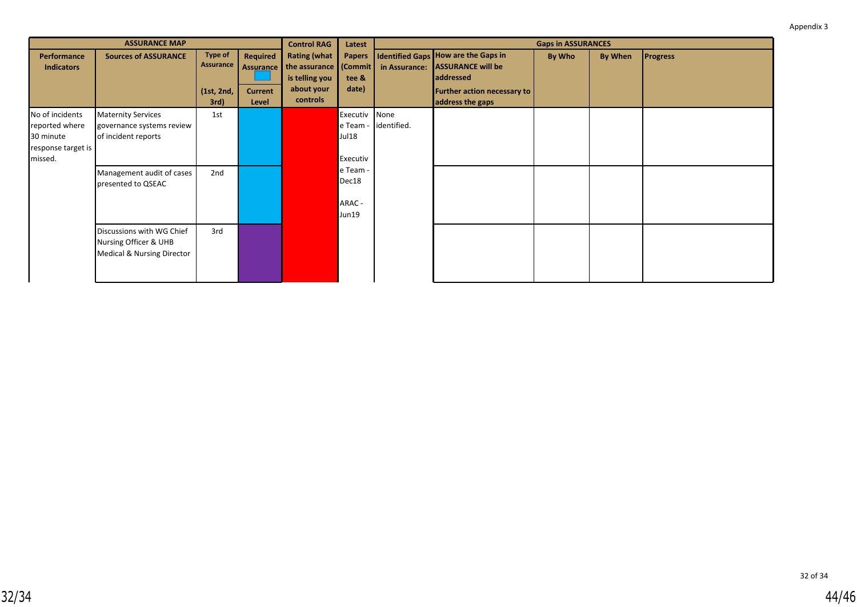|                                                                                 | <b>ASSURANCE MAP</b>                                                                                                             |                                                   |                                                         | <b>Control RAG</b>                                                                           | Latest                                                                            |                     |                                                                                                                                 | <b>Gaps in ASSURANCES</b> |         |                 |
|---------------------------------------------------------------------------------|----------------------------------------------------------------------------------------------------------------------------------|---------------------------------------------------|---------------------------------------------------------|----------------------------------------------------------------------------------------------|-----------------------------------------------------------------------------------|---------------------|---------------------------------------------------------------------------------------------------------------------------------|---------------------------|---------|-----------------|
| Performance<br><b>Indicators</b>                                                | <b>Sources of ASSURANCE</b>                                                                                                      | <b>Type of</b><br>Assurance<br>(1st, 2nd,<br>3rd) | Required<br><b>Assurance</b><br><b>Current</b><br>Level | <b>Rating (what</b><br>the assurance   (Commit  <br>is telling you<br>about your<br>controls | <b>Papers</b><br>tee &<br>date)                                                   | in Assurance:       | Identified Gaps How are the Gaps in<br><b>ASSURANCE will be</b><br>addressed<br>Further action necessary to<br>address the gaps | By Who                    | By When | <b>Progress</b> |
| No of incidents<br>reported where<br>30 minute<br>response target is<br>missed. | <b>Maternity Services</b><br>governance systems review<br>of incident reports<br>Management audit of cases<br>presented to QSEAC | 1st<br>2nd                                        |                                                         |                                                                                              | Executiv<br>e Team -<br>Jul18<br>Executiv<br>e Team -<br>Dec18<br>ARAC -<br>Jun19 | None<br>identified. |                                                                                                                                 |                           |         |                 |
|                                                                                 | Discussions with WG Chief<br>Nursing Officer & UHB<br>Medical & Nursing Director                                                 | 3rd                                               |                                                         |                                                                                              |                                                                                   |                     |                                                                                                                                 |                           |         |                 |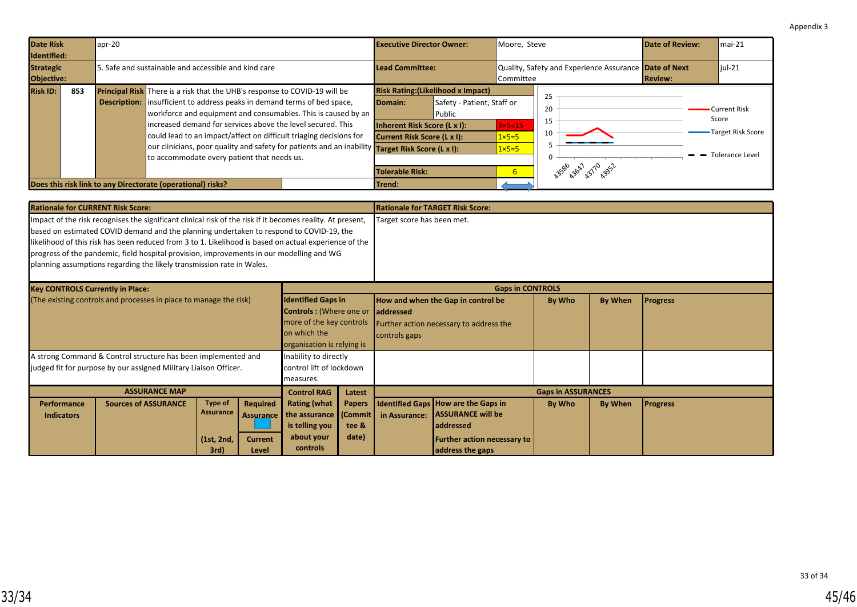<span id="page-44-0"></span>

| <b>Date Risk</b><br>apr-20<br>Identified: |                                                                                                                                                                                                                                                                                                                                                                                                                                                                                                                                                                                               | <b>Executive Director Owner:</b>                                                                            |                                                                                   | Moore, Steve                                                |                                                       | Date of Review: | $\mathsf{Imai-21}$                                                          |
|-------------------------------------------|-----------------------------------------------------------------------------------------------------------------------------------------------------------------------------------------------------------------------------------------------------------------------------------------------------------------------------------------------------------------------------------------------------------------------------------------------------------------------------------------------------------------------------------------------------------------------------------------------|-------------------------------------------------------------------------------------------------------------|-----------------------------------------------------------------------------------|-------------------------------------------------------------|-------------------------------------------------------|-----------------|-----------------------------------------------------------------------------|
| <b>Strategic</b><br>Objective:            | 5. Safe and sustainable and accessible and kind care                                                                                                                                                                                                                                                                                                                                                                                                                                                                                                                                          | Lead Committee:<br>Committee                                                                                |                                                                                   |                                                             | Quality, Safety and Experience Assurance Date of Next | <b>Review:</b>  | $liul-21$                                                                   |
| <b>Risk ID:</b><br>853                    | Principal Risk There is a risk that the UHB's response to COVID-19 will be<br><b>Description:</b> insufficient to address peaks in demand terms of bed space,<br>workforce and equipment and consumables. This is caused by an<br>lincreased demand for services above the level secured. This<br>could lead to an impact/affect on difficult triaging decisions for<br>our clinicians, poor quality and safety for patients and an inability <b>Target Risk Score (L x I):</b><br>to accommodate every patient that needs us.<br>Does this risk link to any Directorate (operational) risks? | Domain:<br>Inherent Risk Score (L x I):<br>Current Risk Score (L x I):<br><b>Tolerable Risk:</b><br> Trend: | <b>Risk Rating: (Likelihood x Impact)</b><br>Safety - Patient, Staff or<br>Public | $3\times 5=15$<br>$1 \times 5 = 5$<br>$1 \times 5 = 5$<br>6 | 25<br>20<br>15<br>10<br>43586 43647 43710 4352        |                 | <b>Current Risk</b><br>Score<br>Target Risk Score<br><b>Tolerance Level</b> |

| <b>Rationale for CURRENT Risk Score:</b>                                                                                                                                                                                                                                                                                                                                                                                                                                            |                             |                                    |                                     |                                                                                                                                       |                           | Rationale for TARGET Risk Score:                                                                                    |                                                                                     |        |                |                 |
|-------------------------------------------------------------------------------------------------------------------------------------------------------------------------------------------------------------------------------------------------------------------------------------------------------------------------------------------------------------------------------------------------------------------------------------------------------------------------------------|-----------------------------|------------------------------------|-------------------------------------|---------------------------------------------------------------------------------------------------------------------------------------|---------------------------|---------------------------------------------------------------------------------------------------------------------|-------------------------------------------------------------------------------------|--------|----------------|-----------------|
| Impact of the risk recognises the significant clinical risk of the risk if it becomes reality. At present,<br>based on estimated COVID demand and the planning undertaken to respond to COVID-19, the<br>likelihood of this risk has been reduced from 3 to 1. Likelihood is based on actual experience of the<br>progress of the pandemic, field hospital provision, improvements in our modelling and WG<br>planning assumptions regarding the likely transmission rate in Wales. |                             |                                    |                                     |                                                                                                                                       |                           | Target score has been met.                                                                                          |                                                                                     |        |                |                 |
| <b>Key CONTROLS Currently in Place:</b>                                                                                                                                                                                                                                                                                                                                                                                                                                             |                             |                                    |                                     |                                                                                                                                       | <b>Gaps in CONTROLS</b>   |                                                                                                                     |                                                                                     |        |                |                 |
| (The existing controls and processes in place to manage the risk)                                                                                                                                                                                                                                                                                                                                                                                                                   |                             |                                    |                                     | <b>Identified Gaps in</b><br><b>Controls:</b> (Where one or<br>more of the key controls<br>on which the<br>organisation is relying is |                           | How and when the Gap in control be<br><b>laddressed</b><br>Further action necessary to address the<br>controls gaps |                                                                                     | By Who | <b>By When</b> | <b>Progress</b> |
| A strong Command & Control structure has been implemented and<br>Inability to directly<br>judged fit for purpose by our assigned Military Liaison Officer.<br>control lift of lockdown<br>measures.                                                                                                                                                                                                                                                                                 |                             |                                    |                                     |                                                                                                                                       |                           |                                                                                                                     |                                                                                     |        |                |                 |
| <b>ASSURANCE MAP</b><br><b>Control RAG</b><br>Latest                                                                                                                                                                                                                                                                                                                                                                                                                                |                             |                                    |                                     |                                                                                                                                       | <b>Gaps in ASSURANCES</b> |                                                                                                                     |                                                                                     |        |                |                 |
| <b>Performance</b><br><b>Indicators</b>                                                                                                                                                                                                                                                                                                                                                                                                                                             | <b>Sources of ASSURANCE</b> | <b>Type of</b><br><b>Assurance</b> | <b>Required</b><br><b>Assurance</b> | <b>Rating (what</b><br>the assurance (Commit)<br>is telling you                                                                       | <b>Papers</b><br>tee &    | in Assurance:                                                                                                       | <b>Identified Gaps How are the Gaps in</b><br><b>ASSURANCE will be</b><br>addressed | By Who | By When        | <b>Progress</b> |

**Further action necessary to**

**address the gaps**

**is telling you about your controls**

**tee & date)**

**(1st, 2nd, 3rd)**

**Current Level**

 $\overline{\phantom{a}}$  will scruting performance  $\overline{\phantom{a}}$  and areas of concern supply supply supply supply supply supply supply supply supply supply supply supply supply supply supply supply supply supply supply supply supply sup

and provide guidance.